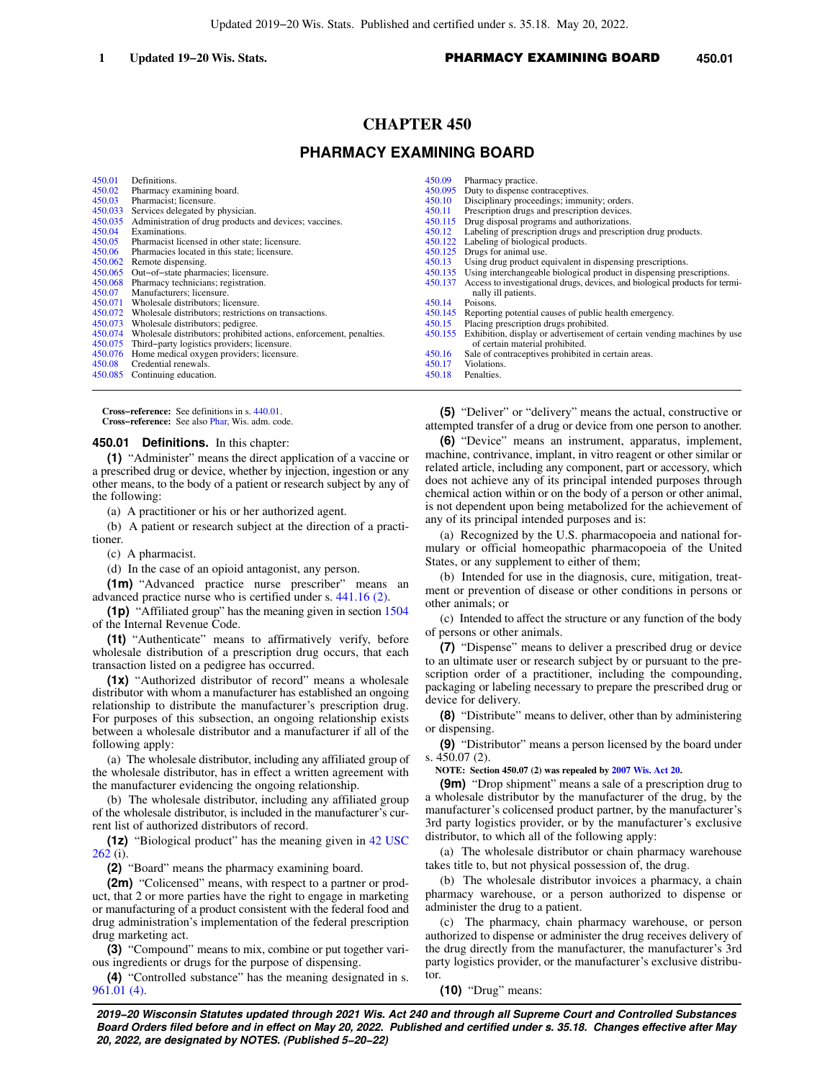# **1 Updated 19−20 Wis. Stats. 1 PHARMACY EXAMINING BOARD** 450.01

# **CHAPTER 450**

# **PHARMACY EXAMINING BOARD**

| 450.01  | Definitions.                                                        | 450.09  | Pharmacy practice.                                                           |
|---------|---------------------------------------------------------------------|---------|------------------------------------------------------------------------------|
| 450.02  | Pharmacy examining board.                                           | 450.095 | Duty to dispense contraceptives.                                             |
| 450.03  | Pharmacist; licensure.                                              | 450.10  | Disciplinary proceedings; immunity; orders.                                  |
| 450.033 | Services delegated by physician.                                    | 450.11  | Prescription drugs and prescription devices.                                 |
| 450.035 | Administration of drug products and devices; vaccines.              | 450.115 | Drug disposal programs and authorizations.                                   |
| 450.04  | Examinations.                                                       | 450.12  | Labeling of prescription drugs and prescription drug products.               |
| 450.05  | Pharmacist licensed in other state; licensure.                      | 450.122 | Labeling of biological products.                                             |
| 450.06  | Pharmacies located in this state; licensure.                        | 450.125 | Drugs for animal use.                                                        |
| 450.062 | Remote dispensing.                                                  | 450.13  | Using drug product equivalent in dispensing prescriptions.                   |
| 450.065 | Out-of-state pharmacies; licensure.                                 | 450.135 | Using interchangeable biological product in dispensing prescriptions.        |
| 450.068 | Pharmacy technicians; registration.                                 | 450.137 | Access to investigational drugs, devices, and biological products for termi- |
| 450.07  | Manufacturers; licensure.                                           |         | nally ill patients.                                                          |
| 450.071 | Wholesale distributors; licensure.                                  | 450.14  | Poisons.                                                                     |
| 450.072 | Wholesale distributors; restrictions on transactions.               | 450.145 | Reporting potential causes of public health emergency.                       |
| 450.073 | Wholesale distributors; pedigree.                                   | 450.15  | Placing prescription drugs prohibited.                                       |
| 450.074 | Wholesale distributors; prohibited actions, enforcement, penalties. | 450.155 | Exhibition, display or advertisement of certain vending machines by use      |
| 450.075 | Third-party logistics providers; licensure.                         |         | of certain material prohibited.                                              |
| 450,076 | Home medical oxygen providers; licensure.                           | 450.16  | Sale of contraceptives prohibited in certain areas.                          |
| 450.08  | Credential renewals.                                                | 450.17  | Violations.                                                                  |
| 450.085 | Continuing education.                                               | 450.18  | Penalties.                                                                   |
|         |                                                                     |         |                                                                              |

**Cross−reference:** See definitions in s. [440.01](https://docs-preview.legis.wisconsin.gov/document/statutes/440.01). **Cross−reference:** See also [Phar,](https://docs-preview.legis.wisconsin.gov/document/administrativecode/Phar) Wis. adm. code.

### **450.01 Definitions.** In this chapter:

**(1)** "Administer" means the direct application of a vaccine or a prescribed drug or device, whether by injection, ingestion or any other means, to the body of a patient or research subject by any of the following:

(a) A practitioner or his or her authorized agent.

(b) A patient or research subject at the direction of a practitioner.

(c) A pharmacist.

(d) In the case of an opioid antagonist, any person.

**(1m)** "Advanced practice nurse prescriber" means an advanced practice nurse who is certified under s. [441.16 \(2\)](https://docs-preview.legis.wisconsin.gov/document/statutes/441.16(2)).

**(1p)** "Affiliated group" has the meaning given in section [1504](https://docs-preview.legis.wisconsin.gov/document/usc/26%20USC%201504) of the Internal Revenue Code.

**(1t)** "Authenticate" means to affirmatively verify, before wholesale distribution of a prescription drug occurs, that each transaction listed on a pedigree has occurred.

**(1x)** "Authorized distributor of record" means a wholesale distributor with whom a manufacturer has established an ongoing relationship to distribute the manufacturer's prescription drug. For purposes of this subsection, an ongoing relationship exists between a wholesale distributor and a manufacturer if all of the following apply:

(a) The wholesale distributor, including any affiliated group of the wholesale distributor, has in effect a written agreement with the manufacturer evidencing the ongoing relationship.

(b) The wholesale distributor, including any affiliated group of the wholesale distributor, is included in the manufacturer's current list of authorized distributors of record.

**(1z)** "Biological product" has the meaning given in [42 USC](https://docs-preview.legis.wisconsin.gov/document/usc/42%20USC%20262) [262](https://docs-preview.legis.wisconsin.gov/document/usc/42%20USC%20262) (i).

**(2)** "Board" means the pharmacy examining board.

**(2m)** "Colicensed" means, with respect to a partner or product, that 2 or more parties have the right to engage in marketing or manufacturing of a product consistent with the federal food and drug administration's implementation of the federal prescription drug marketing act.

**(3)** "Compound" means to mix, combine or put together various ingredients or drugs for the purpose of dispensing.

**(4)** "Controlled substance" has the meaning designated in s. [961.01 \(4\).](https://docs-preview.legis.wisconsin.gov/document/statutes/961.01(4))

**(5)** "Deliver" or "delivery" means the actual, constructive or attempted transfer of a drug or device from one person to another.

**(6)** "Device" means an instrument, apparatus, implement, machine, contrivance, implant, in vitro reagent or other similar or related article, including any component, part or accessory, which does not achieve any of its principal intended purposes through chemical action within or on the body of a person or other animal, is not dependent upon being metabolized for the achievement of any of its principal intended purposes and is:

(a) Recognized by the U.S. pharmacopoeia and national formulary or official homeopathic pharmacopoeia of the United States, or any supplement to either of them;

(b) Intended for use in the diagnosis, cure, mitigation, treatment or prevention of disease or other conditions in persons or other animals; or

(c) Intended to affect the structure or any function of the body of persons or other animals.

**(7)** "Dispense" means to deliver a prescribed drug or device to an ultimate user or research subject by or pursuant to the prescription order of a practitioner, including the compounding, packaging or labeling necessary to prepare the prescribed drug or device for delivery.

**(8)** "Distribute" means to deliver, other than by administering or dispensing.

**(9)** "Distributor" means a person licensed by the board under s. 450.07 (2).

**NOTE: Section 450.07 (2) was repealed by [2007 Wis. Act 20.](https://docs-preview.legis.wisconsin.gov/document/acts/2007/20)**

**(9m)** "Drop shipment" means a sale of a prescription drug to a wholesale distributor by the manufacturer of the drug, by the manufacturer's colicensed product partner, by the manufacturer's 3rd party logistics provider, or by the manufacturer's exclusive distributor, to which all of the following apply:

(a) The wholesale distributor or chain pharmacy warehouse takes title to, but not physical possession of, the drug.

(b) The wholesale distributor invoices a pharmacy, a chain pharmacy warehouse, or a person authorized to dispense or administer the drug to a patient.

(c) The pharmacy, chain pharmacy warehouse, or person authorized to dispense or administer the drug receives delivery of the drug directly from the manufacturer, the manufacturer's 3rd party logistics provider, or the manufacturer's exclusive distributor.

**(10)** "Drug" means: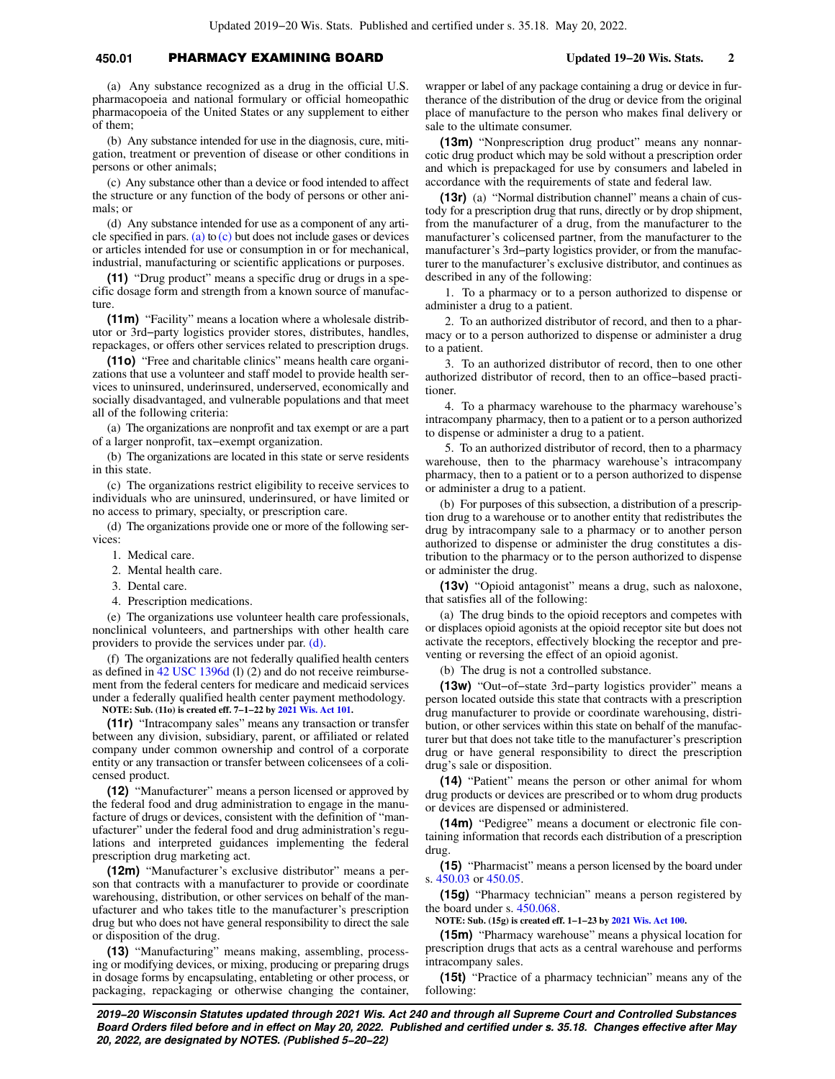# **450.01** PHARMACY EXAMINING BOARD **Updated 19−20 Wis. Stats. 2**

(a) Any substance recognized as a drug in the official U.S. pharmacopoeia and national formulary or official homeopathic pharmacopoeia of the United States or any supplement to either of them;

(b) Any substance intended for use in the diagnosis, cure, mitigation, treatment or prevention of disease or other conditions in persons or other animals;

(c) Any substance other than a device or food intended to affect the structure or any function of the body of persons or other animals; or

(d) Any substance intended for use as a component of any arti-cle specified in pars. [\(a\)](https://docs-preview.legis.wisconsin.gov/document/statutes/450.01(10)(a)) to [\(c\)](https://docs-preview.legis.wisconsin.gov/document/statutes/450.01(10)(c)) but does not include gases or devices or articles intended for use or consumption in or for mechanical, industrial, manufacturing or scientific applications or purposes.

**(11)** "Drug product" means a specific drug or drugs in a specific dosage form and strength from a known source of manufacture.

**(11m)** "Facility" means a location where a wholesale distributor or 3rd−party logistics provider stores, distributes, handles, repackages, or offers other services related to prescription drugs.

**(11o)** "Free and charitable clinics" means health care organizations that use a volunteer and staff model to provide health services to uninsured, underinsured, underserved, economically and socially disadvantaged, and vulnerable populations and that meet all of the following criteria:

(a) The organizations are nonprofit and tax exempt or are a part of a larger nonprofit, tax−exempt organization.

(b) The organizations are located in this state or serve residents in this state.

(c) The organizations restrict eligibility to receive services to individuals who are uninsured, underinsured, or have limited or no access to primary, specialty, or prescription care.

(d) The organizations provide one or more of the following services:

1. Medical care.

2. Mental health care.

3. Dental care.

4. Prescription medications.

(e) The organizations use volunteer health care professionals, nonclinical volunteers, and partnerships with other health care providers to provide the services under par. [\(d\)](https://docs-preview.legis.wisconsin.gov/document/statutes/450.01(11o)(d)).

(f) The organizations are not federally qualified health centers as defined in [42 USC 1396d](https://docs-preview.legis.wisconsin.gov/document/usc/42%20USC%201396d) (l) (2) and do not receive reimbursement from the federal centers for medicare and medicaid services under a federally qualified health center payment methodology.

**NOTE: Sub. (11o) is created eff. 7−1−22 by [2021 Wis. Act 101.](https://docs-preview.legis.wisconsin.gov/document/acts/2021/101)**

**(11r)** "Intracompany sales" means any transaction or transfer between any division, subsidiary, parent, or affiliated or related company under common ownership and control of a corporate entity or any transaction or transfer between colicensees of a colicensed product.

**(12)** "Manufacturer" means a person licensed or approved by the federal food and drug administration to engage in the manufacture of drugs or devices, consistent with the definition of "manufacturer" under the federal food and drug administration's regulations and interpreted guidances implementing the federal prescription drug marketing act.

**(12m)** "Manufacturer's exclusive distributor" means a person that contracts with a manufacturer to provide or coordinate warehousing, distribution, or other services on behalf of the manufacturer and who takes title to the manufacturer's prescription drug but who does not have general responsibility to direct the sale or disposition of the drug.

**(13)** "Manufacturing" means making, assembling, processing or modifying devices, or mixing, producing or preparing drugs in dosage forms by encapsulating, entableting or other process, or packaging, repackaging or otherwise changing the container,

wrapper or label of any package containing a drug or device in furtherance of the distribution of the drug or device from the original place of manufacture to the person who makes final delivery or sale to the ultimate consumer.

**(13m)** "Nonprescription drug product" means any nonnarcotic drug product which may be sold without a prescription order and which is prepackaged for use by consumers and labeled in accordance with the requirements of state and federal law.

**(13r)** (a) "Normal distribution channel" means a chain of custody for a prescription drug that runs, directly or by drop shipment, from the manufacturer of a drug, from the manufacturer to the manufacturer's colicensed partner, from the manufacturer to the manufacturer's 3rd−party logistics provider, or from the manufacturer to the manufacturer's exclusive distributor, and continues as described in any of the following:

1. To a pharmacy or to a person authorized to dispense or administer a drug to a patient.

2. To an authorized distributor of record, and then to a pharmacy or to a person authorized to dispense or administer a drug to a patient.

3. To an authorized distributor of record, then to one other authorized distributor of record, then to an office−based practitioner.

4. To a pharmacy warehouse to the pharmacy warehouse's intracompany pharmacy, then to a patient or to a person authorized to dispense or administer a drug to a patient.

5. To an authorized distributor of record, then to a pharmacy warehouse, then to the pharmacy warehouse's intracompany pharmacy, then to a patient or to a person authorized to dispense or administer a drug to a patient.

(b) For purposes of this subsection, a distribution of a prescription drug to a warehouse or to another entity that redistributes the drug by intracompany sale to a pharmacy or to another person authorized to dispense or administer the drug constitutes a distribution to the pharmacy or to the person authorized to dispense or administer the drug.

**(13v)** "Opioid antagonist" means a drug, such as naloxone, that satisfies all of the following:

(a) The drug binds to the opioid receptors and competes with or displaces opioid agonists at the opioid receptor site but does not activate the receptors, effectively blocking the receptor and preventing or reversing the effect of an opioid agonist.

(b) The drug is not a controlled substance.

**(13w)** "Out−of−state 3rd−party logistics provider" means a person located outside this state that contracts with a prescription drug manufacturer to provide or coordinate warehousing, distribution, or other services within this state on behalf of the manufacturer but that does not take title to the manufacturer's prescription drug or have general responsibility to direct the prescription drug's sale or disposition.

**(14)** "Patient" means the person or other animal for whom drug products or devices are prescribed or to whom drug products or devices are dispensed or administered.

**(14m)** "Pedigree" means a document or electronic file containing information that records each distribution of a prescription drug.

**(15)** "Pharmacist" means a person licensed by the board under s. [450.03](https://docs-preview.legis.wisconsin.gov/document/statutes/450.03) or [450.05.](https://docs-preview.legis.wisconsin.gov/document/statutes/450.05)

**(15g)** "Pharmacy technician" means a person registered by the board under s. [450.068.](https://docs-preview.legis.wisconsin.gov/document/statutes/450.068)

**NOTE: Sub. (15g) is created eff. 1−1−23 by [2021 Wis. Act 100](https://docs-preview.legis.wisconsin.gov/document/acts/2021/100).**

**(15m)** "Pharmacy warehouse" means a physical location for prescription drugs that acts as a central warehouse and performs intracompany sales.

**(15t)** "Practice of a pharmacy technician" means any of the following: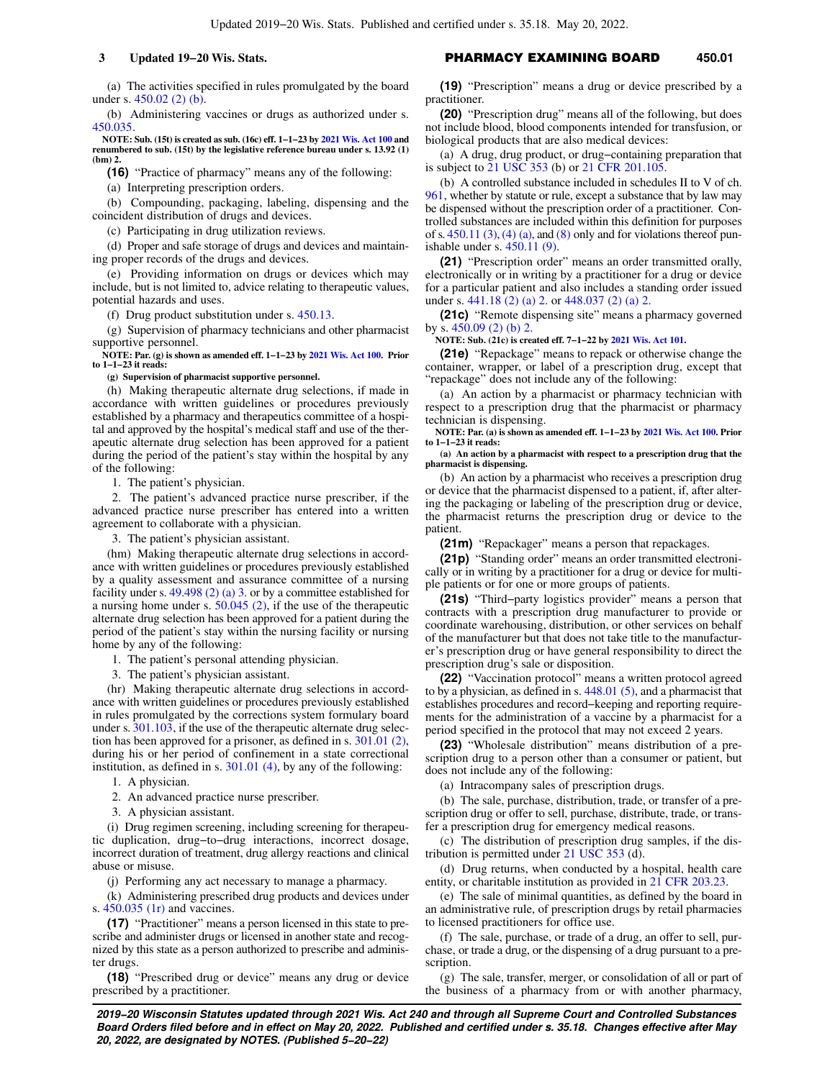(a) The activities specified in rules promulgated by the board under s. [450.02 \(2\) \(b\)](https://docs-preview.legis.wisconsin.gov/document/statutes/450.02(2)(b)).

(b) Administering vaccines or drugs as authorized under s. [450.035](https://docs-preview.legis.wisconsin.gov/document/statutes/450.035).

**NOTE: Sub. (15t) is created as sub. (16c) eff. 1−1−23 by [2021 Wis. Act 100](https://docs-preview.legis.wisconsin.gov/document/acts/2021/100) and renumbered to sub. (15t) by the legislative reference bureau under s. 13.92 (1) (bm) 2.**

**(16)** "Practice of pharmacy" means any of the following:

(a) Interpreting prescription orders.

(b) Compounding, packaging, labeling, dispensing and the coincident distribution of drugs and devices.

(c) Participating in drug utilization reviews.

(d) Proper and safe storage of drugs and devices and maintaining proper records of the drugs and devices.

(e) Providing information on drugs or devices which may include, but is not limited to, advice relating to therapeutic values, potential hazards and uses.

(f) Drug product substitution under s. [450.13](https://docs-preview.legis.wisconsin.gov/document/statutes/450.13).

(g) Supervision of pharmacy technicians and other pharmacist supportive personnel.

**NOTE: Par. (g) is shown as amended eff. 1−1−23 by [2021 Wis. Act 100](https://docs-preview.legis.wisconsin.gov/document/acts/2021/100). Prior to 1−1−23 it reads: (g) Supervision of pharmacist supportive personnel.**

(h) Making therapeutic alternate drug selections, if made in accordance with written guidelines or procedures previously established by a pharmacy and therapeutics committee of a hospi-

tal and approved by the hospital's medical staff and use of the therapeutic alternate drug selection has been approved for a patient during the period of the patient's stay within the hospital by any of the following:

1. The patient's physician.

2. The patient's advanced practice nurse prescriber, if the advanced practice nurse prescriber has entered into a written agreement to collaborate with a physician.

3. The patient's physician assistant.

(hm) Making therapeutic alternate drug selections in accordance with written guidelines or procedures previously established by a quality assessment and assurance committee of a nursing facility under s. [49.498 \(2\) \(a\) 3.](https://docs-preview.legis.wisconsin.gov/document/statutes/49.498(2)(a)3.) or by a committee established for a nursing home under s. [50.045 \(2\),](https://docs-preview.legis.wisconsin.gov/document/statutes/50.045(2)) if the use of the therapeutic alternate drug selection has been approved for a patient during the period of the patient's stay within the nursing facility or nursing home by any of the following:

1. The patient's personal attending physician.

3. The patient's physician assistant.

(hr) Making therapeutic alternate drug selections in accordance with written guidelines or procedures previously established in rules promulgated by the corrections system formulary board under s. [301.103,](https://docs-preview.legis.wisconsin.gov/document/statutes/301.103) if the use of the therapeutic alternate drug selection has been approved for a prisoner, as defined in s. [301.01 \(2\),](https://docs-preview.legis.wisconsin.gov/document/statutes/301.01(2)) during his or her period of confinement in a state correctional institution, as defined in s. [301.01 \(4\)](https://docs-preview.legis.wisconsin.gov/document/statutes/301.01(4)), by any of the following:

1. A physician.

2. An advanced practice nurse prescriber.

3. A physician assistant.

(i) Drug regimen screening, including screening for therapeutic duplication, drug−to−drug interactions, incorrect dosage, incorrect duration of treatment, drug allergy reactions and clinical abuse or misuse.

(j) Performing any act necessary to manage a pharmacy.

(k) Administering prescribed drug products and devices under s. [450.035 \(1r\)](https://docs-preview.legis.wisconsin.gov/document/statutes/450.035(1r)) and vaccines.

**(17)** "Practitioner" means a person licensed in this state to prescribe and administer drugs or licensed in another state and recognized by this state as a person authorized to prescribe and administer drugs.

**(18)** "Prescribed drug or device" means any drug or device prescribed by a practitioner.

**3 Updated 19−20 Wis. Stats. CONSERVIAGE PHARMACY EXAMINING BOARD** 450.01

**(19)** "Prescription" means a drug or device prescribed by a practitioner.

**(20)** "Prescription drug" means all of the following, but does not include blood, blood components intended for transfusion, or biological products that are also medical devices:

(a) A drug, drug product, or drug−containing preparation that is subject to [21 USC 353](https://docs-preview.legis.wisconsin.gov/document/usc/21%20USC%20353) (b) or [21 CFR 201.105](https://docs-preview.legis.wisconsin.gov/document/cfr/21%20CFR%20201.105).

(b) A controlled substance included in schedules II to V of ch. [961,](https://docs-preview.legis.wisconsin.gov/document/statutes/ch.%20961) whether by statute or rule, except a substance that by law may be dispensed without the prescription order of a practitioner. Controlled substances are included within this definition for purposes of s.  $450.11$  (3), [\(4\) \(a\)](https://docs-preview.legis.wisconsin.gov/document/statutes/450.11(4)(a)), and [\(8\)](https://docs-preview.legis.wisconsin.gov/document/statutes/450.11(8)) only and for violations thereof punishable under s. [450.11 \(9\)](https://docs-preview.legis.wisconsin.gov/document/statutes/450.11(9)).

**(21)** "Prescription order" means an order transmitted orally, electronically or in writing by a practitioner for a drug or device for a particular patient and also includes a standing order issued under s. [441.18 \(2\) \(a\) 2.](https://docs-preview.legis.wisconsin.gov/document/statutes/441.18(2)(a)2.) or [448.037 \(2\) \(a\) 2.](https://docs-preview.legis.wisconsin.gov/document/statutes/448.037(2)(a)2.)

**(21c)** "Remote dispensing site" means a pharmacy governed by s. [450.09 \(2\) \(b\) 2.](https://docs-preview.legis.wisconsin.gov/document/statutes/450.09(2)(b)2.)

**NOTE: Sub. (21c) is created eff. 7−1−22 by [2021 Wis. Act 101.](https://docs-preview.legis.wisconsin.gov/document/acts/2021/101)**

**(21e)** "Repackage" means to repack or otherwise change the container, wrapper, or label of a prescription drug, except that "repackage" does not include any of the following:

(a) An action by a pharmacist or pharmacy technician with respect to a prescription drug that the pharmacist or pharmacy technician is dispensing.

**NOTE: Par. (a) is shown as amended eff. 1−1−23 by [2021 Wis. Act 100](https://docs-preview.legis.wisconsin.gov/document/acts/2021/100). Prior to 1−1−23 it reads:**

**(a) An action by a pharmacist with respect to a prescription drug that the pharmacist is dispensing.**

(b) An action by a pharmacist who receives a prescription drug or device that the pharmacist dispensed to a patient, if, after altering the packaging or labeling of the prescription drug or device, the pharmacist returns the prescription drug or device to the patient.

**(21m)** "Repackager" means a person that repackages.

**(21p)** "Standing order" means an order transmitted electronically or in writing by a practitioner for a drug or device for multiple patients or for one or more groups of patients.

**(21s)** "Third−party logistics provider" means a person that contracts with a prescription drug manufacturer to provide or coordinate warehousing, distribution, or other services on behalf of the manufacturer but that does not take title to the manufacturer's prescription drug or have general responsibility to direct the prescription drug's sale or disposition.

**(22)** "Vaccination protocol" means a written protocol agreed to by a physician, as defined in s. [448.01 \(5\),](https://docs-preview.legis.wisconsin.gov/document/statutes/448.01(5)) and a pharmacist that establishes procedures and record−keeping and reporting requirements for the administration of a vaccine by a pharmacist for a period specified in the protocol that may not exceed 2 years.

**(23)** "Wholesale distribution" means distribution of a prescription drug to a person other than a consumer or patient, but does not include any of the following:

(a) Intracompany sales of prescription drugs.

(b) The sale, purchase, distribution, trade, or transfer of a prescription drug or offer to sell, purchase, distribute, trade, or transfer a prescription drug for emergency medical reasons.

(c) The distribution of prescription drug samples, if the distribution is permitted under [21 USC 353](https://docs-preview.legis.wisconsin.gov/document/usc/21%20USC%20353) (d).

(d) Drug returns, when conducted by a hospital, health care entity, or charitable institution as provided in [21 CFR 203.23](https://docs-preview.legis.wisconsin.gov/document/cfr/21%20CFR%20203.23).

(e) The sale of minimal quantities, as defined by the board in an administrative rule, of prescription drugs by retail pharmacies to licensed practitioners for office use.

(f) The sale, purchase, or trade of a drug, an offer to sell, purchase, or trade a drug, or the dispensing of a drug pursuant to a prescription.

(g) The sale, transfer, merger, or consolidation of all or part of the business of a pharmacy from or with another pharmacy,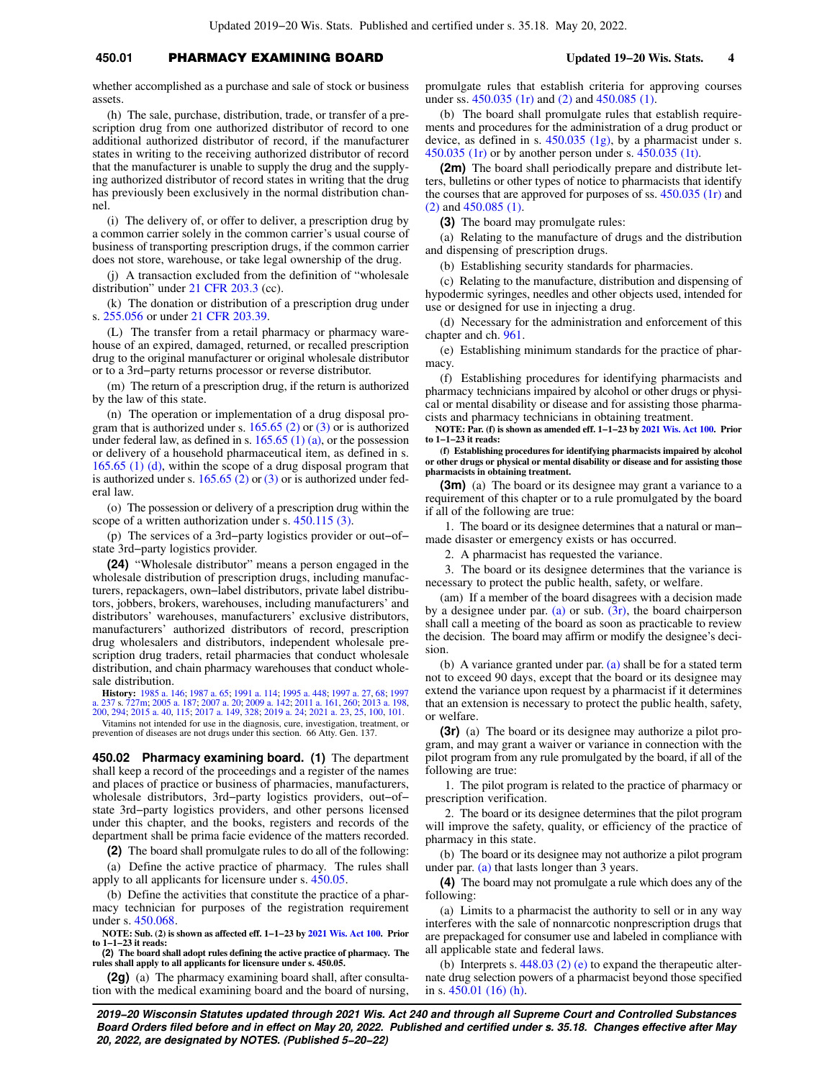# **450.01** PHARMACY EXAMINING BOARD **Updated 19−20 Wis. Stats. 4**

whether accomplished as a purchase and sale of stock or business assets.

(h) The sale, purchase, distribution, trade, or transfer of a prescription drug from one authorized distributor of record to one additional authorized distributor of record, if the manufacturer states in writing to the receiving authorized distributor of record that the manufacturer is unable to supply the drug and the supplying authorized distributor of record states in writing that the drug has previously been exclusively in the normal distribution channel.

(i) The delivery of, or offer to deliver, a prescription drug by a common carrier solely in the common carrier's usual course of business of transporting prescription drugs, if the common carrier does not store, warehouse, or take legal ownership of the drug.

(j) A transaction excluded from the definition of "wholesale distribution" under [21 CFR 203.3](https://docs-preview.legis.wisconsin.gov/document/cfr/21%20CFR%20203.3) (cc).

(k) The donation or distribution of a prescription drug under s. [255.056](https://docs-preview.legis.wisconsin.gov/document/statutes/255.056) or under [21 CFR 203.39.](https://docs-preview.legis.wisconsin.gov/document/cfr/21%20CFR%20203.39)

(L) The transfer from a retail pharmacy or pharmacy warehouse of an expired, damaged, returned, or recalled prescription drug to the original manufacturer or original wholesale distributor or to a 3rd−party returns processor or reverse distributor.

(m) The return of a prescription drug, if the return is authorized by the law of this state.

(n) The operation or implementation of a drug disposal program that is authorized under s. [165.65 \(2\)](https://docs-preview.legis.wisconsin.gov/document/statutes/165.65(2)) or [\(3\)](https://docs-preview.legis.wisconsin.gov/document/statutes/165.65(3)) or is authorized under federal law, as defined in s.  $165.65(1)(a)$ , or the possession or delivery of a household pharmaceutical item, as defined in s. [165.65 \(1\) \(d\),](https://docs-preview.legis.wisconsin.gov/document/statutes/165.65(1)(d)) within the scope of a drug disposal program that is authorized under s.  $165.65$  (2) or [\(3\)](https://docs-preview.legis.wisconsin.gov/document/statutes/165.65(3)) or is authorized under federal law.

(o) The possession or delivery of a prescription drug within the scope of a written authorization under s. [450.115 \(3\)](https://docs-preview.legis.wisconsin.gov/document/statutes/450.115(3)).

(p) The services of a 3rd−party logistics provider or out−of− state 3rd−party logistics provider.

**(24)** "Wholesale distributor" means a person engaged in the wholesale distribution of prescription drugs, including manufacturers, repackagers, own−label distributors, private label distributors, jobbers, brokers, warehouses, including manufacturers' and distributors' warehouses, manufacturers' exclusive distributors, manufacturers' authorized distributors of record, prescription drug wholesalers and distributors, independent wholesale prescription drug traders, retail pharmacies that conduct wholesale distribution, and chain pharmacy warehouses that conduct wholesale distribution.

**History:** [1985 a. 146](https://docs-preview.legis.wisconsin.gov/document/acts/1985/146); [1987 a. 65;](https://docs-preview.legis.wisconsin.gov/document/acts/1987/65) [1991 a. 114;](https://docs-preview.legis.wisconsin.gov/document/acts/1991/114) [1995 a. 448;](https://docs-preview.legis.wisconsin.gov/document/acts/1995/448) [1997 a. 27](https://docs-preview.legis.wisconsin.gov/document/acts/1997/27), [68;](https://docs-preview.legis.wisconsin.gov/document/acts/1997/68) [1997](https://docs-preview.legis.wisconsin.gov/document/acts/1997/237)<br>[a. 237](https://docs-preview.legis.wisconsin.gov/document/acts/1997/237) s. [727m](https://docs-preview.legis.wisconsin.gov/document/acts/1997/237,%20s.%20727m); [2005 a. 187](https://docs-preview.legis.wisconsin.gov/document/acts/2005/187); [2007 a. 20;](https://docs-preview.legis.wisconsin.gov/document/acts/2007/20) [2009 a. 142;](https://docs-preview.legis.wisconsin.gov/document/acts/2009/142) [2011 a. 161](https://docs-preview.legis.wisconsin.gov/document/acts/2011/161), [260](https://docs-preview.legis.wisconsin.gov/document/acts/2011/260); [2013 a. 198](https://docs-preview.legis.wisconsin.gov/document/acts/2013/198),<br>[200](https://docs-preview.legis.wisconsin.gov/document/acts/2013/200), [294](https://docs-preview.legis.wisconsin.gov/document/acts/2013/294); [2015 a. 40,](https://docs-preview.legis.wisconsin.gov/document/acts/2015/40) [115](https://docs-preview.legis.wisconsin.gov/document/acts/2015/115); [2017 a. 149,](https://docs-preview.legis.wisconsin.gov/document/acts/2017/149) [328](https://docs-preview.legis.wisconsin.gov/document/acts/2017/328); 2019 a. 2

Vitamins not intended for use in the diagnosis, cure, investigation, treatment, or prevention of diseases are not drugs under this section. 66 Atty. Gen. 137.

**450.02 Pharmacy examining board. (1)** The department shall keep a record of the proceedings and a register of the names and places of practice or business of pharmacies, manufacturers, wholesale distributors, 3rd−party logistics providers, out−of− state 3rd−party logistics providers, and other persons licensed under this chapter, and the books, registers and records of the department shall be prima facie evidence of the matters recorded.

**(2)** The board shall promulgate rules to do all of the following:

(a) Define the active practice of pharmacy. The rules shall apply to all applicants for licensure under s. [450.05](https://docs-preview.legis.wisconsin.gov/document/statutes/450.05).

(b) Define the activities that constitute the practice of a pharmacy technician for purposes of the registration requirement under s. [450.068](https://docs-preview.legis.wisconsin.gov/document/statutes/450.068).

**NOTE: Sub. (2) is shown as affected eff. 1−1−23 by [2021 Wis. Act 100](https://docs-preview.legis.wisconsin.gov/document/acts/2021/100). Prior to 1−1−23 it reads:**

**(2) The board shall adopt rules defining the active practice of pharmacy. The rules shall apply to all applicants for licensure under s. 450.05.**

**(2g)** (a) The pharmacy examining board shall, after consultation with the medical examining board and the board of nursing, promulgate rules that establish criteria for approving courses under ss. [450.035 \(1r\)](https://docs-preview.legis.wisconsin.gov/document/statutes/450.035(1r)) and [\(2\)](https://docs-preview.legis.wisconsin.gov/document/statutes/450.035(2)) and [450.085 \(1\).](https://docs-preview.legis.wisconsin.gov/document/statutes/450.085(1))

(b) The board shall promulgate rules that establish requirements and procedures for the administration of a drug product or device, as defined in s. [450.035 \(1g\),](https://docs-preview.legis.wisconsin.gov/document/statutes/450.035(1g)) by a pharmacist under s. [450.035 \(1r\)](https://docs-preview.legis.wisconsin.gov/document/statutes/450.035(1r)) or by another person under s. [450.035 \(1t\)](https://docs-preview.legis.wisconsin.gov/document/statutes/450.035(1t)).

**(2m)** The board shall periodically prepare and distribute letters, bulletins or other types of notice to pharmacists that identify the courses that are approved for purposes of ss. [450.035 \(1r\)](https://docs-preview.legis.wisconsin.gov/document/statutes/450.035(1r)) and [\(2\)](https://docs-preview.legis.wisconsin.gov/document/statutes/450.035(2)) and [450.085 \(1\)](https://docs-preview.legis.wisconsin.gov/document/statutes/450.085(1)).

**(3)** The board may promulgate rules:

(a) Relating to the manufacture of drugs and the distribution and dispensing of prescription drugs.

(b) Establishing security standards for pharmacies.

(c) Relating to the manufacture, distribution and dispensing of hypodermic syringes, needles and other objects used, intended for use or designed for use in injecting a drug.

(d) Necessary for the administration and enforcement of this chapter and ch. [961.](https://docs-preview.legis.wisconsin.gov/document/statutes/ch.%20961)

(e) Establishing minimum standards for the practice of pharmacy.

(f) Establishing procedures for identifying pharmacists and pharmacy technicians impaired by alcohol or other drugs or physical or mental disability or disease and for assisting those pharmacists and pharmacy technicians in obtaining treatment.

**NOTE: Par. (f) is shown as amended eff. 1−1−23 by [2021 Wis. Act 100.](https://docs-preview.legis.wisconsin.gov/document/acts/2021/100) Prior to 1−1−23 it reads:**

**(f) Establishing procedures for identifying pharmacists impaired by alcohol or other drugs or physical or mental disability or disease and for assisting those pharmacists in obtaining treatment.**

**(3m)** (a) The board or its designee may grant a variance to a requirement of this chapter or to a rule promulgated by the board if all of the following are true:

1. The board or its designee determines that a natural or man− made disaster or emergency exists or has occurred.

2. A pharmacist has requested the variance.

3. The board or its designee determines that the variance is necessary to protect the public health, safety, or welfare.

(am) If a member of the board disagrees with a decision made by a designee under par. [\(a\)](https://docs-preview.legis.wisconsin.gov/document/statutes/450.02(3m)(a)) or sub.  $(3r)$ , the board chairperson shall call a meeting of the board as soon as practicable to review the decision. The board may affirm or modify the designee's decision.

(b) A variance granted under par. [\(a\)](https://docs-preview.legis.wisconsin.gov/document/statutes/450.02(3m)(a)) shall be for a stated term not to exceed 90 days, except that the board or its designee may extend the variance upon request by a pharmacist if it determines that an extension is necessary to protect the public health, safety, or welfare.

**(3r)** (a) The board or its designee may authorize a pilot program, and may grant a waiver or variance in connection with the pilot program from any rule promulgated by the board, if all of the following are true:

1. The pilot program is related to the practice of pharmacy or prescription verification.

2. The board or its designee determines that the pilot program will improve the safety, quality, or efficiency of the practice of pharmacy in this state.

(b) The board or its designee may not authorize a pilot program under par. [\(a\)](https://docs-preview.legis.wisconsin.gov/document/statutes/450.02(3r)(a)) that lasts longer than 3 years.

**(4)** The board may not promulgate a rule which does any of the following:

(a) Limits to a pharmacist the authority to sell or in any way interferes with the sale of nonnarcotic nonprescription drugs that are prepackaged for consumer use and labeled in compliance with all applicable state and federal laws.

(b) Interprets s. [448.03 \(2\) \(e\)](https://docs-preview.legis.wisconsin.gov/document/statutes/448.03(2)(e)) to expand the therapeutic alternate drug selection powers of a pharmacist beyond those specified in s. [450.01 \(16\) \(h\)](https://docs-preview.legis.wisconsin.gov/document/statutes/450.01(16)(h)).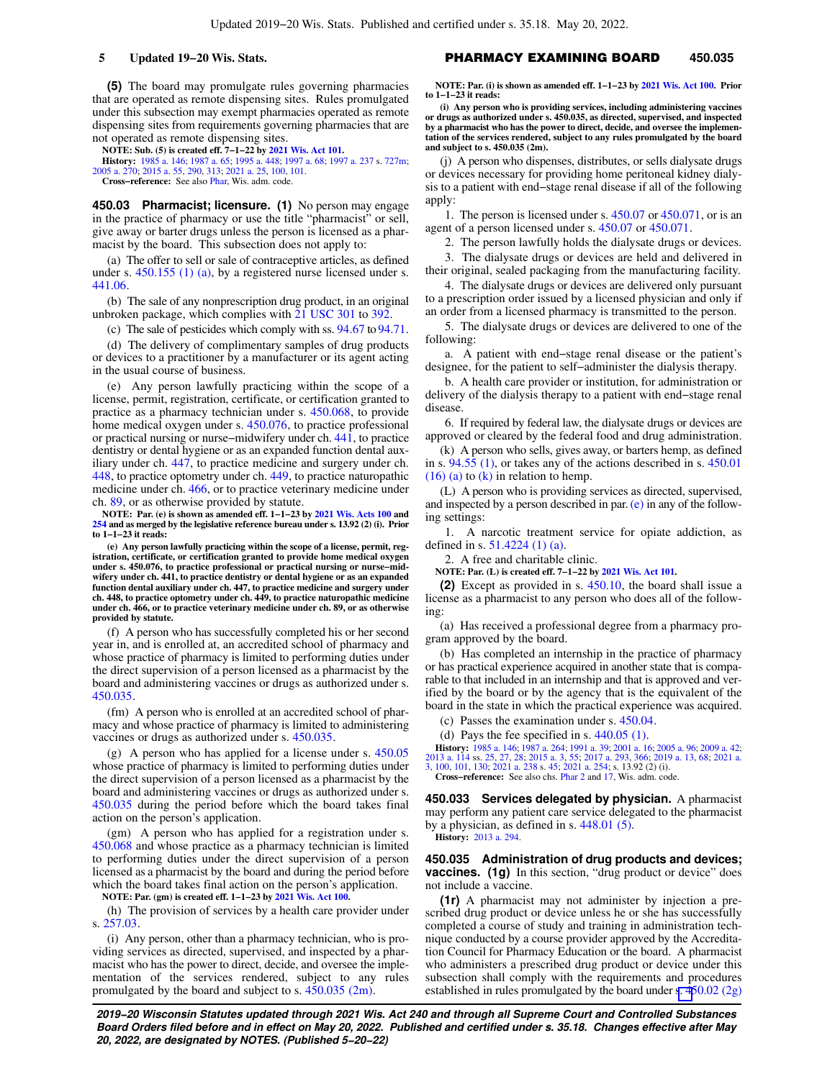**(5)** The board may promulgate rules governing pharmacies that are operated as remote dispensing sites. Rules promulgated under this subsection may exempt pharmacies operated as remote dispensing sites from requirements governing pharmacies that are not operated as remote dispensing sites.

**NOTE: Sub. (5) is created eff. 7−1−22 by [2021 Wis. Act 101.](https://docs-preview.legis.wisconsin.gov/document/acts/2021/101)**

**History:** [1985 a. 146;](https://docs-preview.legis.wisconsin.gov/document/acts/1985/146) [1987 a. 65;](https://docs-preview.legis.wisconsin.gov/document/acts/1987/65) [1995 a. 448](https://docs-preview.legis.wisconsin.gov/document/acts/1995/448); [1997 a. 68;](https://docs-preview.legis.wisconsin.gov/document/acts/1997/68) [1997 a. 237](https://docs-preview.legis.wisconsin.gov/document/acts/1997/237) s. [727m](https://docs-preview.legis.wisconsin.gov/document/acts/1997/237,%20s.%20727m); [2005 a. 270;](https://docs-preview.legis.wisconsin.gov/document/acts/2005/270) [2015 a. 55,](https://docs-preview.legis.wisconsin.gov/document/acts/2015/55) [290,](https://docs-preview.legis.wisconsin.gov/document/acts/2015/290) [313](https://docs-preview.legis.wisconsin.gov/document/acts/2015/313); [2021 a. 25](https://docs-preview.legis.wisconsin.gov/document/acts/2021/25), [100](https://docs-preview.legis.wisconsin.gov/document/acts/2021/100), [101](https://docs-preview.legis.wisconsin.gov/document/acts/2021/101). **Cross−reference:** See also [Phar,](https://docs-preview.legis.wisconsin.gov/document/administrativecode/Phar) Wis. adm. code.

**450.03 Pharmacist; licensure. (1)** No person may engage in the practice of pharmacy or use the title "pharmacist" or sell, give away or barter drugs unless the person is licensed as a pharmacist by the board. This subsection does not apply to:

(a) The offer to sell or sale of contraceptive articles, as defined under s. [450.155 \(1\) \(a\),](https://docs-preview.legis.wisconsin.gov/document/statutes/450.155(1)(a)) by a registered nurse licensed under s. [441.06.](https://docs-preview.legis.wisconsin.gov/document/statutes/441.06)

(b) The sale of any nonprescription drug product, in an original unbroken package, which complies with [21 USC 301](https://docs-preview.legis.wisconsin.gov/document/usc/21%20USC%20301) to [392](https://docs-preview.legis.wisconsin.gov/document/usc/21%20USC%20392).

(c) The sale of pesticides which comply with ss. [94.67](https://docs-preview.legis.wisconsin.gov/document/statutes/94.67) to [94.71.](https://docs-preview.legis.wisconsin.gov/document/statutes/94.71)

(d) The delivery of complimentary samples of drug products or devices to a practitioner by a manufacturer or its agent acting in the usual course of business.

(e) Any person lawfully practicing within the scope of a license, permit, registration, certificate, or certification granted to practice as a pharmacy technician under s. [450.068](https://docs-preview.legis.wisconsin.gov/document/statutes/450.068), to provide home medical oxygen under s. [450.076,](https://docs-preview.legis.wisconsin.gov/document/statutes/450.076) to practice professional or practical nursing or nurse−midwifery under ch. [441,](https://docs-preview.legis.wisconsin.gov/document/statutes/ch.%20441) to practice dentistry or dental hygiene or as an expanded function dental auxiliary under ch. [447,](https://docs-preview.legis.wisconsin.gov/document/statutes/ch.%20447) to practice medicine and surgery under ch. [448](https://docs-preview.legis.wisconsin.gov/document/statutes/ch.%20448), to practice optometry under ch. [449,](https://docs-preview.legis.wisconsin.gov/document/statutes/ch.%20449) to practice naturopathic medicine under ch. [466,](https://docs-preview.legis.wisconsin.gov/document/statutes/ch.%20466) or to practice veterinary medicine under ch. [89,](https://docs-preview.legis.wisconsin.gov/document/statutes/ch.%2089) or as otherwise provided by statute.

**NOTE: Par. (e) is shown as amended eff. 1−1−23 by [2021 Wis. Acts 100](https://docs-preview.legis.wisconsin.gov/document/acts/2021/100) and [254](https://docs-preview.legis.wisconsin.gov/document/acts/2021/254) and as merged by the legislative reference bureau under s. 13.92 (2) (i). Prior to 1−1−23 it reads:**

**(e) Any person lawfully practicing within the scope of a license, permit, registration, certificate, or certification granted to provide home medical oxygen under s. 450.076, to practice professional or practical nursing or nurse−midwifery under ch. 441, to practice dentistry or dental hygiene or as an expanded function dental auxiliary under ch. 447, to practice medicine and surgery under ch. 448, to practice optometry under ch. 449, to practice naturopathic medicine under ch. 466, or to practice veterinary medicine under ch. 89, or as otherwise provided by statute.**

(f) A person who has successfully completed his or her second year in, and is enrolled at, an accredited school of pharmacy and whose practice of pharmacy is limited to performing duties under the direct supervision of a person licensed as a pharmacist by the board and administering vaccines or drugs as authorized under s. [450.035](https://docs-preview.legis.wisconsin.gov/document/statutes/450.035).

(fm) A person who is enrolled at an accredited school of pharmacy and whose practice of pharmacy is limited to administering vaccines or drugs as authorized under s. [450.035](https://docs-preview.legis.wisconsin.gov/document/statutes/450.035).

(g) A person who has applied for a license under s. [450.05](https://docs-preview.legis.wisconsin.gov/document/statutes/450.05) whose practice of pharmacy is limited to performing duties under the direct supervision of a person licensed as a pharmacist by the board and administering vaccines or drugs as authorized under s. [450.035](https://docs-preview.legis.wisconsin.gov/document/statutes/450.035) during the period before which the board takes final action on the person's application.

(gm) A person who has applied for a registration under s. [450.068](https://docs-preview.legis.wisconsin.gov/document/statutes/450.068) and whose practice as a pharmacy technician is limited to performing duties under the direct supervision of a person licensed as a pharmacist by the board and during the period before which the board takes final action on the person's application.

**NOTE: Par. (gm) is created eff. 1−1−23 by [2021 Wis. Act 100](https://docs-preview.legis.wisconsin.gov/document/acts/2021/100).**

(h) The provision of services by a health care provider under s. [257.03.](https://docs-preview.legis.wisconsin.gov/document/statutes/257.03)

(i) Any person, other than a pharmacy technician, who is providing services as directed, supervised, and inspected by a pharmacist who has the power to direct, decide, and oversee the implementation of the services rendered, subject to any rules promulgated by the board and subject to s. [450.035 \(2m\)](https://docs-preview.legis.wisconsin.gov/document/statutes/450.035(2m)).

# **5 Updated 19−20 Wis. Stats.** PHARMACY EXAMINING BOARD **450.035**

**NOTE: Par. (i) is shown as amended eff. 1−1−23 by [2021 Wis. Act 100](https://docs-preview.legis.wisconsin.gov/document/acts/2021/100). Prior to 1−1−23 it reads:**

**(i) Any person who is providing services, including administering vaccines or drugs as authorized under s. 450.035, as directed, supervised, and inspected by a pharmacist who has the power to direct, decide, and oversee the implementation of the services rendered, subject to any rules promulgated by the board and subject to s. 450.035 (2m).**

(j) A person who dispenses, distributes, or sells dialysate drugs or devices necessary for providing home peritoneal kidney dialysis to a patient with end−stage renal disease if all of the following apply:

1. The person is licensed under s. [450.07](https://docs-preview.legis.wisconsin.gov/document/statutes/450.07) or [450.071](https://docs-preview.legis.wisconsin.gov/document/statutes/450.071), or is an agent of a person licensed under s. [450.07](https://docs-preview.legis.wisconsin.gov/document/statutes/450.07) or [450.071.](https://docs-preview.legis.wisconsin.gov/document/statutes/450.071)

2. The person lawfully holds the dialysate drugs or devices.

3. The dialysate drugs or devices are held and delivered in their original, sealed packaging from the manufacturing facility.

4. The dialysate drugs or devices are delivered only pursuant to a prescription order issued by a licensed physician and only if an order from a licensed pharmacy is transmitted to the person.

5. The dialysate drugs or devices are delivered to one of the following:

a. A patient with end−stage renal disease or the patient's designee, for the patient to self−administer the dialysis therapy.

b. A health care provider or institution, for administration or delivery of the dialysis therapy to a patient with end−stage renal disease.

6. If required by federal law, the dialysate drugs or devices are approved or cleared by the federal food and drug administration.

(k) A person who sells, gives away, or barters hemp, as defined in s. [94.55 \(1\),](https://docs-preview.legis.wisconsin.gov/document/statutes/94.55(1)) or takes any of the actions described in s. [450.01](https://docs-preview.legis.wisconsin.gov/document/statutes/450.01(16)(a))  $(16)$  (a) to [\(k\)](https://docs-preview.legis.wisconsin.gov/document/statutes/450.01(16)(k)) in relation to hemp.

(L) A person who is providing services as directed, supervised, and inspected by a person described in par.  $(e)$  in any of the following settings:

1. A narcotic treatment service for opiate addiction, as defined in s. [51.4224 \(1\) \(a\)](https://docs-preview.legis.wisconsin.gov/document/statutes/51.4224(1)(a)).

2. A free and charitable clinic.

**NOTE: Par. (L) is created eff. 7−1−22 by [2021 Wis. Act 101.](https://docs-preview.legis.wisconsin.gov/document/acts/2021/101)**

**(2)** Except as provided in s. [450.10,](https://docs-preview.legis.wisconsin.gov/document/statutes/450.10) the board shall issue a license as a pharmacist to any person who does all of the following:

(a) Has received a professional degree from a pharmacy program approved by the board.

(b) Has completed an internship in the practice of pharmacy or has practical experience acquired in another state that is comparable to that included in an internship and that is approved and verified by the board or by the agency that is the equivalent of the board in the state in which the practical experience was acquired.

(c) Passes the examination under s. [450.04](https://docs-preview.legis.wisconsin.gov/document/statutes/450.04).

(d) Pays the fee specified in s.  $440.05$  (1).

**History:** [1985 a. 146;](https://docs-preview.legis.wisconsin.gov/document/acts/1985/146) [1987 a. 264](https://docs-preview.legis.wisconsin.gov/document/acts/1987/264); [1991 a. 39](https://docs-preview.legis.wisconsin.gov/document/acts/1991/39); [2001 a. 16](https://docs-preview.legis.wisconsin.gov/document/acts/2001/16); [2005 a. 96](https://docs-preview.legis.wisconsin.gov/document/acts/2005/96); [2009 a. 42](https://docs-preview.legis.wisconsin.gov/document/acts/2009/42);<br>[2013 a. 114](https://docs-preview.legis.wisconsin.gov/document/acts/2013/114) ss. [25,](https://docs-preview.legis.wisconsin.gov/document/acts/2013/114,%20s.%2025) [27](https://docs-preview.legis.wisconsin.gov/document/acts/2013/114,%20s.%2027), [28](https://docs-preview.legis.wisconsin.gov/document/acts/2013/114,%20s.%2028); [2015 a. 3,](https://docs-preview.legis.wisconsin.gov/document/acts/2015/3) [55;](https://docs-preview.legis.wisconsin.gov/document/acts/2015/55) [2017 a. 293,](https://docs-preview.legis.wisconsin.gov/document/acts/2017/293) [366;](https://docs-preview.legis.wisconsin.gov/document/acts/2017/366) [2019 a. 13](https://docs-preview.legis.wisconsin.gov/document/acts/2019/13), [68;](https://docs-preview.legis.wisconsin.gov/document/acts/2019/68) [2021 a.](https://docs-preview.legis.wisconsin.gov/document/acts/2021/3)<br>[3](https://docs-preview.legis.wisconsin.gov/document/acts/2021/3), [100,](https://docs-preview.legis.wisconsin.gov/document/acts/2021/100) [101,](https://docs-preview.legis.wisconsin.gov/document/acts/2021/101) [130;](https://docs-preview.legis.wisconsin.gov/document/acts/2021/130) [2021 a. 238](https://docs-preview.legis.wisconsin.gov/document/acts/2021/238) s. [45](https://docs-preview.legis.wisconsin.gov/document/acts/2021/238,%20s.%2045); [2021 a. 254](https://docs-preview.legis.wisconsin.gov/document/acts/2021/254); s. **Cross−reference:** See also chs. [Phar 2](https://docs-preview.legis.wisconsin.gov/document/administrativecode/ch.%20Phar%202) and [17,](https://docs-preview.legis.wisconsin.gov/document/administrativecode/ch.%20Phar%2017) Wis. adm. code.

**450.033 Services delegated by physician.** A pharmacist may perform any patient care service delegated to the pharmacist by a physician, as defined in s. [448.01 \(5\)](https://docs-preview.legis.wisconsin.gov/document/statutes/448.01(5)). **History:** [2013 a. 294.](https://docs-preview.legis.wisconsin.gov/document/acts/2013/294)

**450.035 Administration of drug products and devices; vaccines.** (1g) In this section, "drug product or device" does

not include a vaccine. **(1r)** A pharmacist may not administer by injection a prescribed drug product or device unless he or she has successfully completed a course of study and training in administration technique conducted by a course provider approved by the Accreditation Council for Pharmacy Education or the board. A pharmacist who administers a prescribed drug product or device under this subsection shall comply with the requirements and procedures

established in rules promulgated by the board under [s. 45](https://docs-preview.legis.wisconsin.gov/document/statutes/450.02(2g)(b))0.02 (2g)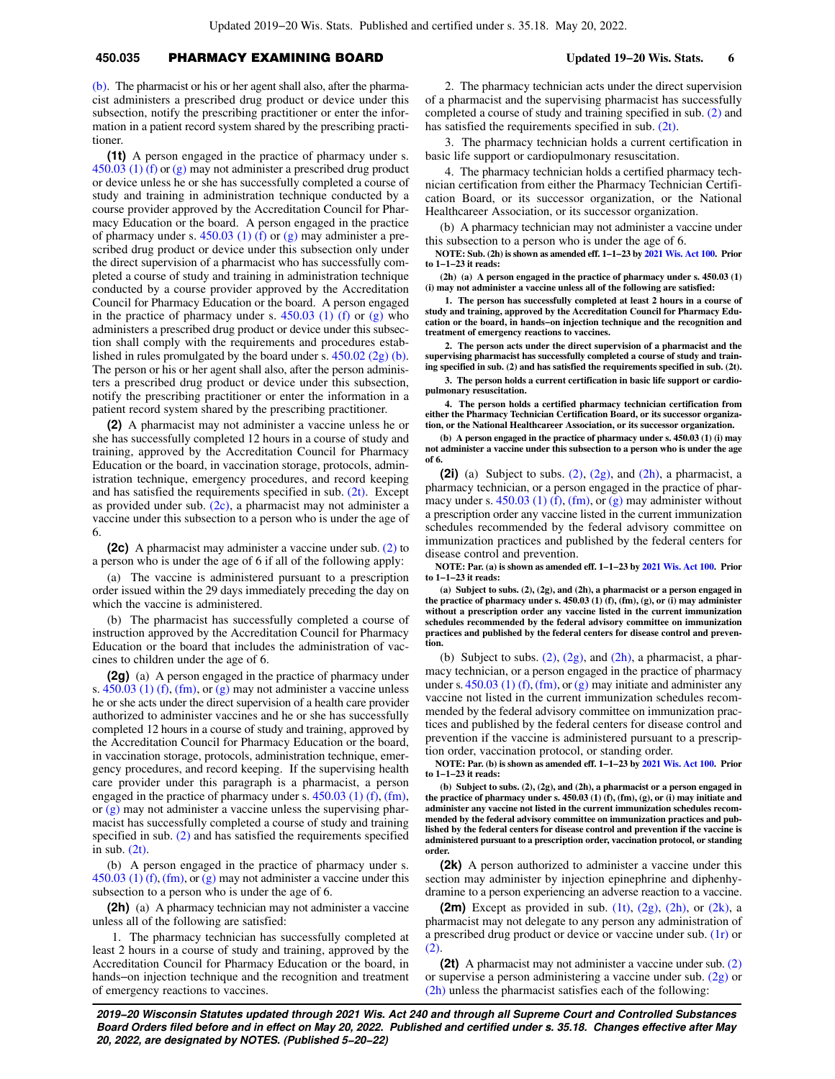# **450.035** PHARMACY EXAMINING BOARD **Updated 19−20 Wis. Stats. 6**

[\(b\)](https://docs-preview.legis.wisconsin.gov/document/statutes/450.02(2g)(b)). The pharmacist or his or her agent shall also, after the pharmacist administers a prescribed drug product or device under this subsection, notify the prescribing practitioner or enter the information in a patient record system shared by the prescribing practitioner.

**(1t)** A person engaged in the practice of pharmacy under s.  $450.03$  (1) (f) or [\(g\)](https://docs-preview.legis.wisconsin.gov/document/statutes/450.03(1)(g)) may not administer a prescribed drug product or device unless he or she has successfully completed a course of study and training in administration technique conducted by a course provider approved by the Accreditation Council for Pharmacy Education or the board. A person engaged in the practice of pharmacy under s.  $450.03$  (1) (f) or [\(g\)](https://docs-preview.legis.wisconsin.gov/document/statutes/450.03(1)(g)) may administer a prescribed drug product or device under this subsection only under the direct supervision of a pharmacist who has successfully completed a course of study and training in administration technique conducted by a course provider approved by the Accreditation Council for Pharmacy Education or the board. A person engaged in the practice of pharmacy under s.  $450.03$  (1) (f) or [\(g\)](https://docs-preview.legis.wisconsin.gov/document/statutes/450.03(1)(g)) who administers a prescribed drug product or device under this subsection shall comply with the requirements and procedures established in rules promulgated by the board under s.  $450.02$  (2g) (b). The person or his or her agent shall also, after the person administers a prescribed drug product or device under this subsection, notify the prescribing practitioner or enter the information in a patient record system shared by the prescribing practitioner.

**(2)** A pharmacist may not administer a vaccine unless he or she has successfully completed 12 hours in a course of study and training, approved by the Accreditation Council for Pharmacy Education or the board, in vaccination storage, protocols, administration technique, emergency procedures, and record keeping and has satisfied the requirements specified in sub.  $(2t)$ . Except as provided under sub.  $(2c)$ , a pharmacist may not administer a vaccine under this subsection to a person who is under the age of 6.

**(2c)** A pharmacist may administer a vaccine under sub. [\(2\)](https://docs-preview.legis.wisconsin.gov/document/statutes/450.035(2)) to a person who is under the age of 6 if all of the following apply:

(a) The vaccine is administered pursuant to a prescription order issued within the 29 days immediately preceding the day on which the vaccine is administered.

(b) The pharmacist has successfully completed a course of instruction approved by the Accreditation Council for Pharmacy Education or the board that includes the administration of vaccines to children under the age of 6.

**(2g)** (a) A person engaged in the practice of pharmacy under s. [450.03 \(1\) \(f\),](https://docs-preview.legis.wisconsin.gov/document/statutes/450.03(1)(f)) [\(fm\)](https://docs-preview.legis.wisconsin.gov/document/statutes/450.03(1)(fm)), or [\(g\)](https://docs-preview.legis.wisconsin.gov/document/statutes/450.03(1)(g)) may not administer a vaccine unless he or she acts under the direct supervision of a health care provider authorized to administer vaccines and he or she has successfully completed 12 hours in a course of study and training, approved by the Accreditation Council for Pharmacy Education or the board, in vaccination storage, protocols, administration technique, emergency procedures, and record keeping. If the supervising health care provider under this paragraph is a pharmacist, a person engaged in the practice of pharmacy under s. [450.03 \(1\) \(f\),](https://docs-preview.legis.wisconsin.gov/document/statutes/450.03(1)(f)) [\(fm\),](https://docs-preview.legis.wisconsin.gov/document/statutes/450.03(1)(fm)) or [\(g\)](https://docs-preview.legis.wisconsin.gov/document/statutes/450.03(1)(g)) may not administer a vaccine unless the supervising pharmacist has successfully completed a course of study and training specified in sub. [\(2\)](https://docs-preview.legis.wisconsin.gov/document/statutes/450.035(2)) and has satisfied the requirements specified in sub. [\(2t\)](https://docs-preview.legis.wisconsin.gov/document/statutes/450.035(2t)).

(b) A person engaged in the practice of pharmacy under s.  $450.03$  (1) (f), [\(fm\)](https://docs-preview.legis.wisconsin.gov/document/statutes/450.03(1)(fm)), or [\(g\)](https://docs-preview.legis.wisconsin.gov/document/statutes/450.03(1)(g)) may not administer a vaccine under this subsection to a person who is under the age of 6.

**(2h)** (a) A pharmacy technician may not administer a vaccine unless all of the following are satisfied:

1. The pharmacy technician has successfully completed at least 2 hours in a course of study and training, approved by the Accreditation Council for Pharmacy Education or the board, in hands−on injection technique and the recognition and treatment of emergency reactions to vaccines.

2. The pharmacy technician acts under the direct supervision of a pharmacist and the supervising pharmacist has successfully completed a course of study and training specified in sub. [\(2\)](https://docs-preview.legis.wisconsin.gov/document/statutes/450.035(2)) and has satisfied the requirements specified in sub. [\(2t\).](https://docs-preview.legis.wisconsin.gov/document/statutes/450.035(2t))

3. The pharmacy technician holds a current certification in basic life support or cardiopulmonary resuscitation.

4. The pharmacy technician holds a certified pharmacy technician certification from either the Pharmacy Technician Certification Board, or its successor organization, or the National Healthcareer Association, or its successor organization.

(b) A pharmacy technician may not administer a vaccine under this subsection to a person who is under the age of 6.

**NOTE: Sub. (2h) is shown as amended eff. 1−1−23 by [2021 Wis. Act 100](https://docs-preview.legis.wisconsin.gov/document/acts/2021/100). Prior to 1−1−23 it reads:**

**(2h) (a) A person engaged in the practice of pharmacy under s. 450.03 (1) (i) may not administer a vaccine unless all of the following are satisfied:**

**1. The person has successfully completed at least 2 hours in a course of study and training, approved by the Accreditation Council for Pharmacy Education or the board, in hands−on injection technique and the recognition and treatment of emergency reactions to vaccines.**

**2. The person acts under the direct supervision of a pharmacist and the supervising pharmacist has successfully completed a course of study and training specified in sub. (2) and has satisfied the requirements specified in sub. (2t).**

**3. The person holds a current certification in basic life support or cardiopulmonary resuscitation.**

**4. The person holds a certified pharmacy technician certification from either the Pharmacy Technician Certification Board, or its successor organization, or the National Healthcareer Association, or its successor organization.**

**(b) A person engaged in the practice of pharmacy under s. 450.03 (1) (i) may not administer a vaccine under this subsection to a person who is under the age of 6.**

**(2i)** (a) Subject to subs.  $(2)$ ,  $(2g)$ , and  $(2h)$ , a pharmacist, a pharmacy technician, or a person engaged in the practice of pharmacy under s.  $450.03$  (1) (f), [\(fm\),](https://docs-preview.legis.wisconsin.gov/document/statutes/450.03(1)(fm)) or [\(g\)](https://docs-preview.legis.wisconsin.gov/document/statutes/450.03(1)(g)) may administer without a prescription order any vaccine listed in the current immunization schedules recommended by the federal advisory committee on immunization practices and published by the federal centers for disease control and prevention.

**NOTE: Par. (a) is shown as amended eff. 1−1−23 by [2021 Wis. Act 100.](https://docs-preview.legis.wisconsin.gov/document/acts/2021/100) Prior to 1−1−23 it reads:**

**(a) Subject to subs. (2), (2g), and (2h), a pharmacist or a person engaged in the practice of pharmacy under s. 450.03 (1) (f), (fm), (g), or (i) may administer without a prescription order any vaccine listed in the current immunization schedules recommended by the federal advisory committee on immunization practices and published by the federal centers for disease control and prevention.**

(b) Subject to subs.  $(2)$ ,  $(2g)$ , and  $(2h)$ , a pharmacist, a pharmacy technician, or a person engaged in the practice of pharmacy under s.  $450.03$  (1) (f), [\(fm\),](https://docs-preview.legis.wisconsin.gov/document/statutes/450.03(1)(fm)) or [\(g\)](https://docs-preview.legis.wisconsin.gov/document/statutes/450.03(1)(g)) may initiate and administer any vaccine not listed in the current immunization schedules recommended by the federal advisory committee on immunization practices and published by the federal centers for disease control and prevention if the vaccine is administered pursuant to a prescription order, vaccination protocol, or standing order.

**NOTE: Par. (b) is shown as amended eff. 1−1−23 by [2021 Wis. Act 100.](https://docs-preview.legis.wisconsin.gov/document/acts/2021/100) Prior to 1−1−23 it reads:**

**(b) Subject to subs. (2), (2g), and (2h), a pharmacist or a person engaged in the practice of pharmacy under s. 450.03 (1) (f), (fm), (g), or (i) may initiate and administer any vaccine not listed in the current immunization schedules recommended by the federal advisory committee on immunization practices and published by the federal centers for disease control and prevention if the vaccine is administered pursuant to a prescription order, vaccination protocol, or standing order.**

**(2k)** A person authorized to administer a vaccine under this section may administer by injection epinephrine and diphenhydramine to a person experiencing an adverse reaction to a vaccine.

**(2m)** Except as provided in sub. [\(1t\)](https://docs-preview.legis.wisconsin.gov/document/statutes/450.035(1t)), [\(2g\),](https://docs-preview.legis.wisconsin.gov/document/statutes/450.035(2g)) [\(2h\)](https://docs-preview.legis.wisconsin.gov/document/statutes/450.035(2h)), or [\(2k\),](https://docs-preview.legis.wisconsin.gov/document/statutes/450.035(2k)) a pharmacist may not delegate to any person any administration of a prescribed drug product or device or vaccine under sub. [\(1r\)](https://docs-preview.legis.wisconsin.gov/document/statutes/450.035(1r)) or [\(2\).](https://docs-preview.legis.wisconsin.gov/document/statutes/450.035(2))

**(2t)** A pharmacist may not administer a vaccine under sub. [\(2\)](https://docs-preview.legis.wisconsin.gov/document/statutes/450.035(2)) or supervise a person administering a vaccine under sub. [\(2g\)](https://docs-preview.legis.wisconsin.gov/document/statutes/450.035(2g)) or [\(2h\)](https://docs-preview.legis.wisconsin.gov/document/statutes/450.035(2h)) unless the pharmacist satisfies each of the following: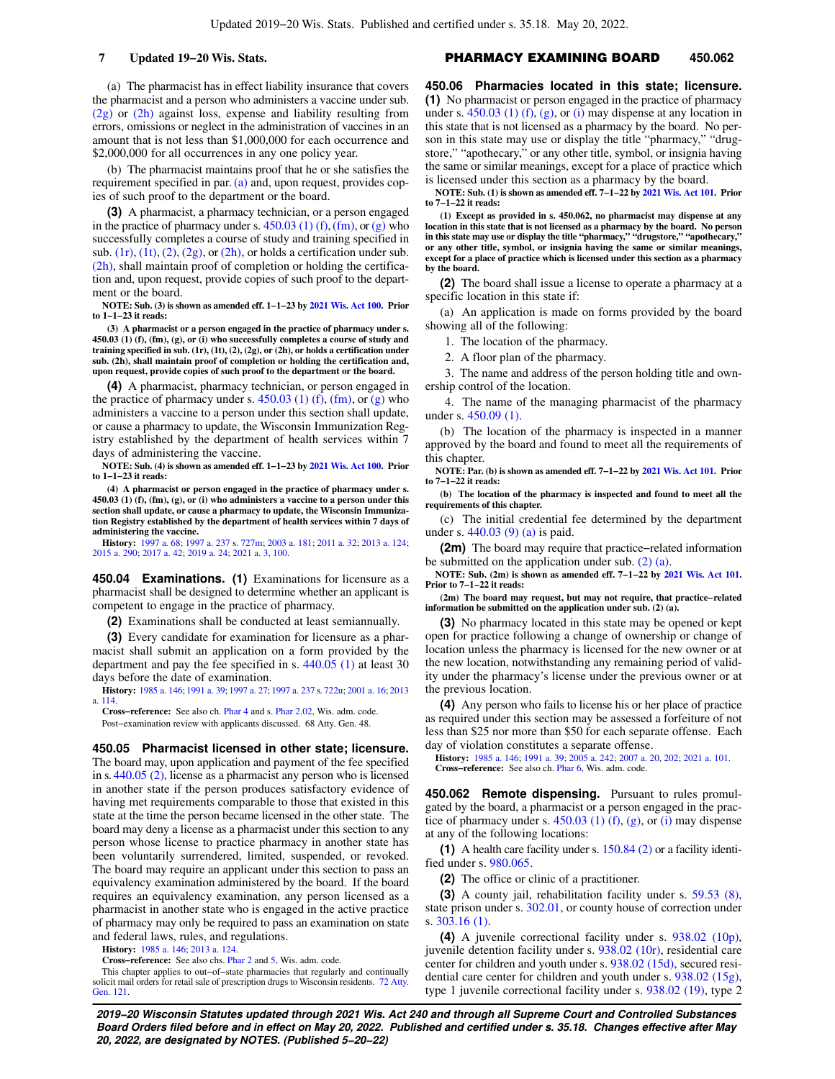(a) The pharmacist has in effect liability insurance that covers the pharmacist and a person who administers a vaccine under sub. [\(2g\)](https://docs-preview.legis.wisconsin.gov/document/statutes/450.035(2g)) or [\(2h\)](https://docs-preview.legis.wisconsin.gov/document/statutes/450.035(2h)) against loss, expense and liability resulting from errors, omissions or neglect in the administration of vaccines in an amount that is not less than \$1,000,000 for each occurrence and \$2,000,000 for all occurrences in any one policy year.

(b) The pharmacist maintains proof that he or she satisfies the requirement specified in par. [\(a\)](https://docs-preview.legis.wisconsin.gov/document/statutes/450.035(2t)(a)) and, upon request, provides copies of such proof to the department or the board.

**(3)** A pharmacist, a pharmacy technician, or a person engaged in the practice of pharmacy under s.  $450.03$  (1) (f), [\(fm\)](https://docs-preview.legis.wisconsin.gov/document/statutes/450.03(1)(fm)), or [\(g\)](https://docs-preview.legis.wisconsin.gov/document/statutes/450.03(1)(g)) who successfully completes a course of study and training specified in sub.  $(1r)$ ,  $(1t)$ ,  $(2)$ ,  $(2g)$ , or  $(2h)$ , or holds a certification under sub. [\(2h\),](https://docs-preview.legis.wisconsin.gov/document/statutes/450.035(2h)) shall maintain proof of completion or holding the certification and, upon request, provide copies of such proof to the department or the board.

**NOTE: Sub. (3) is shown as amended eff. 1−1−23 by [2021 Wis. Act 100.](https://docs-preview.legis.wisconsin.gov/document/acts/2021/100) Prior to 1−1−23 it reads:**

**(3) A pharmacist or a person engaged in the practice of pharmacy under s. 450.03 (1) (f), (fm), (g), or (i) who successfully completes a course of study and training specified in sub. (1r), (1t), (2), (2g), or (2h), or holds a certification under sub. (2h), shall maintain proof of completion or holding the certification and, upon request, provide copies of such proof to the department or the board.**

**(4)** A pharmacist, pharmacy technician, or person engaged in the practice of pharmacy under s.  $450.03$  (1) (f), [\(fm\)](https://docs-preview.legis.wisconsin.gov/document/statutes/450.03(1)(fm)), or [\(g\)](https://docs-preview.legis.wisconsin.gov/document/statutes/450.03(1)(g)) who administers a vaccine to a person under this section shall update, or cause a pharmacy to update, the Wisconsin Immunization Registry established by the department of health services within 7 days of administering the vaccine.

**NOTE: Sub. (4) is shown as amended eff. 1−1−23 by [2021 Wis. Act 100.](https://docs-preview.legis.wisconsin.gov/document/acts/2021/100) Prior to 1−1−23 it reads:**

**(4) A pharmacist or person engaged in the practice of pharmacy under s. 450.03 (1) (f), (fm), (g), or (i) who administers a vaccine to a person under this section shall update, or cause a pharmacy to update, the Wisconsin Immunization Registry established by the department of health services within 7 days of administering the vaccine.**

**History:** [1997 a. 68](https://docs-preview.legis.wisconsin.gov/document/acts/1997/68); [1997 a. 237](https://docs-preview.legis.wisconsin.gov/document/acts/1997/237) s. [727m;](https://docs-preview.legis.wisconsin.gov/document/acts/1997/237,%20s.%20727m) [2003 a. 181](https://docs-preview.legis.wisconsin.gov/document/acts/2003/181); [2011 a. 32;](https://docs-preview.legis.wisconsin.gov/document/acts/2011/32) [2013 a. 124](https://docs-preview.legis.wisconsin.gov/document/acts/2013/124); [2015 a. 290;](https://docs-preview.legis.wisconsin.gov/document/acts/2015/290) [2017 a. 42;](https://docs-preview.legis.wisconsin.gov/document/acts/2017/42) [2019 a. 24](https://docs-preview.legis.wisconsin.gov/document/acts/2019/24); [2021 a. 3,](https://docs-preview.legis.wisconsin.gov/document/acts/2021/3) [100.](https://docs-preview.legis.wisconsin.gov/document/acts/2021/100)

**450.04 Examinations. (1)** Examinations for licensure as a pharmacist shall be designed to determine whether an applicant is competent to engage in the practice of pharmacy.

**(2)** Examinations shall be conducted at least semiannually.

**(3)** Every candidate for examination for licensure as a pharmacist shall submit an application on a form provided by the department and pay the fee specified in s. [440.05 \(1\)](https://docs-preview.legis.wisconsin.gov/document/statutes/440.05(1)) at least 30 days before the date of examination.

**History:** [1985 a. 146;](https://docs-preview.legis.wisconsin.gov/document/acts/1985/146) [1991 a. 39](https://docs-preview.legis.wisconsin.gov/document/acts/1991/39); [1997 a. 27](https://docs-preview.legis.wisconsin.gov/document/acts/1997/27); [1997 a. 237](https://docs-preview.legis.wisconsin.gov/document/acts/1997/237) s. [722u;](https://docs-preview.legis.wisconsin.gov/document/acts/1997/237,%20s.%20722u) [2001 a. 16;](https://docs-preview.legis.wisconsin.gov/document/acts/2001/16) [2013](https://docs-preview.legis.wisconsin.gov/document/acts/2013/114) [a. 114.](https://docs-preview.legis.wisconsin.gov/document/acts/2013/114)

**Cross−reference:** See also ch. [Phar 4](https://docs-preview.legis.wisconsin.gov/document/administrativecode/ch.%20Phar%204) and s. [Phar 2.02,](https://docs-preview.legis.wisconsin.gov/document/administrativecode/Phar%202.02) Wis. adm. code.

Post−examination review with applicants discussed. 68 Atty. Gen. 48.

**450.05 Pharmacist licensed in other state; licensure.** The board may, upon application and payment of the fee specified in s. [440.05 \(2\)](https://docs-preview.legis.wisconsin.gov/document/statutes/440.05(2)), license as a pharmacist any person who is licensed in another state if the person produces satisfactory evidence of having met requirements comparable to those that existed in this state at the time the person became licensed in the other state. The board may deny a license as a pharmacist under this section to any person whose license to practice pharmacy in another state has been voluntarily surrendered, limited, suspended, or revoked. The board may require an applicant under this section to pass an equivalency examination administered by the board. If the board requires an equivalency examination, any person licensed as a pharmacist in another state who is engaged in the active practice of pharmacy may only be required to pass an examination on state and federal laws, rules, and regulations.

**History:** [1985 a. 146](https://docs-preview.legis.wisconsin.gov/document/acts/1985/146); [2013 a. 124](https://docs-preview.legis.wisconsin.gov/document/acts/2013/124).

**Cross−reference:** See also chs. [Phar 2](https://docs-preview.legis.wisconsin.gov/document/administrativecode/ch.%20Phar%202) and [5](https://docs-preview.legis.wisconsin.gov/document/administrativecode/ch.%20Phar%205), Wis. adm. code.

This chapter applies to out–of–state pharmacies that regularly and continually solicit mail orders for retail sale of prescription drugs to Wisconsin residents. [72 Atty.](https://docs-preview.legis.wisconsin.gov/document/oag/vol72-121) [Gen. 121](https://docs-preview.legis.wisconsin.gov/document/oag/vol72-121).

### **7 Updated 19−20 Wis. Stats. PHARMACY EXAMINING BOARD** 450.062

**450.06 Pharmacies located in this state; licensure. (1)** No pharmacist or person engaged in the practice of pharmacy under s.  $450.03$  (1) (f), [\(g\)](https://docs-preview.legis.wisconsin.gov/document/statutes/450.03(1)(g)), or [\(i\)](https://docs-preview.legis.wisconsin.gov/document/statutes/450.03(1)(i)) may dispense at any location in this state that is not licensed as a pharmacy by the board. No person in this state may use or display the title "pharmacy," "drugstore," "apothecary," or any other title, symbol, or insignia having the same or similar meanings, except for a place of practice which is licensed under this section as a pharmacy by the board.

**NOTE: Sub. (1) is shown as amended eff. 7−1−22 by [2021 Wis. Act 101.](https://docs-preview.legis.wisconsin.gov/document/acts/2021/101) Prior to 7−1−22 it reads:**

**(1) Except as provided in s. 450.062, no pharmacist may dispense at any location in this state that is not licensed as a pharmacy by the board. No person in this state may use or display the title "pharmacy," "drugstore," "apothecary," or any other title, symbol, or insignia having the same or similar meanings, except for a place of practice which is licensed under this section as a pharmacy by the board.**

**(2)** The board shall issue a license to operate a pharmacy at a specific location in this state if:

(a) An application is made on forms provided by the board showing all of the following:

1. The location of the pharmacy.

2. A floor plan of the pharmacy.

3. The name and address of the person holding title and ownership control of the location.

4. The name of the managing pharmacist of the pharmacy under s. [450.09 \(1\).](https://docs-preview.legis.wisconsin.gov/document/statutes/450.09(1))

(b) The location of the pharmacy is inspected in a manner approved by the board and found to meet all the requirements of this chapter.

**NOTE: Par. (b) is shown as amended eff. 7−1−22 by [2021 Wis. Act 101.](https://docs-preview.legis.wisconsin.gov/document/acts/2021/101) Prior to 7−1−22 it reads:**

**(b) The location of the pharmacy is inspected and found to meet all the requirements of this chapter.**

(c) The initial credential fee determined by the department under s. [440.03 \(9\) \(a\)](https://docs-preview.legis.wisconsin.gov/document/statutes/440.03(9)(a)) is paid.

**(2m)** The board may require that practice−related information be submitted on the application under sub. [\(2\) \(a\).](https://docs-preview.legis.wisconsin.gov/document/statutes/450.06(2)(a))

**NOTE: Sub. (2m) is shown as amended eff. 7−1−22 by [2021 Wis. Act 101](https://docs-preview.legis.wisconsin.gov/document/acts/2021/101). Prior to 7−1−22 it reads:**

**(2m) The board may request, but may not require, that practice−related information be submitted on the application under sub. (2) (a).**

**(3)** No pharmacy located in this state may be opened or kept open for practice following a change of ownership or change of location unless the pharmacy is licensed for the new owner or at the new location, notwithstanding any remaining period of validity under the pharmacy's license under the previous owner or at the previous location.

**(4)** Any person who fails to license his or her place of practice as required under this section may be assessed a forfeiture of not less than \$25 nor more than \$50 for each separate offense. Each day of violation constitutes a separate offense.

**History:** [1985 a. 146;](https://docs-preview.legis.wisconsin.gov/document/acts/1985/146) [1991 a. 39;](https://docs-preview.legis.wisconsin.gov/document/acts/1991/39) [2005 a. 242](https://docs-preview.legis.wisconsin.gov/document/acts/2005/242); [2007 a. 20,](https://docs-preview.legis.wisconsin.gov/document/acts/2007/20) [202;](https://docs-preview.legis.wisconsin.gov/document/acts/2007/202) [2021 a. 101](https://docs-preview.legis.wisconsin.gov/document/acts/2021/101). **Cross−reference:** See also ch. [Phar 6](https://docs-preview.legis.wisconsin.gov/document/administrativecode/ch.%20Phar%206), Wis. adm. code.

**450.062 Remote dispensing.** Pursuant to rules promulgated by the board, a pharmacist or a person engaged in the practice of pharmacy under s. [450.03 \(1\) \(f\)](https://docs-preview.legis.wisconsin.gov/document/statutes/450.03(1)(f)), [\(g\)](https://docs-preview.legis.wisconsin.gov/document/statutes/450.03(1)(g)), or [\(i\)](https://docs-preview.legis.wisconsin.gov/document/statutes/450.03(1)(i)) may dispense at any of the following locations:

**(1)** A health care facility under s. [150.84 \(2\)](https://docs-preview.legis.wisconsin.gov/document/statutes/150.84(2)) or a facility identified under s. [980.065.](https://docs-preview.legis.wisconsin.gov/document/statutes/980.065)

**(2)** The office or clinic of a practitioner.

**(3)** A county jail, rehabilitation facility under s. [59.53 \(8\),](https://docs-preview.legis.wisconsin.gov/document/statutes/59.53(8)) state prison under s.  $302.01$ , or county house of correction under s. [303.16 \(1\).](https://docs-preview.legis.wisconsin.gov/document/statutes/303.16(1))

**(4)** A juvenile correctional facility under s. [938.02 \(10p\),](https://docs-preview.legis.wisconsin.gov/document/statutes/938.02(10p)) juvenile detention facility under s. [938.02 \(10r\)](https://docs-preview.legis.wisconsin.gov/document/statutes/938.02(10r)), residential care center for children and youth under s. [938.02 \(15d\)](https://docs-preview.legis.wisconsin.gov/document/statutes/938.02(15d)), secured residential care center for children and youth under s. [938.02 \(15g\),](https://docs-preview.legis.wisconsin.gov/document/statutes/938.02(15g)) type 1 juvenile correctional facility under s. [938.02 \(19\),](https://docs-preview.legis.wisconsin.gov/document/statutes/938.02(19)) type 2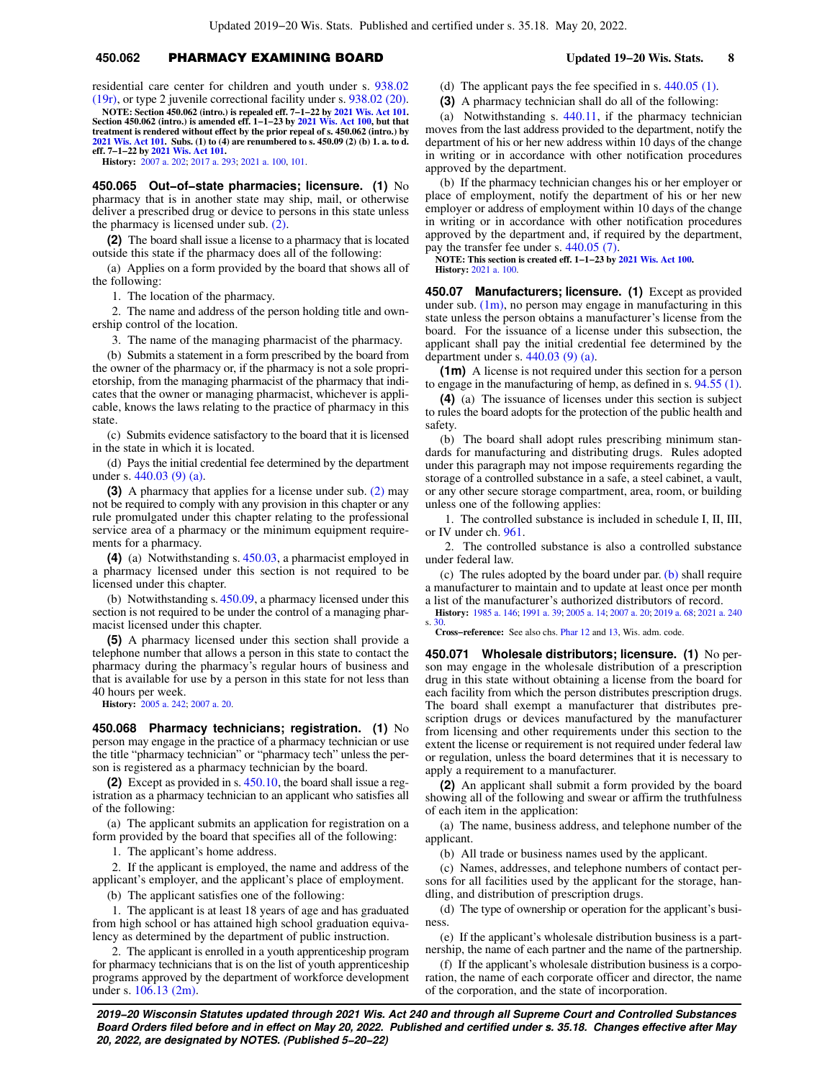# **450.062** PHARMACY EXAMINING BOARD **Updated 19−20 Wis. Stats. 8**

residential care center for children and youth under s. [938.02](https://docs-preview.legis.wisconsin.gov/document/statutes/938.02(19r)) [\(19r\),](https://docs-preview.legis.wisconsin.gov/document/statutes/938.02(19r)) or type 2 juvenile correctional facility under s. [938.02 \(20\).](https://docs-preview.legis.wisconsin.gov/document/statutes/938.02(20)) **NOTE: Section 450.062 (intro.) is repealed eff. 7−1−22 by [2021 Wis. Act 101](https://docs-preview.legis.wisconsin.gov/document/acts/2021/101). Section 450.062 (intro.) is amended eff. 1−1−23 by [2021 Wis. Act 100](https://docs-preview.legis.wisconsin.gov/document/acts/2021/100), but that**

**treatment is rendered without effect by the prior repeal of s. 450.062 (intro.) by [2021 Wis. Act 101.](https://docs-preview.legis.wisconsin.gov/document/acts/2021/101) Subs. (1) to (4) are renumbered to s. 450.09 (2) (b) 1. a. to d. eff. 7−1−22 by [2021 Wis. Act 101.](https://docs-preview.legis.wisconsin.gov/document/acts/2021/101) History:** [2007 a. 202](https://docs-preview.legis.wisconsin.gov/document/acts/2007/202); [2017 a. 293](https://docs-preview.legis.wisconsin.gov/document/acts/2017/293); [2021 a. 100,](https://docs-preview.legis.wisconsin.gov/document/acts/2021/100) [101.](https://docs-preview.legis.wisconsin.gov/document/acts/2021/101)

**450.065 Out−of−state pharmacies; licensure. (1)** No pharmacy that is in another state may ship, mail, or otherwise deliver a prescribed drug or device to persons in this state unless the pharmacy is licensed under sub. [\(2\).](https://docs-preview.legis.wisconsin.gov/document/statutes/450.065(2))

**(2)** The board shall issue a license to a pharmacy that is located outside this state if the pharmacy does all of the following:

(a) Applies on a form provided by the board that shows all of the following:

1. The location of the pharmacy.

2. The name and address of the person holding title and ownership control of the location.

3. The name of the managing pharmacist of the pharmacy.

(b) Submits a statement in a form prescribed by the board from the owner of the pharmacy or, if the pharmacy is not a sole proprietorship, from the managing pharmacist of the pharmacy that indicates that the owner or managing pharmacist, whichever is applicable, knows the laws relating to the practice of pharmacy in this state.

(c) Submits evidence satisfactory to the board that it is licensed in the state in which it is located.

(d) Pays the initial credential fee determined by the department under s. [440.03 \(9\) \(a\).](https://docs-preview.legis.wisconsin.gov/document/statutes/440.03(9)(a))

**(3)** A pharmacy that applies for a license under sub. [\(2\)](https://docs-preview.legis.wisconsin.gov/document/statutes/450.065(2)) may not be required to comply with any provision in this chapter or any rule promulgated under this chapter relating to the professional service area of a pharmacy or the minimum equipment requirements for a pharmacy.

**(4)** (a) Notwithstanding s. [450.03](https://docs-preview.legis.wisconsin.gov/document/statutes/450.03), a pharmacist employed in a pharmacy licensed under this section is not required to be licensed under this chapter.

(b) Notwithstanding s. [450.09,](https://docs-preview.legis.wisconsin.gov/document/statutes/450.09) a pharmacy licensed under this section is not required to be under the control of a managing pharmacist licensed under this chapter.

**(5)** A pharmacy licensed under this section shall provide a telephone number that allows a person in this state to contact the pharmacy during the pharmacy's regular hours of business and that is available for use by a person in this state for not less than 40 hours per week.

**History:** [2005 a. 242](https://docs-preview.legis.wisconsin.gov/document/acts/2005/242); [2007 a. 20.](https://docs-preview.legis.wisconsin.gov/document/acts/2007/20)

**450.068 Pharmacy technicians; registration. (1)** No person may engage in the practice of a pharmacy technician or use the title "pharmacy technician" or "pharmacy tech" unless the person is registered as a pharmacy technician by the board.

**(2)** Except as provided in s. [450.10,](https://docs-preview.legis.wisconsin.gov/document/statutes/450.10) the board shall issue a registration as a pharmacy technician to an applicant who satisfies all of the following:

(a) The applicant submits an application for registration on a form provided by the board that specifies all of the following:

1. The applicant's home address.

2. If the applicant is employed, the name and address of the applicant's employer, and the applicant's place of employment.

(b) The applicant satisfies one of the following:

1. The applicant is at least 18 years of age and has graduated from high school or has attained high school graduation equivalency as determined by the department of public instruction.

2. The applicant is enrolled in a youth apprenticeship program for pharmacy technicians that is on the list of youth apprenticeship programs approved by the department of workforce development under s. [106.13 \(2m\)](https://docs-preview.legis.wisconsin.gov/document/statutes/106.13(2m)).

(d) The applicant pays the fee specified in s. [440.05 \(1\)](https://docs-preview.legis.wisconsin.gov/document/statutes/440.05(1)).

**(3)** A pharmacy technician shall do all of the following:

(a) Notwithstanding s. [440.11](https://docs-preview.legis.wisconsin.gov/document/statutes/440.11), if the pharmacy technician moves from the last address provided to the department, notify the department of his or her new address within 10 days of the change in writing or in accordance with other notification procedures approved by the department.

(b) If the pharmacy technician changes his or her employer or place of employment, notify the department of his or her new employer or address of employment within 10 days of the change in writing or in accordance with other notification procedures approved by the department and, if required by the department, pay the transfer fee under s. [440.05 \(7\).](https://docs-preview.legis.wisconsin.gov/document/statutes/440.05(7))

**NOTE: This section is created eff. 1−1−23 by [2021 Wis. Act 100](https://docs-preview.legis.wisconsin.gov/document/acts/2021/100). History:** [2021 a. 100.](https://docs-preview.legis.wisconsin.gov/document/acts/2021/100)

**450.07 Manufacturers; licensure. (1)** Except as provided under sub.  $(1m)$ , no person may engage in manufacturing in this state unless the person obtains a manufacturer's license from the board. For the issuance of a license under this subsection, the applicant shall pay the initial credential fee determined by the department under s. [440.03 \(9\) \(a\).](https://docs-preview.legis.wisconsin.gov/document/statutes/440.03(9)(a))

**(1m)** A license is not required under this section for a person to engage in the manufacturing of hemp, as defined in s. [94.55 \(1\).](https://docs-preview.legis.wisconsin.gov/document/statutes/94.55(1))

**(4)** (a) The issuance of licenses under this section is subject to rules the board adopts for the protection of the public health and safety.

(b) The board shall adopt rules prescribing minimum standards for manufacturing and distributing drugs. Rules adopted under this paragraph may not impose requirements regarding the storage of a controlled substance in a safe, a steel cabinet, a vault, or any other secure storage compartment, area, room, or building unless one of the following applies:

1. The controlled substance is included in schedule I, II, III, or IV under ch. [961](https://docs-preview.legis.wisconsin.gov/document/statutes/ch.%20961).

2. The controlled substance is also a controlled substance under federal law.

(c) The rules adopted by the board under par. [\(b\)](https://docs-preview.legis.wisconsin.gov/document/statutes/450.07(4)(b)) shall require a manufacturer to maintain and to update at least once per month a list of the manufacturer's authorized distributors of record.

**History:** [1985 a. 146](https://docs-preview.legis.wisconsin.gov/document/acts/1985/146); [1991 a. 39;](https://docs-preview.legis.wisconsin.gov/document/acts/1991/39) [2005 a. 14](https://docs-preview.legis.wisconsin.gov/document/acts/2005/14); [2007 a. 20](https://docs-preview.legis.wisconsin.gov/document/acts/2007/20); [2019 a. 68;](https://docs-preview.legis.wisconsin.gov/document/acts/2019/68) [2021 a. 240](https://docs-preview.legis.wisconsin.gov/document/acts/2021/240) s. [30](https://docs-preview.legis.wisconsin.gov/document/acts/2021/240,%20s.%2030).

**Cross−reference:** See also chs. [Phar 12](https://docs-preview.legis.wisconsin.gov/document/administrativecode/ch.%20Phar%2012) and [13](https://docs-preview.legis.wisconsin.gov/document/administrativecode/ch.%20Phar%2013), Wis. adm. code.

**450.071 Wholesale distributors; licensure. (1)** No person may engage in the wholesale distribution of a prescription drug in this state without obtaining a license from the board for each facility from which the person distributes prescription drugs. The board shall exempt a manufacturer that distributes prescription drugs or devices manufactured by the manufacturer from licensing and other requirements under this section to the extent the license or requirement is not required under federal law or regulation, unless the board determines that it is necessary to apply a requirement to a manufacturer.

**(2)** An applicant shall submit a form provided by the board showing all of the following and swear or affirm the truthfulness of each item in the application:

(a) The name, business address, and telephone number of the applicant.

(b) All trade or business names used by the applicant.

(c) Names, addresses, and telephone numbers of contact persons for all facilities used by the applicant for the storage, handling, and distribution of prescription drugs.

(d) The type of ownership or operation for the applicant's business.

(e) If the applicant's wholesale distribution business is a partnership, the name of each partner and the name of the partnership.

(f) If the applicant's wholesale distribution business is a corporation, the name of each corporate officer and director, the name of the corporation, and the state of incorporation.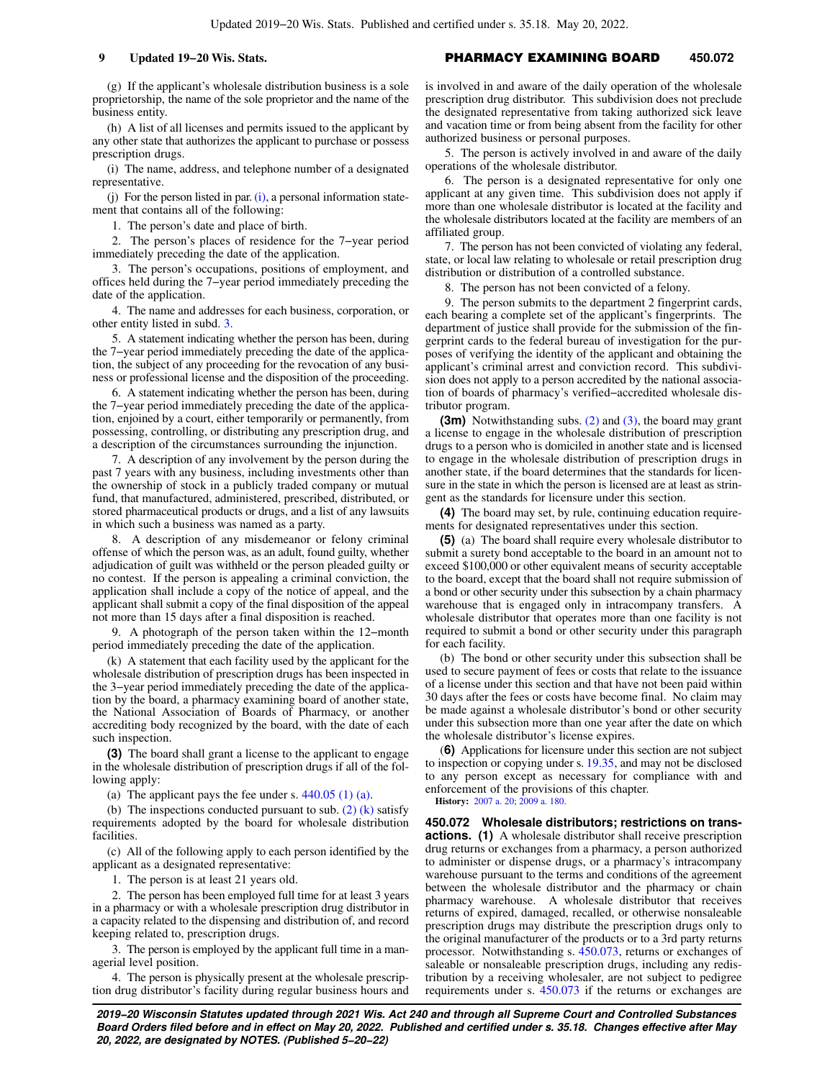(g) If the applicant's wholesale distribution business is a sole proprietorship, the name of the sole proprietor and the name of the business entity.

(h) A list of all licenses and permits issued to the applicant by any other state that authorizes the applicant to purchase or possess prescription drugs.

(i) The name, address, and telephone number of a designated representative.

[\(i\)](https://docs-preview.legis.wisconsin.gov/document/statutes/450.071(2)(i)) For the person listed in par.  $(i)$ , a personal information statement that contains all of the following:

1. The person's date and place of birth.

2. The person's places of residence for the 7−year period immediately preceding the date of the application.

3. The person's occupations, positions of employment, and offices held during the 7−year period immediately preceding the date of the application.

4. The name and addresses for each business, corporation, or other entity listed in subd. [3.](https://docs-preview.legis.wisconsin.gov/document/statutes/450.071(2)(j)3.)

5. A statement indicating whether the person has been, during the 7−year period immediately preceding the date of the application, the subject of any proceeding for the revocation of any business or professional license and the disposition of the proceeding.

6. A statement indicating whether the person has been, during the 7−year period immediately preceding the date of the application, enjoined by a court, either temporarily or permanently, from possessing, controlling, or distributing any prescription drug, and a description of the circumstances surrounding the injunction.

7. A description of any involvement by the person during the past 7 years with any business, including investments other than the ownership of stock in a publicly traded company or mutual fund, that manufactured, administered, prescribed, distributed, or stored pharmaceutical products or drugs, and a list of any lawsuits in which such a business was named as a party.

8. A description of any misdemeanor or felony criminal offense of which the person was, as an adult, found guilty, whether adjudication of guilt was withheld or the person pleaded guilty or no contest. If the person is appealing a criminal conviction, the application shall include a copy of the notice of appeal, and the applicant shall submit a copy of the final disposition of the appeal not more than 15 days after a final disposition is reached.

9. A photograph of the person taken within the 12−month period immediately preceding the date of the application.

(k) A statement that each facility used by the applicant for the wholesale distribution of prescription drugs has been inspected in the 3−year period immediately preceding the date of the application by the board, a pharmacy examining board of another state, the National Association of Boards of Pharmacy, or another accrediting body recognized by the board, with the date of each such inspection.

**(3)** The board shall grant a license to the applicant to engage in the wholesale distribution of prescription drugs if all of the following apply:

(a) The applicant pays the fee under s.  $440.05$  (1) (a).

(b) The inspections conducted pursuant to sub.  $(2)$  (k) satisfy requirements adopted by the board for wholesale distribution facilities.

(c) All of the following apply to each person identified by the applicant as a designated representative:

1. The person is at least 21 years old.

2. The person has been employed full time for at least 3 years in a pharmacy or with a wholesale prescription drug distributor in a capacity related to the dispensing and distribution of, and record keeping related to, prescription drugs.

3. The person is employed by the applicant full time in a managerial level position.

4. The person is physically present at the wholesale prescription drug distributor's facility during regular business hours and is involved in and aware of the daily operation of the wholesale prescription drug distributor. This subdivision does not preclude the designated representative from taking authorized sick leave and vacation time or from being absent from the facility for other authorized business or personal purposes.

5. The person is actively involved in and aware of the daily operations of the wholesale distributor.

6. The person is a designated representative for only one applicant at any given time. This subdivision does not apply if more than one wholesale distributor is located at the facility and the wholesale distributors located at the facility are members of an affiliated group.

7. The person has not been convicted of violating any federal, state, or local law relating to wholesale or retail prescription drug distribution or distribution of a controlled substance.

8. The person has not been convicted of a felony.

9. The person submits to the department 2 fingerprint cards, each bearing a complete set of the applicant's fingerprints. The department of justice shall provide for the submission of the fingerprint cards to the federal bureau of investigation for the purposes of verifying the identity of the applicant and obtaining the applicant's criminal arrest and conviction record. This subdivision does not apply to a person accredited by the national association of boards of pharmacy's verified−accredited wholesale distributor program.

**(3m)** Notwithstanding subs. [\(2\)](https://docs-preview.legis.wisconsin.gov/document/statutes/450.071(2)) and [\(3\),](https://docs-preview.legis.wisconsin.gov/document/statutes/450.071(3)) the board may grant a license to engage in the wholesale distribution of prescription drugs to a person who is domiciled in another state and is licensed to engage in the wholesale distribution of prescription drugs in another state, if the board determines that the standards for licensure in the state in which the person is licensed are at least as stringent as the standards for licensure under this section.

**(4)** The board may set, by rule, continuing education requirements for designated representatives under this section.

**(5)** (a) The board shall require every wholesale distributor to submit a surety bond acceptable to the board in an amount not to exceed \$100,000 or other equivalent means of security acceptable to the board, except that the board shall not require submission of a bond or other security under this subsection by a chain pharmacy warehouse that is engaged only in intracompany transfers. A wholesale distributor that operates more than one facility is not required to submit a bond or other security under this paragraph for each facility.

(b) The bond or other security under this subsection shall be used to secure payment of fees or costs that relate to the issuance of a license under this section and that have not been paid within 30 days after the fees or costs have become final. No claim may be made against a wholesale distributor's bond or other security under this subsection more than one year after the date on which the wholesale distributor's license expires.

(**6)** Applications for licensure under this section are not subject to inspection or copying under s. [19.35,](https://docs-preview.legis.wisconsin.gov/document/statutes/19.35) and may not be disclosed to any person except as necessary for compliance with and enforcement of the provisions of this chapter.

**History:** [2007 a. 20](https://docs-preview.legis.wisconsin.gov/document/acts/2007/20); [2009 a. 180.](https://docs-preview.legis.wisconsin.gov/document/acts/2009/180)

**450.072 Wholesale distributors; restrictions on transactions. (1)** A wholesale distributor shall receive prescription drug returns or exchanges from a pharmacy, a person authorized to administer or dispense drugs, or a pharmacy's intracompany warehouse pursuant to the terms and conditions of the agreement between the wholesale distributor and the pharmacy or chain pharmacy warehouse. A wholesale distributor that receives returns of expired, damaged, recalled, or otherwise nonsaleable prescription drugs may distribute the prescription drugs only to the original manufacturer of the products or to a 3rd party returns processor. Notwithstanding s. [450.073,](https://docs-preview.legis.wisconsin.gov/document/statutes/450.073) returns or exchanges of saleable or nonsaleable prescription drugs, including any redistribution by a receiving wholesaler, are not subject to pedigree requirements under s. [450.073](https://docs-preview.legis.wisconsin.gov/document/statutes/450.073) if the returns or exchanges are

**2019−20 Wisconsin Statutes updated through 2021 Wis. Act 240 and through all Supreme Court and Controlled Substances Board Orders filed before and in effect on May 20, 2022. Published and certified under s. 35.18. Changes effective after May 20, 2022, are designated by NOTES. (Published 5−20−22)**

### **9 Updated 19−20 Wis. Stats. PHARMACY EXAMINING BOARD** 450.072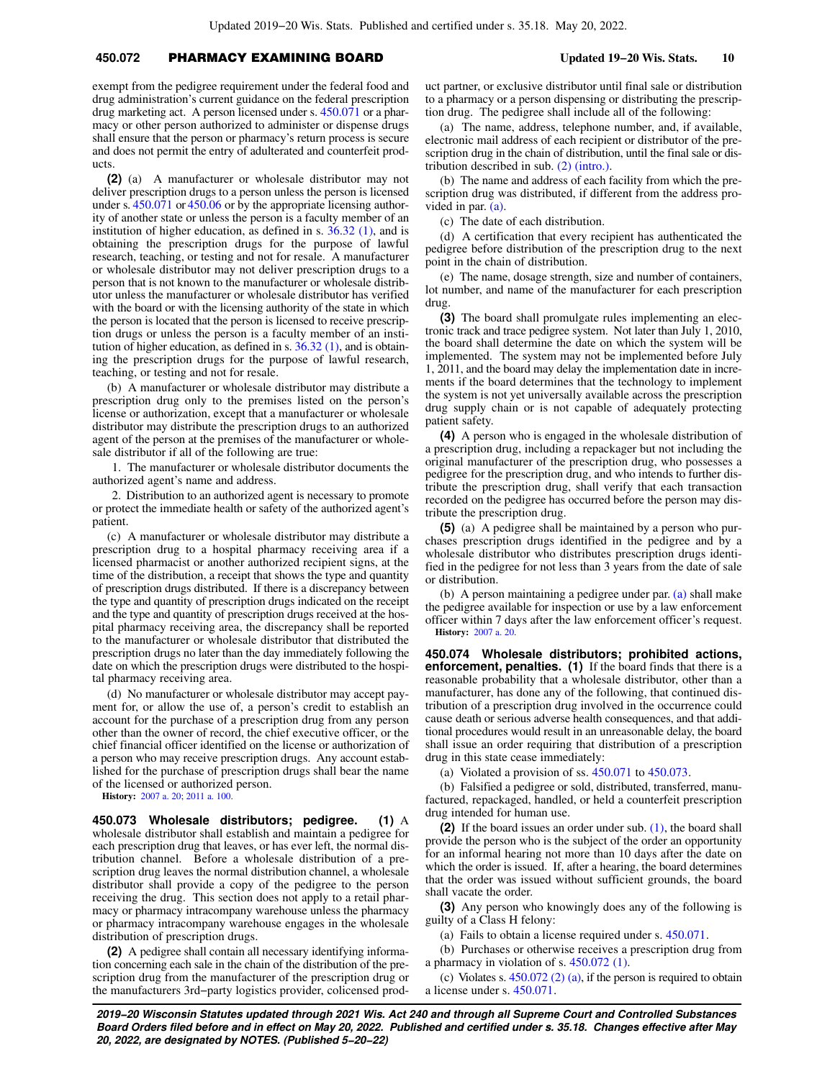# **450.072** PHARMACY EXAMINING BOARD **Updated 19−20 Wis. Stats. 10**

exempt from the pedigree requirement under the federal food and drug administration's current guidance on the federal prescription drug marketing act. A person licensed under s. [450.071](https://docs-preview.legis.wisconsin.gov/document/statutes/450.071) or a pharmacy or other person authorized to administer or dispense drugs shall ensure that the person or pharmacy's return process is secure and does not permit the entry of adulterated and counterfeit products.

**(2)** (a) A manufacturer or wholesale distributor may not deliver prescription drugs to a person unless the person is licensed under s. [450.071](https://docs-preview.legis.wisconsin.gov/document/statutes/450.071) or [450.06](https://docs-preview.legis.wisconsin.gov/document/statutes/450.06) or by the appropriate licensing authority of another state or unless the person is a faculty member of an institution of higher education, as defined in s. [36.32 \(1\),](https://docs-preview.legis.wisconsin.gov/document/statutes/36.32(1)) and is obtaining the prescription drugs for the purpose of lawful research, teaching, or testing and not for resale. A manufacturer or wholesale distributor may not deliver prescription drugs to a person that is not known to the manufacturer or wholesale distributor unless the manufacturer or wholesale distributor has verified with the board or with the licensing authority of the state in which the person is located that the person is licensed to receive prescription drugs or unless the person is a faculty member of an institution of higher education, as defined in s.  $36.32$  (1), and is obtaining the prescription drugs for the purpose of lawful research, teaching, or testing and not for resale.

(b) A manufacturer or wholesale distributor may distribute a prescription drug only to the premises listed on the person's license or authorization, except that a manufacturer or wholesale distributor may distribute the prescription drugs to an authorized agent of the person at the premises of the manufacturer or wholesale distributor if all of the following are true:

1. The manufacturer or wholesale distributor documents the authorized agent's name and address.

2. Distribution to an authorized agent is necessary to promote or protect the immediate health or safety of the authorized agent's patient.

(c) A manufacturer or wholesale distributor may distribute a prescription drug to a hospital pharmacy receiving area if a licensed pharmacist or another authorized recipient signs, at the time of the distribution, a receipt that shows the type and quantity of prescription drugs distributed. If there is a discrepancy between the type and quantity of prescription drugs indicated on the receipt and the type and quantity of prescription drugs received at the hospital pharmacy receiving area, the discrepancy shall be reported to the manufacturer or wholesale distributor that distributed the prescription drugs no later than the day immediately following the date on which the prescription drugs were distributed to the hospital pharmacy receiving area.

(d) No manufacturer or wholesale distributor may accept payment for, or allow the use of, a person's credit to establish an account for the purchase of a prescription drug from any person other than the owner of record, the chief executive officer, or the chief financial officer identified on the license or authorization of a person who may receive prescription drugs. Any account established for the purchase of prescription drugs shall bear the name of the licensed or authorized person.

**History:** [2007 a. 20;](https://docs-preview.legis.wisconsin.gov/document/acts/2007/20) [2011 a. 100](https://docs-preview.legis.wisconsin.gov/document/acts/2011/100).

**450.073 Wholesale distributors; pedigree. (1)** A wholesale distributor shall establish and maintain a pedigree for each prescription drug that leaves, or has ever left, the normal distribution channel. Before a wholesale distribution of a prescription drug leaves the normal distribution channel, a wholesale distributor shall provide a copy of the pedigree to the person receiving the drug. This section does not apply to a retail pharmacy or pharmacy intracompany warehouse unless the pharmacy or pharmacy intracompany warehouse engages in the wholesale distribution of prescription drugs.

**(2)** A pedigree shall contain all necessary identifying information concerning each sale in the chain of the distribution of the prescription drug from the manufacturer of the prescription drug or the manufacturers 3rd−party logistics provider, colicensed product partner, or exclusive distributor until final sale or distribution to a pharmacy or a person dispensing or distributing the prescription drug. The pedigree shall include all of the following:

(a) The name, address, telephone number, and, if available, electronic mail address of each recipient or distributor of the prescription drug in the chain of distribution, until the final sale or distribution described in sub. [\(2\) \(intro.\).](https://docs-preview.legis.wisconsin.gov/document/statutes/450.073(2)(intro.))

(b) The name and address of each facility from which the prescription drug was distributed, if different from the address provided in par. [\(a\)](https://docs-preview.legis.wisconsin.gov/document/statutes/450.073(2)(a)).

(c) The date of each distribution.

(d) A certification that every recipient has authenticated the pedigree before distribution of the prescription drug to the next point in the chain of distribution.

(e) The name, dosage strength, size and number of containers, lot number, and name of the manufacturer for each prescription drug.

**(3)** The board shall promulgate rules implementing an electronic track and trace pedigree system. Not later than July 1, 2010, the board shall determine the date on which the system will be implemented. The system may not be implemented before July 1, 2011, and the board may delay the implementation date in increments if the board determines that the technology to implement the system is not yet universally available across the prescription drug supply chain or is not capable of adequately protecting patient safety.

**(4)** A person who is engaged in the wholesale distribution of a prescription drug, including a repackager but not including the original manufacturer of the prescription drug, who possesses a pedigree for the prescription drug, and who intends to further distribute the prescription drug, shall verify that each transaction recorded on the pedigree has occurred before the person may distribute the prescription drug.

**(5)** (a) A pedigree shall be maintained by a person who purchases prescription drugs identified in the pedigree and by a wholesale distributor who distributes prescription drugs identified in the pedigree for not less than 3 years from the date of sale or distribution.

(b) A person maintaining a pedigree under par. [\(a\)](https://docs-preview.legis.wisconsin.gov/document/statutes/450.073(5)(a)) shall make the pedigree available for inspection or use by a law enforcement officer within 7 days after the law enforcement officer's request. **History:** [2007 a. 20](https://docs-preview.legis.wisconsin.gov/document/acts/2007/20).

**450.074 Wholesale distributors; prohibited actions, enforcement, penalties. (1)** If the board finds that there is a reasonable probability that a wholesale distributor, other than a manufacturer, has done any of the following, that continued distribution of a prescription drug involved in the occurrence could cause death or serious adverse health consequences, and that additional procedures would result in an unreasonable delay, the board shall issue an order requiring that distribution of a prescription drug in this state cease immediately:

(a) Violated a provision of ss. [450.071](https://docs-preview.legis.wisconsin.gov/document/statutes/450.071) to [450.073.](https://docs-preview.legis.wisconsin.gov/document/statutes/450.073)

(b) Falsified a pedigree or sold, distributed, transferred, manufactured, repackaged, handled, or held a counterfeit prescription drug intended for human use.

**(2)** If the board issues an order under sub. [\(1\)](https://docs-preview.legis.wisconsin.gov/document/statutes/450.074(1)), the board shall provide the person who is the subject of the order an opportunity for an informal hearing not more than 10 days after the date on which the order is issued. If, after a hearing, the board determines that the order was issued without sufficient grounds, the board shall vacate the order.

**(3)** Any person who knowingly does any of the following is guilty of a Class H felony:

(a) Fails to obtain a license required under s. [450.071.](https://docs-preview.legis.wisconsin.gov/document/statutes/450.071)

(b) Purchases or otherwise receives a prescription drug from a pharmacy in violation of s. [450.072 \(1\)](https://docs-preview.legis.wisconsin.gov/document/statutes/450.072(1)).

(c) Violates s.  $450.072$  (2) (a), if the person is required to obtain a license under s. [450.071](https://docs-preview.legis.wisconsin.gov/document/statutes/450.071).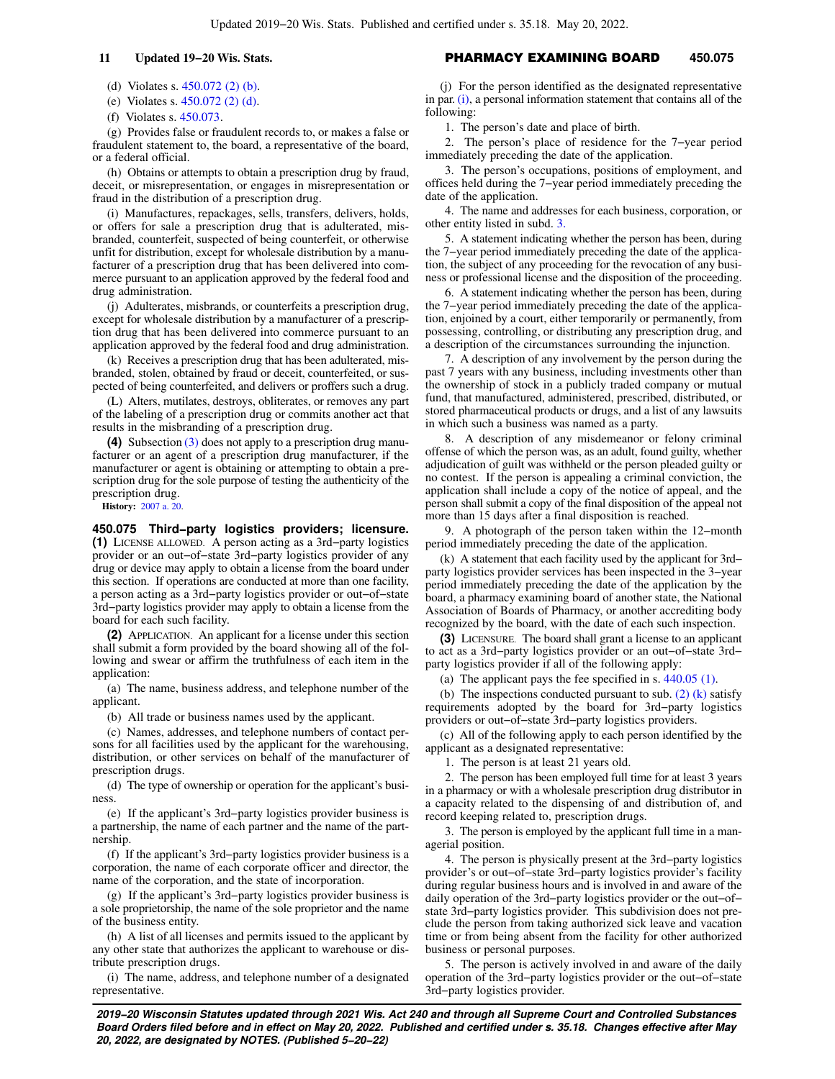(d) Violates s. [450.072 \(2\) \(b\).](https://docs-preview.legis.wisconsin.gov/document/statutes/450.072(2)(b))

(e) Violates s. [450.072 \(2\) \(d\)](https://docs-preview.legis.wisconsin.gov/document/statutes/450.072(2)(d)).

(f) Violates s. [450.073](https://docs-preview.legis.wisconsin.gov/document/statutes/450.073).

(g) Provides false or fraudulent records to, or makes a false or fraudulent statement to, the board, a representative of the board, or a federal official.

(h) Obtains or attempts to obtain a prescription drug by fraud, deceit, or misrepresentation, or engages in misrepresentation or fraud in the distribution of a prescription drug.

(i) Manufactures, repackages, sells, transfers, delivers, holds, or offers for sale a prescription drug that is adulterated, misbranded, counterfeit, suspected of being counterfeit, or otherwise unfit for distribution, except for wholesale distribution by a manufacturer of a prescription drug that has been delivered into commerce pursuant to an application approved by the federal food and drug administration.

(j) Adulterates, misbrands, or counterfeits a prescription drug, except for wholesale distribution by a manufacturer of a prescription drug that has been delivered into commerce pursuant to an application approved by the federal food and drug administration.

(k) Receives a prescription drug that has been adulterated, misbranded, stolen, obtained by fraud or deceit, counterfeited, or suspected of being counterfeited, and delivers or proffers such a drug.

(L) Alters, mutilates, destroys, obliterates, or removes any part of the labeling of a prescription drug or commits another act that results in the misbranding of a prescription drug.

**(4)** Subsection [\(3\)](https://docs-preview.legis.wisconsin.gov/document/statutes/450.074(3)) does not apply to a prescription drug manufacturer or an agent of a prescription drug manufacturer, if the manufacturer or agent is obtaining or attempting to obtain a prescription drug for the sole purpose of testing the authenticity of the prescription drug.

**History:** [2007 a. 20.](https://docs-preview.legis.wisconsin.gov/document/acts/2007/20)

### **450.075 Third−party logistics providers; licensure.**

**(1)** LICENSE ALLOWED. A person acting as a 3rd−party logistics provider or an out−of−state 3rd−party logistics provider of any drug or device may apply to obtain a license from the board under this section. If operations are conducted at more than one facility, a person acting as a 3rd−party logistics provider or out−of−state 3rd−party logistics provider may apply to obtain a license from the board for each such facility.

**(2)** APPLICATION. An applicant for a license under this section shall submit a form provided by the board showing all of the following and swear or affirm the truthfulness of each item in the application:

(a) The name, business address, and telephone number of the applicant.

(b) All trade or business names used by the applicant.

(c) Names, addresses, and telephone numbers of contact persons for all facilities used by the applicant for the warehousing, distribution, or other services on behalf of the manufacturer of prescription drugs.

(d) The type of ownership or operation for the applicant's business.

(e) If the applicant's 3rd−party logistics provider business is a partnership, the name of each partner and the name of the partnership.

(f) If the applicant's 3rd−party logistics provider business is a corporation, the name of each corporate officer and director, the name of the corporation, and the state of incorporation.

(g) If the applicant's 3rd−party logistics provider business is a sole proprietorship, the name of the sole proprietor and the name of the business entity.

(h) A list of all licenses and permits issued to the applicant by any other state that authorizes the applicant to warehouse or distribute prescription drugs.

(i) The name, address, and telephone number of a designated representative.

# **11 Updated 19−20 Wis. Stats.** PHARMACY EXAMINING BOARD **450.075**

(j) For the person identified as the designated representative in par. [\(i\)](https://docs-preview.legis.wisconsin.gov/document/statutes/450.075(2)(i)), a personal information statement that contains all of the following:

1. The person's date and place of birth.

2. The person's place of residence for the 7−year period immediately preceding the date of the application.

3. The person's occupations, positions of employment, and offices held during the 7−year period immediately preceding the date of the application.

4. The name and addresses for each business, corporation, or other entity listed in subd. [3.](https://docs-preview.legis.wisconsin.gov/document/statutes/450.075(2)(j)3.)

5. A statement indicating whether the person has been, during the 7−year period immediately preceding the date of the application, the subject of any proceeding for the revocation of any business or professional license and the disposition of the proceeding.

6. A statement indicating whether the person has been, during the 7−year period immediately preceding the date of the application, enjoined by a court, either temporarily or permanently, from possessing, controlling, or distributing any prescription drug, and a description of the circumstances surrounding the injunction.

7. A description of any involvement by the person during the past 7 years with any business, including investments other than the ownership of stock in a publicly traded company or mutual fund, that manufactured, administered, prescribed, distributed, or stored pharmaceutical products or drugs, and a list of any lawsuits in which such a business was named as a party.

8. A description of any misdemeanor or felony criminal offense of which the person was, as an adult, found guilty, whether adjudication of guilt was withheld or the person pleaded guilty or no contest. If the person is appealing a criminal conviction, the application shall include a copy of the notice of appeal, and the person shall submit a copy of the final disposition of the appeal not more than 15 days after a final disposition is reached.

9. A photograph of the person taken within the 12−month period immediately preceding the date of the application.

(k) A statement that each facility used by the applicant for 3rd− party logistics provider services has been inspected in the 3−year period immediately preceding the date of the application by the board, a pharmacy examining board of another state, the National Association of Boards of Pharmacy, or another accrediting body recognized by the board, with the date of each such inspection.

**(3)** LICENSURE. The board shall grant a license to an applicant to act as a 3rd−party logistics provider or an out−of−state 3rd− party logistics provider if all of the following apply:

(a) The applicant pays the fee specified in s. [440.05 \(1\).](https://docs-preview.legis.wisconsin.gov/document/statutes/440.05(1))

(b) The inspections conducted pursuant to sub.  $(2)$   $(k)$  satisfy requirements adopted by the board for 3rd−party logistics providers or out−of−state 3rd−party logistics providers.

(c) All of the following apply to each person identified by the applicant as a designated representative:

1. The person is at least 21 years old.

2. The person has been employed full time for at least 3 years in a pharmacy or with a wholesale prescription drug distributor in a capacity related to the dispensing of and distribution of, and record keeping related to, prescription drugs.

3. The person is employed by the applicant full time in a managerial position.

4. The person is physically present at the 3rd−party logistics provider's or out−of−state 3rd−party logistics provider's facility during regular business hours and is involved in and aware of the daily operation of the 3rd−party logistics provider or the out−of− state 3rd−party logistics provider. This subdivision does not preclude the person from taking authorized sick leave and vacation time or from being absent from the facility for other authorized business or personal purposes.

5. The person is actively involved in and aware of the daily operation of the 3rd−party logistics provider or the out−of−state 3rd−party logistics provider.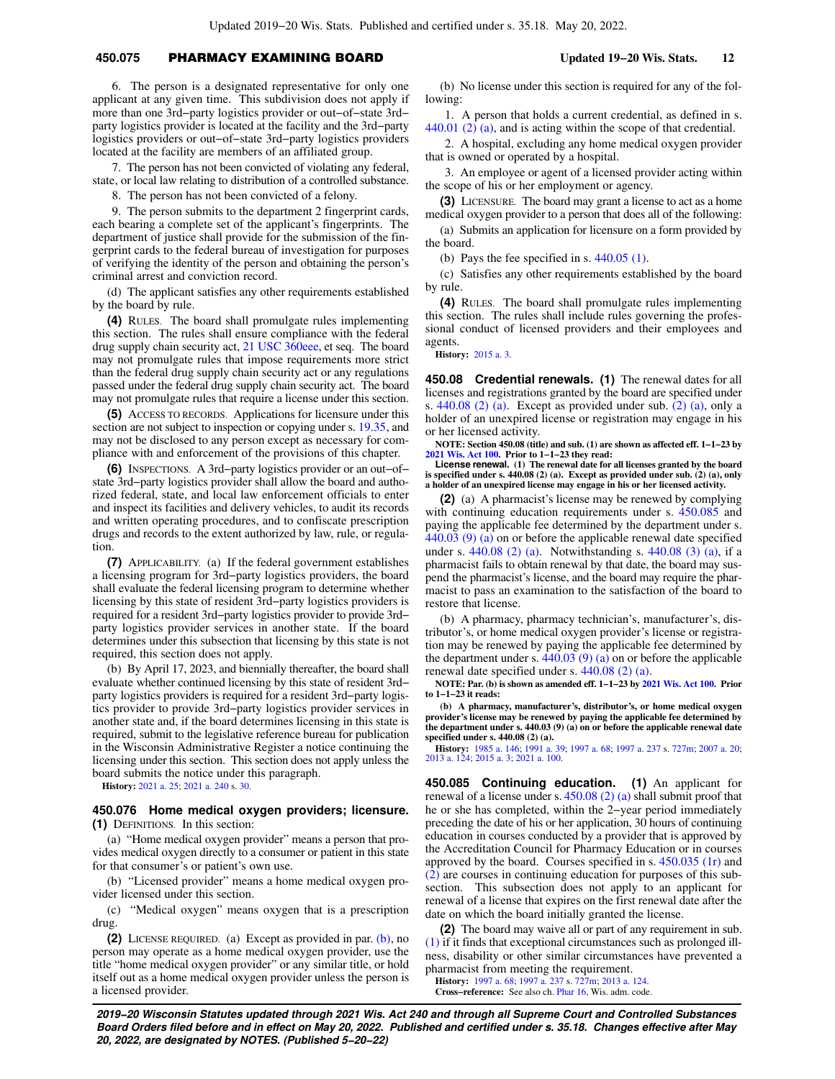# **450.075** PHARMACY EXAMINING BOARD **Updated 19−20 Wis. Stats. 12**

6. The person is a designated representative for only one applicant at any given time. This subdivision does not apply if more than one 3rd−party logistics provider or out−of−state 3rd− party logistics provider is located at the facility and the 3rd−party logistics providers or out−of−state 3rd−party logistics providers located at the facility are members of an affiliated group.

7. The person has not been convicted of violating any federal, state, or local law relating to distribution of a controlled substance.

8. The person has not been convicted of a felony.

9. The person submits to the department 2 fingerprint cards, each bearing a complete set of the applicant's fingerprints. The department of justice shall provide for the submission of the fingerprint cards to the federal bureau of investigation for purposes of verifying the identity of the person and obtaining the person's criminal arrest and conviction record.

(d) The applicant satisfies any other requirements established by the board by rule.

**(4)** RULES. The board shall promulgate rules implementing this section. The rules shall ensure compliance with the federal drug supply chain security act, [21 USC 360eee,](https://docs-preview.legis.wisconsin.gov/document/usc/21%20USC%20360eee) et seq. The board may not promulgate rules that impose requirements more strict than the federal drug supply chain security act or any regulations passed under the federal drug supply chain security act. The board may not promulgate rules that require a license under this section.

**(5)** ACCESS TO RECORDS. Applications for licensure under this section are not subject to inspection or copying under s. [19.35](https://docs-preview.legis.wisconsin.gov/document/statutes/19.35), and may not be disclosed to any person except as necessary for compliance with and enforcement of the provisions of this chapter.

**(6)** INSPECTIONS. A 3rd−party logistics provider or an out−of− state 3rd−party logistics provider shall allow the board and authorized federal, state, and local law enforcement officials to enter and inspect its facilities and delivery vehicles, to audit its records and written operating procedures, and to confiscate prescription drugs and records to the extent authorized by law, rule, or regulation.

**(7)** APPLICABILITY. (a) If the federal government establishes a licensing program for 3rd−party logistics providers, the board shall evaluate the federal licensing program to determine whether licensing by this state of resident 3rd−party logistics providers is required for a resident 3rd−party logistics provider to provide 3rd− party logistics provider services in another state. If the board determines under this subsection that licensing by this state is not required, this section does not apply.

(b) By April 17, 2023, and biennially thereafter, the board shall evaluate whether continued licensing by this state of resident 3rd− party logistics providers is required for a resident 3rd−party logistics provider to provide 3rd−party logistics provider services in another state and, if the board determines licensing in this state is required, submit to the legislative reference bureau for publication in the Wisconsin Administrative Register a notice continuing the licensing under this section. This section does not apply unless the board submits the notice under this paragraph.

**History:** [2021 a. 25](https://docs-preview.legis.wisconsin.gov/document/acts/2021/25); [2021 a. 240](https://docs-preview.legis.wisconsin.gov/document/acts/2021/240) s. [30.](https://docs-preview.legis.wisconsin.gov/document/acts/2021/240,%20s.%2030)

### **450.076 Home medical oxygen providers; licensure. (1)** DEFINITIONS. In this section:

(a) "Home medical oxygen provider" means a person that provides medical oxygen directly to a consumer or patient in this state for that consumer's or patient's own use.

(b) "Licensed provider" means a home medical oxygen provider licensed under this section.

(c) "Medical oxygen" means oxygen that is a prescription drug.

**(2)** LICENSE REQUIRED. (a) Except as provided in par. [\(b\),](https://docs-preview.legis.wisconsin.gov/document/statutes/450.076(2)(b)) no person may operate as a home medical oxygen provider, use the title "home medical oxygen provider" or any similar title, or hold itself out as a home medical oxygen provider unless the person is a licensed provider.

(b) No license under this section is required for any of the following:

1. A person that holds a current credential, as defined in s. [440.01 \(2\) \(a\)](https://docs-preview.legis.wisconsin.gov/document/statutes/440.01(2)(a)), and is acting within the scope of that credential.

2. A hospital, excluding any home medical oxygen provider that is owned or operated by a hospital.

3. An employee or agent of a licensed provider acting within the scope of his or her employment or agency.

**(3)** LICENSURE. The board may grant a license to act as a home medical oxygen provider to a person that does all of the following:

(a) Submits an application for licensure on a form provided by the board.

(b) Pays the fee specified in s.  $440.05$  (1).

(c) Satisfies any other requirements established by the board by rule.

**(4)** RULES. The board shall promulgate rules implementing this section. The rules shall include rules governing the professional conduct of licensed providers and their employees and agents.

**History:** [2015 a. 3.](https://docs-preview.legis.wisconsin.gov/document/acts/2015/3)

**450.08 Credential renewals. (1)** The renewal dates for all licenses and registrations granted by the board are specified under s. [440.08 \(2\) \(a\)](https://docs-preview.legis.wisconsin.gov/document/statutes/440.08(2)(a)). Except as provided under sub. [\(2\) \(a\)](https://docs-preview.legis.wisconsin.gov/document/statutes/450.08(2)(a)), only a holder of an unexpired license or registration may engage in his or her licensed activity.

**NOTE: Section 450.08 (title) and sub. (1) are shown as affected eff. 1−1−23 by [2021 Wis. Act 100.](https://docs-preview.legis.wisconsin.gov/document/acts/2021/100) Prior to 1−1−23 they read: License renewal. (1) The renewal date for all licenses granted by the board**

**is specified under s. 440.08 (2) (a). Except as provided under sub. (2) (a), only a holder of an unexpired license may engage in his or her licensed activity.**

**(2)** (a) A pharmacist's license may be renewed by complying with continuing education requirements under s. [450.085](https://docs-preview.legis.wisconsin.gov/document/statutes/450.085) and paying the applicable fee determined by the department under s. [440.03 \(9\) \(a\)](https://docs-preview.legis.wisconsin.gov/document/statutes/440.03(9)(a)) on or before the applicable renewal date specified under s. [440.08 \(2\) \(a\)](https://docs-preview.legis.wisconsin.gov/document/statutes/440.08(2)(a)). Notwithstanding s. [440.08 \(3\) \(a\),](https://docs-preview.legis.wisconsin.gov/document/statutes/440.08(3)(a)) if a pharmacist fails to obtain renewal by that date, the board may suspend the pharmacist's license, and the board may require the pharmacist to pass an examination to the satisfaction of the board to restore that license.

(b) A pharmacy, pharmacy technician's, manufacturer's, distributor's, or home medical oxygen provider's license or registration may be renewed by paying the applicable fee determined by the department under s.  $\frac{440.03}{9}$  (a) on or before the applicable renewal date specified under s. [440.08 \(2\) \(a\)](https://docs-preview.legis.wisconsin.gov/document/statutes/440.08(2)(a)).

**NOTE: Par. (b) is shown as amended eff. 1−1−23 by [2021 Wis. Act 100.](https://docs-preview.legis.wisconsin.gov/document/acts/2021/100) Prior to 1−1−23 it reads:**

**(b) A pharmacy, manufacturer's, distributor's, or home medical oxygen provider's license may be renewed by paying the applicable fee determined by the department under s. 440.03 (9) (a) on or before the applicable renewal date specified under s. 440.08 (2) (a).**

**History:** [1985 a. 146;](https://docs-preview.legis.wisconsin.gov/document/acts/1985/146) [1991 a. 39](https://docs-preview.legis.wisconsin.gov/document/acts/1991/39); [1997 a. 68;](https://docs-preview.legis.wisconsin.gov/document/acts/1997/68) [1997 a. 237](https://docs-preview.legis.wisconsin.gov/document/acts/1997/237) s. [727m;](https://docs-preview.legis.wisconsin.gov/document/acts/1997/237,%20s.%20727m) [2007 a. 20](https://docs-preview.legis.wisconsin.gov/document/acts/2007/20); [2013 a. 124;](https://docs-preview.legis.wisconsin.gov/document/acts/2013/124) [2015 a. 3;](https://docs-preview.legis.wisconsin.gov/document/acts/2015/3) [2021 a. 100](https://docs-preview.legis.wisconsin.gov/document/acts/2021/100).

**450.085 Continuing education. (1)** An applicant for renewal of a license under s.  $450.08$  (2) (a) shall submit proof that he or she has completed, within the 2−year period immediately preceding the date of his or her application, 30 hours of continuing education in courses conducted by a provider that is approved by the Accreditation Council for Pharmacy Education or in courses approved by the board. Courses specified in s. [450.035 \(1r\)](https://docs-preview.legis.wisconsin.gov/document/statutes/450.035(1r)) and [\(2\)](https://docs-preview.legis.wisconsin.gov/document/statutes/450.035(2)) are courses in continuing education for purposes of this subsection. This subsection does not apply to an applicant for renewal of a license that expires on the first renewal date after the date on which the board initially granted the license.

**(2)** The board may waive all or part of any requirement in sub. [\(1\)](https://docs-preview.legis.wisconsin.gov/document/statutes/450.085(1)) if it finds that exceptional circumstances such as prolonged illness, disability or other similar circumstances have prevented a pharmacist from meeting the requirement.

**History:** [1997 a. 68](https://docs-preview.legis.wisconsin.gov/document/acts/1997/68); [1997 a. 237](https://docs-preview.legis.wisconsin.gov/document/acts/1997/237) s. [727m;](https://docs-preview.legis.wisconsin.gov/document/acts/1997/237,%20s.%20727m) [2013 a. 124](https://docs-preview.legis.wisconsin.gov/document/acts/2013/124). **Cross−reference:** See also ch. [Phar 16,](https://docs-preview.legis.wisconsin.gov/document/administrativecode/ch.%20Phar%2016) Wis. adm. code.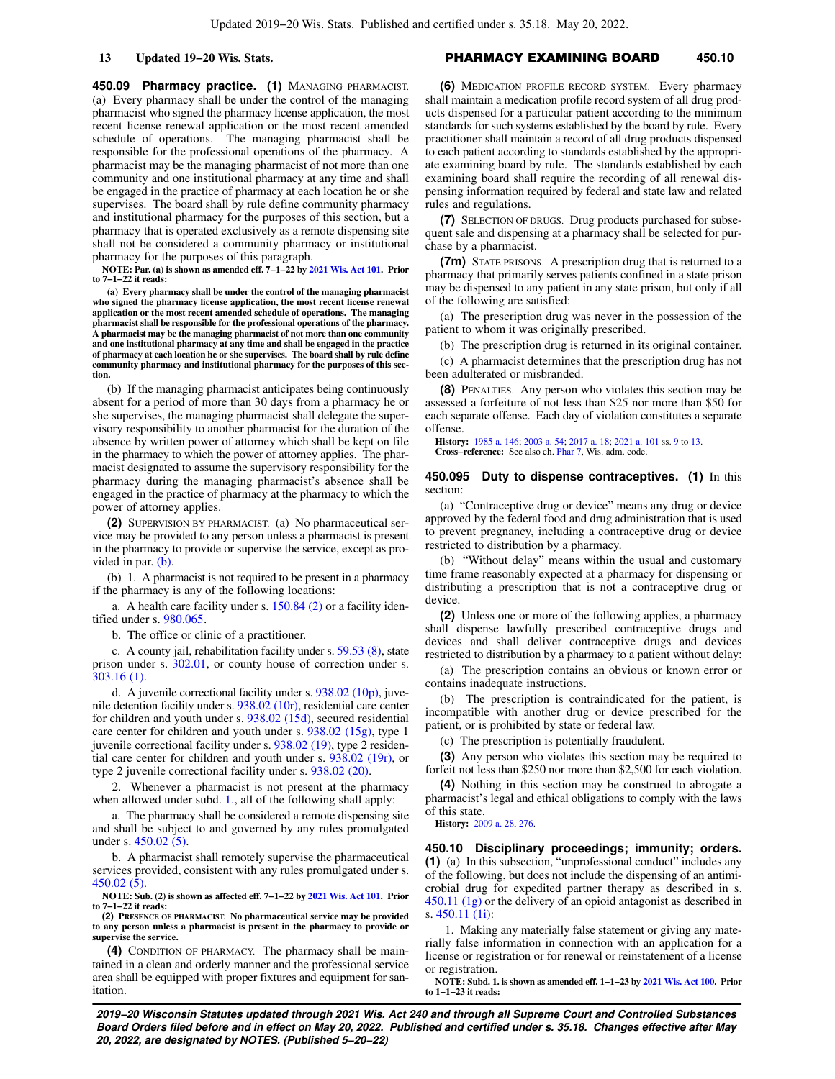**450.09 Pharmacy practice. (1)** MANAGING PHARMACIST. (a) Every pharmacy shall be under the control of the managing pharmacist who signed the pharmacy license application, the most recent license renewal application or the most recent amended schedule of operations. The managing pharmacist shall be responsible for the professional operations of the pharmacy. A pharmacist may be the managing pharmacist of not more than one community and one institutional pharmacy at any time and shall be engaged in the practice of pharmacy at each location he or she supervises. The board shall by rule define community pharmacy and institutional pharmacy for the purposes of this section, but a pharmacy that is operated exclusively as a remote dispensing site shall not be considered a community pharmacy or institutional pharmacy for the purposes of this paragraph.

**NOTE: Par. (a) is shown as amended eff. 7−1−22 by [2021 Wis. Act 101](https://docs-preview.legis.wisconsin.gov/document/acts/2021/101). Prior to 7−1−22 it reads:**

**(a) Every pharmacy shall be under the control of the managing pharmacist who signed the pharmacy license application, the most recent license renewal application or the most recent amended schedule of operations. The managing pharmacist shall be responsible for the professional operations of the pharmacy. A pharmacist may be the managing pharmacist of not more than one community and one institutional pharmacy at any time and shall be engaged in the practice of pharmacy at each location he or she supervises. The board shall by rule define community pharmacy and institutional pharmacy for the purposes of this section.**

(b) If the managing pharmacist anticipates being continuously absent for a period of more than 30 days from a pharmacy he or she supervises, the managing pharmacist shall delegate the supervisory responsibility to another pharmacist for the duration of the absence by written power of attorney which shall be kept on file in the pharmacy to which the power of attorney applies. The pharmacist designated to assume the supervisory responsibility for the pharmacy during the managing pharmacist's absence shall be engaged in the practice of pharmacy at the pharmacy to which the power of attorney applies.

**(2)** SUPERVISION BY PHARMACIST. (a) No pharmaceutical service may be provided to any person unless a pharmacist is present in the pharmacy to provide or supervise the service, except as provided in par. [\(b\).](https://docs-preview.legis.wisconsin.gov/document/statutes/450.09(2)(b))

(b) 1. A pharmacist is not required to be present in a pharmacy if the pharmacy is any of the following locations:

a. A health care facility under s. [150.84 \(2\)](https://docs-preview.legis.wisconsin.gov/document/statutes/150.84(2)) or a facility identified under s. [980.065](https://docs-preview.legis.wisconsin.gov/document/statutes/980.065).

b. The office or clinic of a practitioner.

c. A county jail, rehabilitation facility under s. [59.53 \(8\),](https://docs-preview.legis.wisconsin.gov/document/statutes/59.53(8)) state prison under s. [302.01](https://docs-preview.legis.wisconsin.gov/document/statutes/302.01), or county house of correction under s. [303.16 \(1\).](https://docs-preview.legis.wisconsin.gov/document/statutes/303.16(1))

d. A juvenile correctional facility under s. [938.02 \(10p\),](https://docs-preview.legis.wisconsin.gov/document/statutes/938.02(10p)) juvenile detention facility under s. [938.02 \(10r\),](https://docs-preview.legis.wisconsin.gov/document/statutes/938.02(10r)) residential care center for children and youth under s. [938.02 \(15d\)](https://docs-preview.legis.wisconsin.gov/document/statutes/938.02(15d)), secured residential care center for children and youth under s. [938.02 \(15g\),](https://docs-preview.legis.wisconsin.gov/document/statutes/938.02(15g)) type 1 juvenile correctional facility under s. [938.02 \(19\),](https://docs-preview.legis.wisconsin.gov/document/statutes/938.02(19)) type 2 residential care center for children and youth under s. [938.02 \(19r\)](https://docs-preview.legis.wisconsin.gov/document/statutes/938.02(19r)), or type 2 juvenile correctional facility under s. [938.02 \(20\)](https://docs-preview.legis.wisconsin.gov/document/statutes/938.02(20)).

2. Whenever a pharmacist is not present at the pharmacy when allowed under subd. [1.,](https://docs-preview.legis.wisconsin.gov/document/statutes/450.09(2)(b)1.) all of the following shall apply:

a. The pharmacy shall be considered a remote dispensing site and shall be subject to and governed by any rules promulgated under s. [450.02 \(5\)](https://docs-preview.legis.wisconsin.gov/document/statutes/450.02(5)).

b. A pharmacist shall remotely supervise the pharmaceutical services provided, consistent with any rules promulgated under s. [450.02 \(5\).](https://docs-preview.legis.wisconsin.gov/document/statutes/450.02(5))

**NOTE: Sub. (2) is shown as affected eff. 7−1−22 by [2021 Wis. Act 101](https://docs-preview.legis.wisconsin.gov/document/acts/2021/101). Prior to 7−1−22 it reads:**

**(2) PRESENCE OF PHARMACIST. No pharmaceutical service may be provided to any person unless a pharmacist is present in the pharmacy to provide or supervise the service.**

**(4)** CONDITION OF PHARMACY. The pharmacy shall be maintained in a clean and orderly manner and the professional service area shall be equipped with proper fixtures and equipment for sanitation.

## **13 Updated 19−20 Wis. Stats.** PHARMACY EXAMINING BOARD **450.10**

**(6)** MEDICATION PROFILE RECORD SYSTEM. Every pharmacy shall maintain a medication profile record system of all drug products dispensed for a particular patient according to the minimum standards for such systems established by the board by rule. Every practitioner shall maintain a record of all drug products dispensed to each patient according to standards established by the appropriate examining board by rule. The standards established by each examining board shall require the recording of all renewal dispensing information required by federal and state law and related rules and regulations.

**(7)** SELECTION OF DRUGS. Drug products purchased for subsequent sale and dispensing at a pharmacy shall be selected for purchase by a pharmacist.

**(7m)** STATE PRISONS. A prescription drug that is returned to a pharmacy that primarily serves patients confined in a state prison may be dispensed to any patient in any state prison, but only if all of the following are satisfied:

(a) The prescription drug was never in the possession of the patient to whom it was originally prescribed.

(b) The prescription drug is returned in its original container.

(c) A pharmacist determines that the prescription drug has not been adulterated or misbranded.

**(8)** PENALTIES. Any person who violates this section may be assessed a forfeiture of not less than \$25 nor more than \$50 for each separate offense. Each day of violation constitutes a separate offense.

**History:** [1985 a. 146;](https://docs-preview.legis.wisconsin.gov/document/acts/1985/146) [2003 a. 54;](https://docs-preview.legis.wisconsin.gov/document/acts/2003/54) [2017 a. 18;](https://docs-preview.legis.wisconsin.gov/document/acts/2017/18) [2021 a. 101](https://docs-preview.legis.wisconsin.gov/document/acts/2021/101) ss. [9](https://docs-preview.legis.wisconsin.gov/document/acts/2021/101,%20s.%209) to [13.](https://docs-preview.legis.wisconsin.gov/document/acts/2021/101,%20s.%2013) **Cross−reference:** See also ch. [Phar 7](https://docs-preview.legis.wisconsin.gov/document/administrativecode/ch.%20Phar%207), Wis. adm. code.

**450.095 Duty to dispense contraceptives. (1)** In this section:

(a) "Contraceptive drug or device" means any drug or device approved by the federal food and drug administration that is used to prevent pregnancy, including a contraceptive drug or device restricted to distribution by a pharmacy.

(b) "Without delay" means within the usual and customary time frame reasonably expected at a pharmacy for dispensing or distributing a prescription that is not a contraceptive drug or device.

**(2)** Unless one or more of the following applies, a pharmacy shall dispense lawfully prescribed contraceptive drugs and devices and shall deliver contraceptive drugs and devices restricted to distribution by a pharmacy to a patient without delay:

(a) The prescription contains an obvious or known error or contains inadequate instructions.

(b) The prescription is contraindicated for the patient, is incompatible with another drug or device prescribed for the patient, or is prohibited by state or federal law.

(c) The prescription is potentially fraudulent.

**(3)** Any person who violates this section may be required to forfeit not less than \$250 nor more than \$2,500 for each violation.

**(4)** Nothing in this section may be construed to abrogate a pharmacist's legal and ethical obligations to comply with the laws of this state.

**History:** [2009 a. 28](https://docs-preview.legis.wisconsin.gov/document/acts/2009/28), [276](https://docs-preview.legis.wisconsin.gov/document/acts/2009/276).

**450.10 Disciplinary proceedings; immunity; orders. (1)** (a) In this subsection, "unprofessional conduct" includes any of the following, but does not include the dispensing of an antimicrobial drug for expedited partner therapy as described in s. [450.11 \(1g\)](https://docs-preview.legis.wisconsin.gov/document/statutes/450.11(1g)) or the delivery of an opioid antagonist as described in s. [450.11 \(1i\):](https://docs-preview.legis.wisconsin.gov/document/statutes/450.11(1i))

1. Making any materially false statement or giving any materially false information in connection with an application for a license or registration or for renewal or reinstatement of a license or registration.

**NOTE: Subd. 1. is shown as amended eff. 1−1−23 by [2021 Wis. Act 100](https://docs-preview.legis.wisconsin.gov/document/acts/2021/100). Prior to 1−1−23 it reads:**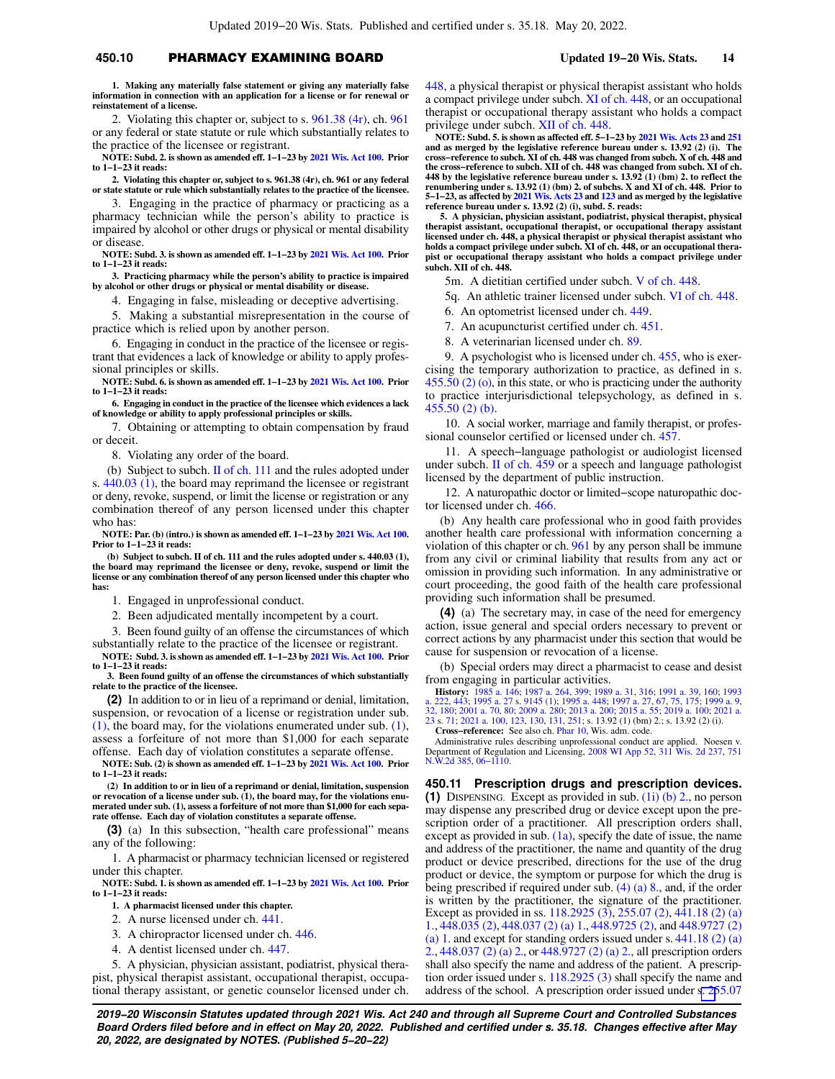# **450.10** PHARMACY EXAMINING BOARD **Updated 19−20 Wis. Stats. 14**

**1. Making any materially false statement or giving any materially false information in connection with an application for a license or for renewal or reinstatement of a license.**

2. Violating this chapter or, subject to s. [961.38 \(4r\)](https://docs-preview.legis.wisconsin.gov/document/statutes/961.38(4r)), ch. [961](https://docs-preview.legis.wisconsin.gov/document/statutes/ch.%20961) or any federal or state statute or rule which substantially relates to the practice of the licensee or registrant.

**NOTE: Subd. 2. is shown as amended eff. 1−1−23 by [2021 Wis. Act 100.](https://docs-preview.legis.wisconsin.gov/document/acts/2021/100) Prior to 1−1−23 it reads:**

**2. Violating this chapter or, subject to s. 961.38 (4r), ch. 961 or any federal or state statute or rule which substantially relates to the practice of the licensee.**

3. Engaging in the practice of pharmacy or practicing as a pharmacy technician while the person's ability to practice is impaired by alcohol or other drugs or physical or mental disability or disease.

**NOTE: Subd. 3. is shown as amended eff. 1−1−23 by [2021 Wis. Act 100.](https://docs-preview.legis.wisconsin.gov/document/acts/2021/100) Prior to 1−1−23 it reads:**

**3. Practicing pharmacy while the person's ability to practice is impaired by alcohol or other drugs or physical or mental disability or disease.**

4. Engaging in false, misleading or deceptive advertising.

5. Making a substantial misrepresentation in the course of practice which is relied upon by another person.

6. Engaging in conduct in the practice of the licensee or registrant that evidences a lack of knowledge or ability to apply professional principles or skills.

**NOTE: Subd. 6. is shown as amended eff. 1−1−23 by [2021 Wis. Act 100.](https://docs-preview.legis.wisconsin.gov/document/acts/2021/100) Prior to 1−1−23 it reads:**

**6. Engaging in conduct in the practice of the licensee which evidences a lack of knowledge or ability to apply professional principles or skills.**

7. Obtaining or attempting to obtain compensation by fraud or deceit.

8. Violating any order of the board.

(b) Subject to subch. [II of ch. 111](https://docs-preview.legis.wisconsin.gov/document/statutes/subch.%20II%20of%20ch.%20111) and the rules adopted under s. [440.03 \(1\)](https://docs-preview.legis.wisconsin.gov/document/statutes/440.03(1)), the board may reprimand the licensee or registrant or deny, revoke, suspend, or limit the license or registration or any combination thereof of any person licensed under this chapter who has:

**NOTE: Par. (b) (intro.) is shown as amended eff. 1−1−23 by [2021 Wis. Act 100](https://docs-preview.legis.wisconsin.gov/document/acts/2021/100). Prior to 1−1−23 it reads:**

**(b) Subject to subch. II of ch. 111 and the rules adopted under s. 440.03 (1), the board may reprimand the licensee or deny, revoke, suspend or limit the license or any combination thereof of any person licensed under this chapter who has:**

1. Engaged in unprofessional conduct.

2. Been adjudicated mentally incompetent by a court.

3. Been found guilty of an offense the circumstances of which substantially relate to the practice of the licensee or registrant.

**NOTE: Subd. 3. is shown as amended eff. 1−1−23 by [2021 Wis. Act 100.](https://docs-preview.legis.wisconsin.gov/document/acts/2021/100) Prior to 1−1−23 it reads:**

**3. Been found guilty of an offense the circumstances of which substantially relate to the practice of the licensee.**

**(2)** In addition to or in lieu of a reprimand or denial, limitation, suspension, or revocation of a license or registration under sub. [\(1\)](https://docs-preview.legis.wisconsin.gov/document/statutes/450.10(1)), the board may, for the violations enumerated under sub. [\(1\),](https://docs-preview.legis.wisconsin.gov/document/statutes/450.10(1)) assess a forfeiture of not more than \$1,000 for each separate offense. Each day of violation constitutes a separate offense.

**NOTE: Sub. (2) is shown as amended eff. 1−1−23 by [2021 Wis. Act 100.](https://docs-preview.legis.wisconsin.gov/document/acts/2021/100) Prior to 1−1−23 it reads:**

**(2) In addition to or in lieu of a reprimand or denial, limitation, suspension or revocation of a license under sub. (1), the board may, for the violations enumerated under sub. (1), assess a forfeiture of not more than \$1,000 for each separate offense. Each day of violation constitutes a separate offense.**

**(3)** (a) In this subsection, "health care professional" means any of the following:

1. A pharmacist or pharmacy technician licensed or registered under this chapter.

**NOTE: Subd. 1. is shown as amended eff. 1−1−23 by [2021 Wis. Act 100.](https://docs-preview.legis.wisconsin.gov/document/acts/2021/100) Prior to 1−1−23 it reads:**

**1. A pharmacist licensed under this chapter.**

- 2. A nurse licensed under ch. [441.](https://docs-preview.legis.wisconsin.gov/document/statutes/ch.%20441)
- 3. A chiropractor licensed under ch. [446](https://docs-preview.legis.wisconsin.gov/document/statutes/ch.%20446).
- 4. A dentist licensed under ch. [447](https://docs-preview.legis.wisconsin.gov/document/statutes/ch.%20447).

5. A physician, physician assistant, podiatrist, physical therapist, physical therapist assistant, occupational therapist, occupational therapy assistant, or genetic counselor licensed under ch. [448,](https://docs-preview.legis.wisconsin.gov/document/statutes/ch.%20448) a physical therapist or physical therapist assistant who holds a compact privilege under subch. [XI of ch. 448](https://docs-preview.legis.wisconsin.gov/document/statutes/subch.%20XI%20of%20ch.%20448), or an occupational therapist or occupational therapy assistant who holds a compact privilege under subch. [XII of ch. 448](https://docs-preview.legis.wisconsin.gov/document/statutes/subch.%20XII%20of%20ch.%20448).

**NOTE: Subd. 5. is shown as affected eff. 5−1−23 by [2021 Wis. Acts 23](https://docs-preview.legis.wisconsin.gov/document/acts/2021/23) and [251](https://docs-preview.legis.wisconsin.gov/document/acts/2021/251) and as merged by the legislative reference bureau under s. 13.92 (2) (i). The cross−reference to subch. XI of ch. 448 was changed from subch. X of ch. 448 and the cross−reference to subch. XII of ch. 448 was changed from subch. XI of ch. 448 by the legislative reference bureau under s. 13.92 (1) (bm) 2. to reflect the renumbering under s. 13.92 (1) (bm) 2. of subchs. X and XI of ch. 448. Prior to 5−1−23, as affected by [2021 Wis. Acts 23](https://docs-preview.legis.wisconsin.gov/document/acts/2021/23) and [123](https://docs-preview.legis.wisconsin.gov/document/acts/2021/123) and as merged by the legislative reference bureau under s. 13.92 (2) (i), subd. 5. reads:**

**5. A physician, physician assistant, podiatrist, physical therapist, physical therapist assistant, occupational therapist, or occupational therapy assistant licensed under ch. 448, a physical therapist or physical therapist assistant who holds a compact privilege under subch. XI of ch. 448, or an occupational therapist or occupational therapy assistant who holds a compact privilege under subch. XII of ch. 448.**

5m. A dietitian certified under subch. [V of ch. 448.](https://docs-preview.legis.wisconsin.gov/document/statutes/subch.%20V%20of%20ch.%20448)

5q. An athletic trainer licensed under subch. [VI of ch. 448](https://docs-preview.legis.wisconsin.gov/document/statutes/subch.%20VI%20of%20ch.%20448).

- 6. An optometrist licensed under ch. [449.](https://docs-preview.legis.wisconsin.gov/document/statutes/ch.%20449)
- 7. An acupuncturist certified under ch. [451](https://docs-preview.legis.wisconsin.gov/document/statutes/ch.%20451).
- 8. A veterinarian licensed under ch. [89.](https://docs-preview.legis.wisconsin.gov/document/statutes/ch.%2089)

9. A psychologist who is licensed under ch. [455,](https://docs-preview.legis.wisconsin.gov/document/statutes/ch.%20455) who is exercising the temporary authorization to practice, as defined in s. [455.50 \(2\) \(o\),](https://docs-preview.legis.wisconsin.gov/document/statutes/455.50(2)(o)) in this state, or who is practicing under the authority to practice interjurisdictional telepsychology, as defined in s. [455.50 \(2\) \(b\).](https://docs-preview.legis.wisconsin.gov/document/statutes/455.50(2)(b))

10. A social worker, marriage and family therapist, or professional counselor certified or licensed under ch. [457](https://docs-preview.legis.wisconsin.gov/document/statutes/ch.%20457).

11. A speech−language pathologist or audiologist licensed under subch. [II of ch. 459](https://docs-preview.legis.wisconsin.gov/document/statutes/subch.%20II%20of%20ch.%20459) or a speech and language pathologist licensed by the department of public instruction.

12. A naturopathic doctor or limited−scope naturopathic doctor licensed under ch. [466.](https://docs-preview.legis.wisconsin.gov/document/statutes/ch.%20466)

(b) Any health care professional who in good faith provides another health care professional with information concerning a violation of this chapter or ch. [961](https://docs-preview.legis.wisconsin.gov/document/statutes/ch.%20961) by any person shall be immune from any civil or criminal liability that results from any act or omission in providing such information. In any administrative or court proceeding, the good faith of the health care professional providing such information shall be presumed.

**(4)** (a) The secretary may, in case of the need for emergency action, issue general and special orders necessary to prevent or correct actions by any pharmacist under this section that would be cause for suspension or revocation of a license.

(b) Special orders may direct a pharmacist to cease and desist from engaging in particular activities.

**History:** [1985 a. 146;](https://docs-preview.legis.wisconsin.gov/document/acts/1985/146) [1987 a. 264,](https://docs-preview.legis.wisconsin.gov/document/acts/1987/264) [399;](https://docs-preview.legis.wisconsin.gov/document/acts/1987/399) [1989 a. 31](https://docs-preview.legis.wisconsin.gov/document/acts/1989/31), [316](https://docs-preview.legis.wisconsin.gov/document/acts/1989/316); [1991 a. 39](https://docs-preview.legis.wisconsin.gov/document/acts/1991/39), [160;](https://docs-preview.legis.wisconsin.gov/document/acts/1991/160) [1993](https://docs-preview.legis.wisconsin.gov/document/acts/1993/222)<br>[a. 222](https://docs-preview.legis.wisconsin.gov/document/acts/1993/222), [443](https://docs-preview.legis.wisconsin.gov/document/acts/1993/443); [1995 a. 27](https://docs-preview.legis.wisconsin.gov/document/acts/1995/27) s. [9145 \(1\)](https://docs-preview.legis.wisconsin.gov/document/acts/1995/27,%20s.%209145); [1995 a. 448;](https://docs-preview.legis.wisconsin.gov/document/acts/1995/448) [1997 a. 27,](https://docs-preview.legis.wisconsin.gov/document/acts/1997/27) [67](https://docs-preview.legis.wisconsin.gov/document/acts/1997/67), [75,](https://docs-preview.legis.wisconsin.gov/document/acts/1997/75) [175;](https://docs-preview.legis.wisconsin.gov/document/acts/1997/175) [1999 a. 9](https://docs-preview.legis.wisconsin.gov/document/acts/1999/9),<br>[32](https://docs-preview.legis.wisconsin.gov/document/acts/1999/32), [180](https://docs-preview.legis.wisconsin.gov/document/acts/1999/180); [2001 a. 70](https://docs-preview.legis.wisconsin.gov/document/acts/2001/70), [80;](https://docs-preview.legis.wisconsin.gov/document/acts/2001/80) [2009 a. 280](https://docs-preview.legis.wisconsin.gov/document/acts/2009/280); [2013 a. 200](https://docs-preview.legis.wisconsin.gov/document/acts/2013/200); 2015 **Cross−reference:** See also ch. [Phar 10,](https://docs-preview.legis.wisconsin.gov/document/administrativecode/ch.%20Phar%2010) Wis. adm. code.

Administrative rules describing unprofessional conduct are applied. Noesen v. Department of Regulation and Licensing, [2008 WI App 52,](https://docs-preview.legis.wisconsin.gov/document/courts/2008%20WI%20App%2052) [311 Wis. 2d 237,](https://docs-preview.legis.wisconsin.gov/document/courts/311%20Wis.%202d%20237) [751](https://docs-preview.legis.wisconsin.gov/document/courts/751%20N.W.2d%20385) [N.W.2d 385,](https://docs-preview.legis.wisconsin.gov/document/courts/751%20N.W.2d%20385) [06−1110](https://docs-preview.legis.wisconsin.gov/document/wicourtofappeals/06-1110).

**450.11 Prescription drugs and prescription devices. (1)** DISPENSING. Except as provided in sub. [\(1i\) \(b\) 2.,](https://docs-preview.legis.wisconsin.gov/document/statutes/450.11(1i)(b)2.) no person may dispense any prescribed drug or device except upon the prescription order of a practitioner. All prescription orders shall, except as provided in sub.  $(1a)$ , specify the date of issue, the name and address of the practitioner, the name and quantity of the drug product or device prescribed, directions for the use of the drug product or device, the symptom or purpose for which the drug is being prescribed if required under sub. [\(4\) \(a\) 8.](https://docs-preview.legis.wisconsin.gov/document/statutes/450.11(4)(a)8.), and, if the order is written by the practitioner, the signature of the practitioner. Except as provided in ss. [118.2925 \(3\),](https://docs-preview.legis.wisconsin.gov/document/statutes/118.2925(3)) [255.07 \(2\),](https://docs-preview.legis.wisconsin.gov/document/statutes/255.07(2)) [441.18 \(2\) \(a\)](https://docs-preview.legis.wisconsin.gov/document/statutes/441.18(2)(a)1.) [1.,](https://docs-preview.legis.wisconsin.gov/document/statutes/441.18(2)(a)1.) [448.035 \(2\)](https://docs-preview.legis.wisconsin.gov/document/statutes/448.035(2)), [448.037 \(2\) \(a\) 1.,](https://docs-preview.legis.wisconsin.gov/document/statutes/448.037(2)(a)1.) [448.9725 \(2\),](https://docs-preview.legis.wisconsin.gov/document/statutes/448.9725(2)) and [448.9727 \(2\)](https://docs-preview.legis.wisconsin.gov/document/statutes/448.9727(2)(a)1.) [\(a\) 1.](https://docs-preview.legis.wisconsin.gov/document/statutes/448.9727(2)(a)1.) and except for standing orders issued under s.  $441.18$  (2) (a) [2.,](https://docs-preview.legis.wisconsin.gov/document/statutes/441.18(2)(a)2.) [448.037 \(2\) \(a\) 2.,](https://docs-preview.legis.wisconsin.gov/document/statutes/448.037(2)(a)2.) or [448.9727 \(2\) \(a\) 2.,](https://docs-preview.legis.wisconsin.gov/document/statutes/448.9727(2)(a)2.) all prescription orders shall also specify the name and address of the patient. A prescription order issued under s. [118.2925 \(3\)](https://docs-preview.legis.wisconsin.gov/document/statutes/118.2925(3)) shall specify the name and address of the school. A prescription order issued under [s. 25](https://docs-preview.legis.wisconsin.gov/document/statutes/255.07(2))5.07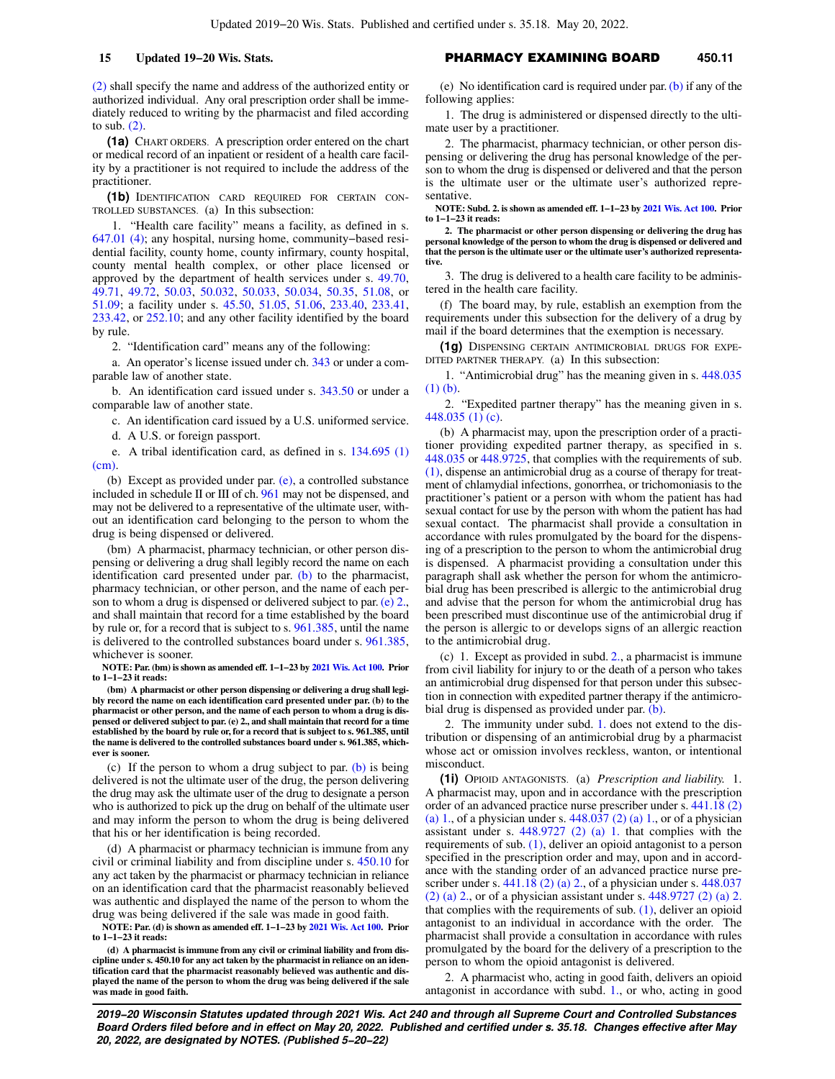[\(2\)](https://docs-preview.legis.wisconsin.gov/document/statutes/255.07(2)) shall specify the name and address of the authorized entity or authorized individual. Any oral prescription order shall be immediately reduced to writing by the pharmacist and filed according to sub. [\(2\).](https://docs-preview.legis.wisconsin.gov/document/statutes/450.11(2))

**(1a)** CHART ORDERS. A prescription order entered on the chart or medical record of an inpatient or resident of a health care facility by a practitioner is not required to include the address of the practitioner.

**(1b)** IDENTIFICATION CARD REQUIRED FOR CERTAIN CON-TROLLED SUBSTANCES. (a) In this subsection:

1. "Health care facility" means a facility, as defined in s. [647.01 \(4\);](https://docs-preview.legis.wisconsin.gov/document/statutes/647.01(4)) any hospital, nursing home, community−based residential facility, county home, county infirmary, county hospital, county mental health complex, or other place licensed or approved by the department of health services under s. [49.70,](https://docs-preview.legis.wisconsin.gov/document/statutes/49.70) [49.71](https://docs-preview.legis.wisconsin.gov/document/statutes/49.71), [49.72,](https://docs-preview.legis.wisconsin.gov/document/statutes/49.72) [50.03,](https://docs-preview.legis.wisconsin.gov/document/statutes/50.03) [50.032,](https://docs-preview.legis.wisconsin.gov/document/statutes/50.032) [50.033,](https://docs-preview.legis.wisconsin.gov/document/statutes/50.033) [50.034,](https://docs-preview.legis.wisconsin.gov/document/statutes/50.034) [50.35](https://docs-preview.legis.wisconsin.gov/document/statutes/50.35), [51.08,](https://docs-preview.legis.wisconsin.gov/document/statutes/51.08) or [51.09](https://docs-preview.legis.wisconsin.gov/document/statutes/51.09); a facility under s. [45.50](https://docs-preview.legis.wisconsin.gov/document/statutes/45.50), [51.05](https://docs-preview.legis.wisconsin.gov/document/statutes/51.05), [51.06](https://docs-preview.legis.wisconsin.gov/document/statutes/51.06), [233.40](https://docs-preview.legis.wisconsin.gov/document/statutes/233.40), [233.41,](https://docs-preview.legis.wisconsin.gov/document/statutes/233.41) [233.42,](https://docs-preview.legis.wisconsin.gov/document/statutes/233.42) or [252.10](https://docs-preview.legis.wisconsin.gov/document/statutes/252.10); and any other facility identified by the board by rule.

2. "Identification card" means any of the following:

a. An operator's license issued under ch. [343](https://docs-preview.legis.wisconsin.gov/document/statutes/ch.%20343) or under a comparable law of another state.

b. An identification card issued under s. [343.50](https://docs-preview.legis.wisconsin.gov/document/statutes/343.50) or under a comparable law of another state.

c. An identification card issued by a U.S. uniformed service.

d. A U.S. or foreign passport.

e. A tribal identification card, as defined in s. [134.695 \(1\)](https://docs-preview.legis.wisconsin.gov/document/statutes/134.695(1)(cm))  $(cm)$ 

(b) Except as provided under par. [\(e\),](https://docs-preview.legis.wisconsin.gov/document/statutes/450.11(1b)(e)) a controlled substance included in schedule II or III of ch. [961](https://docs-preview.legis.wisconsin.gov/document/statutes/ch.%20961) may not be dispensed, and may not be delivered to a representative of the ultimate user, without an identification card belonging to the person to whom the drug is being dispensed or delivered.

(bm) A pharmacist, pharmacy technician, or other person dispensing or delivering a drug shall legibly record the name on each identification card presented under par. [\(b\)](https://docs-preview.legis.wisconsin.gov/document/statutes/450.11(1b)(b)) to the pharmacist, pharmacy technician, or other person, and the name of each person to whom a drug is dispensed or delivered subject to par. [\(e\) 2.,](https://docs-preview.legis.wisconsin.gov/document/statutes/450.11(1b)(e)2.) and shall maintain that record for a time established by the board by rule or, for a record that is subject to s. [961.385](https://docs-preview.legis.wisconsin.gov/document/statutes/961.385), until the name is delivered to the controlled substances board under s. [961.385,](https://docs-preview.legis.wisconsin.gov/document/statutes/961.385) whichever is sooner.

**NOTE: Par. (bm) is shown as amended eff. 1−1−23 by [2021 Wis. Act 100](https://docs-preview.legis.wisconsin.gov/document/acts/2021/100). Prior to 1−1−23 it reads:**

**(bm) A pharmacist or other person dispensing or delivering a drug shall legibly record the name on each identification card presented under par. (b) to the pharmacist or other person, and the name of each person to whom a drug is dispensed or delivered subject to par. (e) 2., and shall maintain that record for a time established by the board by rule or, for a record that is subject to s. 961.385, until the name is delivered to the controlled substances board under s. 961.385, whichever is sooner.**

(c) If the person to whom a drug subject to par.  $(b)$  is being delivered is not the ultimate user of the drug, the person delivering the drug may ask the ultimate user of the drug to designate a person who is authorized to pick up the drug on behalf of the ultimate user and may inform the person to whom the drug is being delivered that his or her identification is being recorded.

(d) A pharmacist or pharmacy technician is immune from any civil or criminal liability and from discipline under s. [450.10](https://docs-preview.legis.wisconsin.gov/document/statutes/450.10) for any act taken by the pharmacist or pharmacy technician in reliance on an identification card that the pharmacist reasonably believed was authentic and displayed the name of the person to whom the drug was being delivered if the sale was made in good faith.

**NOTE: Par. (d) is shown as amended eff. 1−1−23 by [2021 Wis. Act 100](https://docs-preview.legis.wisconsin.gov/document/acts/2021/100). Prior to 1−1−23 it reads:**

**(d) A pharmacist is immune from any civil or criminal liability and from discipline under s. 450.10 for any act taken by the pharmacist in reliance on an identification card that the pharmacist reasonably believed was authentic and displayed the name of the person to whom the drug was being delivered if the sale was made in good faith.**

# **15 Updated 19−20 Wis. Stats.** PHARMACY EXAMINING BOARD **450.11**

(e) No identification card is required under par. [\(b\)](https://docs-preview.legis.wisconsin.gov/document/statutes/450.11(1b)(b)) if any of the following applies:

1. The drug is administered or dispensed directly to the ultimate user by a practitioner.

2. The pharmacist, pharmacy technician, or other person dispensing or delivering the drug has personal knowledge of the person to whom the drug is dispensed or delivered and that the person is the ultimate user or the ultimate user's authorized representative.

**NOTE: Subd. 2. is shown as amended eff. 1−1−23 by [2021 Wis. Act 100](https://docs-preview.legis.wisconsin.gov/document/acts/2021/100). Prior to 1−1−23 it reads:**

**2. The pharmacist or other person dispensing or delivering the drug has personal knowledge of the person to whom the drug is dispensed or delivered and that the person is the ultimate user or the ultimate user's authorized representative.**

3. The drug is delivered to a health care facility to be administered in the health care facility.

(f) The board may, by rule, establish an exemption from the requirements under this subsection for the delivery of a drug by mail if the board determines that the exemption is necessary.

**(1g)** DISPENSING CERTAIN ANTIMICROBIAL DRUGS FOR EXPE-DITED PARTNER THERAPY. (a) In this subsection:

1. "Antimicrobial drug" has the meaning given in s. [448.035](https://docs-preview.legis.wisconsin.gov/document/statutes/448.035(1)(b)) [\(1\) \(b\)](https://docs-preview.legis.wisconsin.gov/document/statutes/448.035(1)(b)).

2. "Expedited partner therapy" has the meaning given in s. [448.035 \(1\) \(c\).](https://docs-preview.legis.wisconsin.gov/document/statutes/448.035(1)(c))

(b) A pharmacist may, upon the prescription order of a practitioner providing expedited partner therapy, as specified in s. [448.035](https://docs-preview.legis.wisconsin.gov/document/statutes/448.035) or [448.9725,](https://docs-preview.legis.wisconsin.gov/document/statutes/448.9725) that complies with the requirements of sub. [\(1\),](https://docs-preview.legis.wisconsin.gov/document/statutes/450.11(1)) dispense an antimicrobial drug as a course of therapy for treatment of chlamydial infections, gonorrhea, or trichomoniasis to the practitioner's patient or a person with whom the patient has had sexual contact for use by the person with whom the patient has had sexual contact. The pharmacist shall provide a consultation in accordance with rules promulgated by the board for the dispensing of a prescription to the person to whom the antimicrobial drug is dispensed. A pharmacist providing a consultation under this paragraph shall ask whether the person for whom the antimicrobial drug has been prescribed is allergic to the antimicrobial drug and advise that the person for whom the antimicrobial drug has been prescribed must discontinue use of the antimicrobial drug if the person is allergic to or develops signs of an allergic reaction to the antimicrobial drug.

(c) 1. Except as provided in subd. [2.](https://docs-preview.legis.wisconsin.gov/document/statutes/450.11(1g)(c)2.), a pharmacist is immune from civil liability for injury to or the death of a person who takes an antimicrobial drug dispensed for that person under this subsection in connection with expedited partner therapy if the antimicrobial drug is dispensed as provided under par. [\(b\)](https://docs-preview.legis.wisconsin.gov/document/statutes/450.11(1g)(b)).

2. The immunity under subd. [1.](https://docs-preview.legis.wisconsin.gov/document/statutes/450.11(1g)(c)1.) does not extend to the distribution or dispensing of an antimicrobial drug by a pharmacist whose act or omission involves reckless, wanton, or intentional misconduct.

**(1i)** OPIOID ANTAGONISTS. (a) *Prescription and liability.* 1. A pharmacist may, upon and in accordance with the prescription order of an advanced practice nurse prescriber under s. [441.18 \(2\)](https://docs-preview.legis.wisconsin.gov/document/statutes/441.18(2)(a)1.) [\(a\) 1.,](https://docs-preview.legis.wisconsin.gov/document/statutes/441.18(2)(a)1.) of a physician under s.  $448.037$  (2) (a) 1., or of a physician assistant under s. [448.9727 \(2\) \(a\) 1.](https://docs-preview.legis.wisconsin.gov/document/statutes/448.9727(2)(a)1.) that complies with the requirements of sub. [\(1\)](https://docs-preview.legis.wisconsin.gov/document/statutes/450.11(1)), deliver an opioid antagonist to a person specified in the prescription order and may, upon and in accordance with the standing order of an advanced practice nurse prescriber under s. [441.18 \(2\) \(a\) 2.,](https://docs-preview.legis.wisconsin.gov/document/statutes/441.18(2)(a)2.) of a physician under s. [448.037](https://docs-preview.legis.wisconsin.gov/document/statutes/448.037(2)(a)2.) [\(2\) \(a\) 2.](https://docs-preview.legis.wisconsin.gov/document/statutes/448.037(2)(a)2.), or of a physician assistant under s. [448.9727 \(2\) \(a\) 2.](https://docs-preview.legis.wisconsin.gov/document/statutes/448.9727(2)(a)2.) that complies with the requirements of sub.  $(1)$ , deliver an opioid antagonist to an individual in accordance with the order. The pharmacist shall provide a consultation in accordance with rules promulgated by the board for the delivery of a prescription to the person to whom the opioid antagonist is delivered.

2. A pharmacist who, acting in good faith, delivers an opioid antagonist in accordance with subd. [1.](https://docs-preview.legis.wisconsin.gov/document/statutes/450.11(1i)(a)1.), or who, acting in good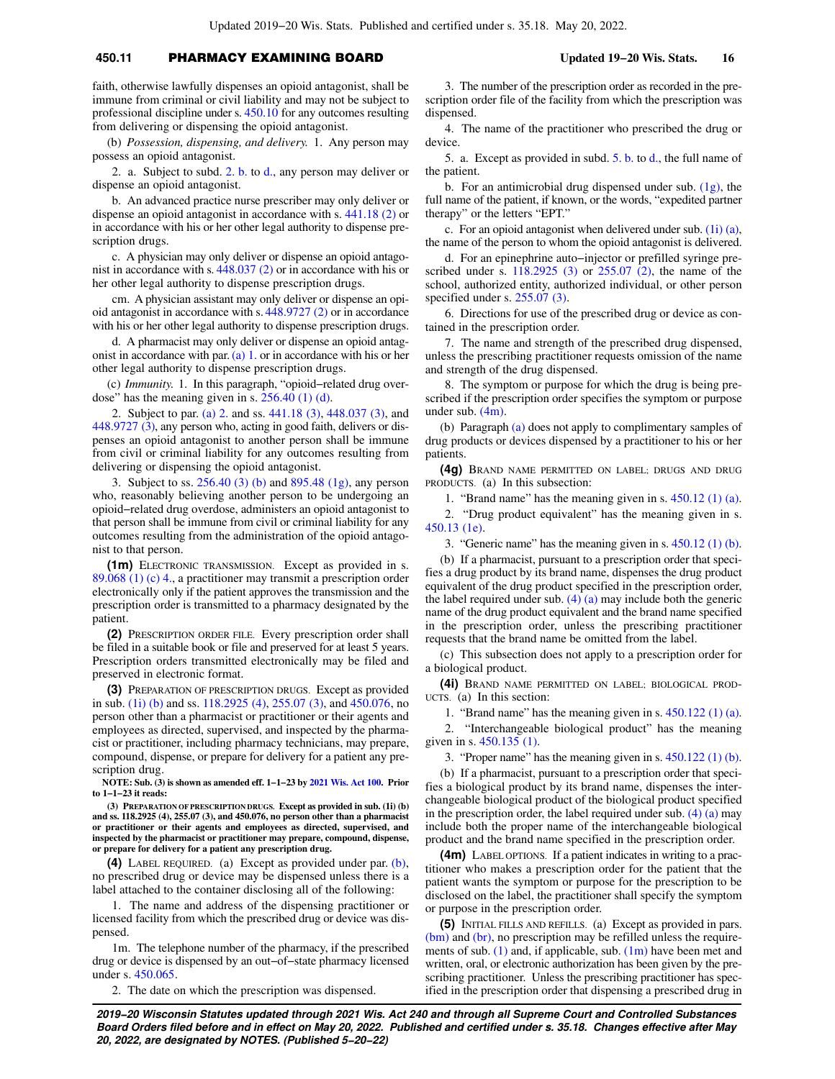# **450.11** PHARMACY EXAMINING BOARD **Updated 19−20 Wis. Stats. 16**

faith, otherwise lawfully dispenses an opioid antagonist, shall be immune from criminal or civil liability and may not be subject to professional discipline under s. [450.10](https://docs-preview.legis.wisconsin.gov/document/statutes/450.10) for any outcomes resulting from delivering or dispensing the opioid antagonist.

(b) *Possession, dispensing, and delivery.* 1. Any person may possess an opioid antagonist.

2. a. Subject to subd. [2. b.](https://docs-preview.legis.wisconsin.gov/document/statutes/450.11(1i)(b)2.b.) to [d.](https://docs-preview.legis.wisconsin.gov/document/statutes/450.11(1i)(b)2.d.), any person may deliver or dispense an opioid antagonist.

b. An advanced practice nurse prescriber may only deliver or dispense an opioid antagonist in accordance with s. [441.18 \(2\)](https://docs-preview.legis.wisconsin.gov/document/statutes/441.18(2)) or in accordance with his or her other legal authority to dispense prescription drugs.

c. A physician may only deliver or dispense an opioid antagonist in accordance with s. [448.037 \(2\)](https://docs-preview.legis.wisconsin.gov/document/statutes/448.037(2)) or in accordance with his or her other legal authority to dispense prescription drugs.

cm. A physician assistant may only deliver or dispense an opioid antagonist in accordance with s. [448.9727 \(2\)](https://docs-preview.legis.wisconsin.gov/document/statutes/448.9727(2)) or in accordance with his or her other legal authority to dispense prescription drugs.

d. A pharmacist may only deliver or dispense an opioid antag-onist in accordance with par. [\(a\) 1.](https://docs-preview.legis.wisconsin.gov/document/statutes/450.11(1i)(a)1.) or in accordance with his or her other legal authority to dispense prescription drugs.

(c) *Immunity.* 1. In this paragraph, "opioid−related drug overdose" has the meaning given in s.  $256.40$  (1) (d).

2. Subject to par. [\(a\) 2.](https://docs-preview.legis.wisconsin.gov/document/statutes/450.11(1i)(a)2.) and ss. [441.18 \(3\)](https://docs-preview.legis.wisconsin.gov/document/statutes/441.18(3)), [448.037 \(3\)](https://docs-preview.legis.wisconsin.gov/document/statutes/448.037(3)), and [448.9727 \(3\),](https://docs-preview.legis.wisconsin.gov/document/statutes/448.9727(3)) any person who, acting in good faith, delivers or dispenses an opioid antagonist to another person shall be immune from civil or criminal liability for any outcomes resulting from delivering or dispensing the opioid antagonist.

3. Subject to ss. [256.40 \(3\) \(b\)](https://docs-preview.legis.wisconsin.gov/document/statutes/256.40(3)(b)) and [895.48 \(1g\),](https://docs-preview.legis.wisconsin.gov/document/statutes/895.48(1g)) any person who, reasonably believing another person to be undergoing an opioid−related drug overdose, administers an opioid antagonist to that person shall be immune from civil or criminal liability for any outcomes resulting from the administration of the opioid antagonist to that person.

**(1m)** ELECTRONIC TRANSMISSION. Except as provided in s. [89.068 \(1\) \(c\) 4.](https://docs-preview.legis.wisconsin.gov/document/statutes/89.068(1)(c)4.), a practitioner may transmit a prescription order electronically only if the patient approves the transmission and the prescription order is transmitted to a pharmacy designated by the patient.

**(2)** PRESCRIPTION ORDER FILE. Every prescription order shall be filed in a suitable book or file and preserved for at least 5 years. Prescription orders transmitted electronically may be filed and preserved in electronic format.

**(3)** PREPARATION OF PRESCRIPTION DRUGS. Except as provided in sub. [\(1i\) \(b\)](https://docs-preview.legis.wisconsin.gov/document/statutes/450.11(1i)(b)) and ss. [118.2925 \(4\)](https://docs-preview.legis.wisconsin.gov/document/statutes/118.2925(4)), [255.07 \(3\)](https://docs-preview.legis.wisconsin.gov/document/statutes/255.07(3)), and [450.076,](https://docs-preview.legis.wisconsin.gov/document/statutes/450.076) no person other than a pharmacist or practitioner or their agents and employees as directed, supervised, and inspected by the pharmacist or practitioner, including pharmacy technicians, may prepare, compound, dispense, or prepare for delivery for a patient any prescription drug.

**NOTE: Sub. (3) is shown as amended eff. 1−1−23 by [2021 Wis. Act 100.](https://docs-preview.legis.wisconsin.gov/document/acts/2021/100) Prior to 1−1−23 it reads:**

**(3) PREPARATION OF PRESCRIPTION DRUGS. Except as provided in sub. (1i) (b) and ss. 118.2925 (4), 255.07 (3), and 450.076, no person other than a pharmacist or practitioner or their agents and employees as directed, supervised, and inspected by the pharmacist or practitioner may prepare, compound, dispense, or prepare for delivery for a patient any prescription drug.**

**(4)** LABEL REQUIRED. (a) Except as provided under par. [\(b\),](https://docs-preview.legis.wisconsin.gov/document/statutes/450.11(4)(b)) no prescribed drug or device may be dispensed unless there is a label attached to the container disclosing all of the following:

1. The name and address of the dispensing practitioner or licensed facility from which the prescribed drug or device was dispensed.

1m. The telephone number of the pharmacy, if the prescribed drug or device is dispensed by an out−of−state pharmacy licensed under s. [450.065](https://docs-preview.legis.wisconsin.gov/document/statutes/450.065).

2. The date on which the prescription was dispensed.

3. The number of the prescription order as recorded in the prescription order file of the facility from which the prescription was dispensed.

4. The name of the practitioner who prescribed the drug or device.

5. a. Except as provided in subd. [5. b.](https://docs-preview.legis.wisconsin.gov/document/statutes/450.11(4)(a)5.b.) to [d.,](https://docs-preview.legis.wisconsin.gov/document/statutes/450.11(4)(a)5.d.) the full name of the patient.

b. For an antimicrobial drug dispensed under sub. [\(1g\)](https://docs-preview.legis.wisconsin.gov/document/statutes/450.11(1g)), the full name of the patient, if known, or the words, "expedited partner therapy" or the letters "EPT."

c. For an opioid antagonist when delivered under sub. [\(1i\) \(a\),](https://docs-preview.legis.wisconsin.gov/document/statutes/450.11(1i)(a)) the name of the person to whom the opioid antagonist is delivered.

d. For an epinephrine auto−injector or prefilled syringe prescribed under s. [118.2925 \(3\)](https://docs-preview.legis.wisconsin.gov/document/statutes/118.2925(3)) or [255.07 \(2\),](https://docs-preview.legis.wisconsin.gov/document/statutes/255.07(2)) the name of the school, authorized entity, authorized individual, or other person specified under s. [255.07 \(3\).](https://docs-preview.legis.wisconsin.gov/document/statutes/255.07(3))

6. Directions for use of the prescribed drug or device as contained in the prescription order.

7. The name and strength of the prescribed drug dispensed, unless the prescribing practitioner requests omission of the name and strength of the drug dispensed.

8. The symptom or purpose for which the drug is being prescribed if the prescription order specifies the symptom or purpose under sub. [\(4m\).](https://docs-preview.legis.wisconsin.gov/document/statutes/450.11(4m))

(b) Paragraph [\(a\)](https://docs-preview.legis.wisconsin.gov/document/statutes/450.11(4)(a)) does not apply to complimentary samples of drug products or devices dispensed by a practitioner to his or her patients.

**(4g)** BRAND NAME PERMITTED ON LABEL; DRUGS AND DRUG PRODUCTS. (a) In this subsection:

1. "Brand name" has the meaning given in s. [450.12 \(1\) \(a\).](https://docs-preview.legis.wisconsin.gov/document/statutes/450.12(1)(a))

2. "Drug product equivalent" has the meaning given in s. [450.13 \(1e\).](https://docs-preview.legis.wisconsin.gov/document/statutes/450.13(1e))

3. "Generic name" has the meaning given in s. [450.12 \(1\) \(b\).](https://docs-preview.legis.wisconsin.gov/document/statutes/450.12(1)(b))

(b) If a pharmacist, pursuant to a prescription order that specifies a drug product by its brand name, dispenses the drug product equivalent of the drug product specified in the prescription order, the label required under sub.  $(4)$  (a) may include both the generic name of the drug product equivalent and the brand name specified in the prescription order, unless the prescribing practitioner requests that the brand name be omitted from the label.

(c) This subsection does not apply to a prescription order for a biological product.

**(4i)** BRAND NAME PERMITTED ON LABEL; BIOLOGICAL PROD-UCTS. (a) In this section:

1. "Brand name" has the meaning given in s. [450.122 \(1\) \(a\).](https://docs-preview.legis.wisconsin.gov/document/statutes/450.122(1)(a))

2. "Interchangeable biological product" has the meaning given in s. [450.135 \(1\)](https://docs-preview.legis.wisconsin.gov/document/statutes/450.135(1)).

3. "Proper name" has the meaning given in s. [450.122 \(1\) \(b\).](https://docs-preview.legis.wisconsin.gov/document/statutes/450.122(1)(b))

(b) If a pharmacist, pursuant to a prescription order that specifies a biological product by its brand name, dispenses the interchangeable biological product of the biological product specified in the prescription order, the label required under sub.  $(4)$  (a) may include both the proper name of the interchangeable biological product and the brand name specified in the prescription order.

**(4m)** LABEL OPTIONS. If a patient indicates in writing to a practitioner who makes a prescription order for the patient that the patient wants the symptom or purpose for the prescription to be disclosed on the label, the practitioner shall specify the symptom or purpose in the prescription order.

**(5)** INITIAL FILLS AND REFILLS. (a) Except as provided in pars. [\(bm\)](https://docs-preview.legis.wisconsin.gov/document/statutes/450.11(5)(bm)) and [\(br\)](https://docs-preview.legis.wisconsin.gov/document/statutes/450.11(5)(br)), no prescription may be refilled unless the requirements of sub.  $(1)$  and, if applicable, sub.  $(1m)$  have been met and written, oral, or electronic authorization has been given by the prescribing practitioner. Unless the prescribing practitioner has specified in the prescription order that dispensing a prescribed drug in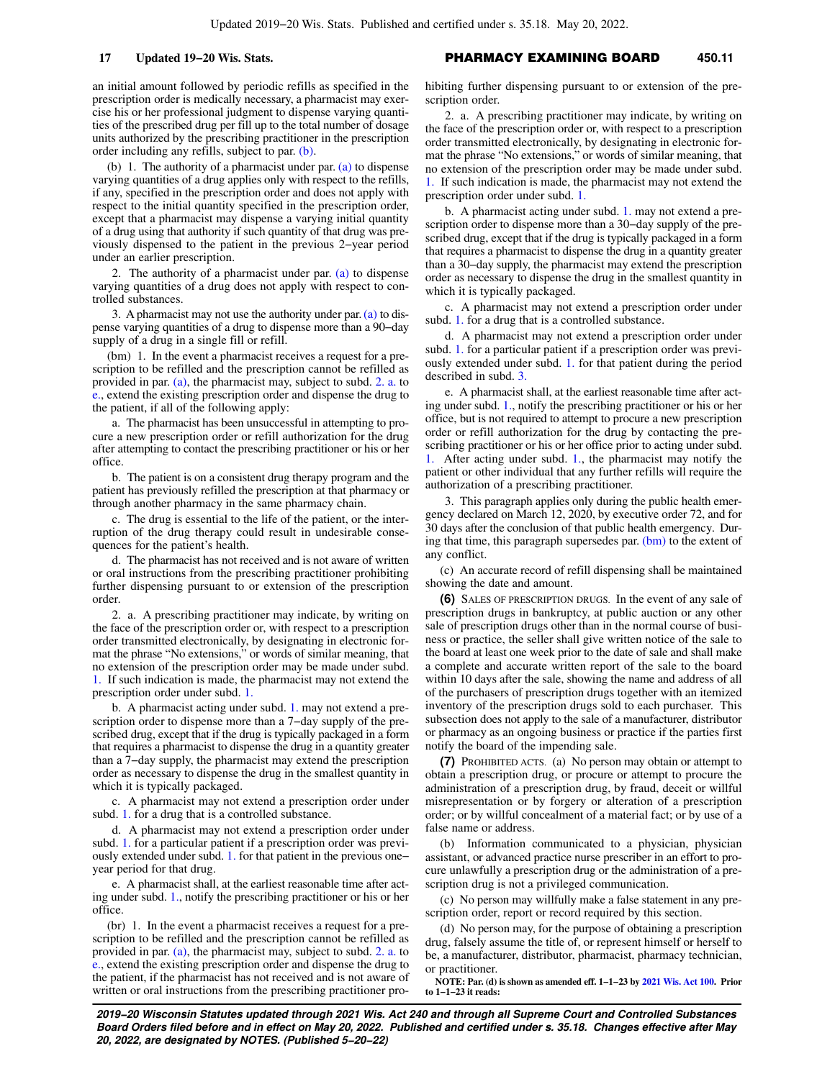an initial amount followed by periodic refills as specified in the prescription order is medically necessary, a pharmacist may exercise his or her professional judgment to dispense varying quantities of the prescribed drug per fill up to the total number of dosage units authorized by the prescribing practitioner in the prescription order including any refills, subject to par. [\(b\).](https://docs-preview.legis.wisconsin.gov/document/statutes/450.11(5)(b))

(b) 1. The authority of a pharmacist under par.  $(a)$  to dispense varying quantities of a drug applies only with respect to the refills, if any, specified in the prescription order and does not apply with respect to the initial quantity specified in the prescription order, except that a pharmacist may dispense a varying initial quantity of a drug using that authority if such quantity of that drug was previously dispensed to the patient in the previous 2−year period under an earlier prescription.

2. The authority of a pharmacist under par. [\(a\)](https://docs-preview.legis.wisconsin.gov/document/statutes/450.11(5)(a)) to dispense varying quantities of a drug does not apply with respect to controlled substances.

3. A pharmacist may not use the authority under par. [\(a\)](https://docs-preview.legis.wisconsin.gov/document/statutes/450.11(5)(a)) to dispense varying quantities of a drug to dispense more than a 90−day supply of a drug in a single fill or refill.

(bm) 1. In the event a pharmacist receives a request for a prescription to be refilled and the prescription cannot be refilled as provided in par. [\(a\)](https://docs-preview.legis.wisconsin.gov/document/statutes/450.11(5)(a)), the pharmacist may, subject to subd. [2. a.](https://docs-preview.legis.wisconsin.gov/document/statutes/450.11(5)(bm)2.a.) to [e.](https://docs-preview.legis.wisconsin.gov/document/statutes/450.11(5)(bm)2.e.), extend the existing prescription order and dispense the drug to the patient, if all of the following apply:

a. The pharmacist has been unsuccessful in attempting to procure a new prescription order or refill authorization for the drug after attempting to contact the prescribing practitioner or his or her office.

b. The patient is on a consistent drug therapy program and the patient has previously refilled the prescription at that pharmacy or through another pharmacy in the same pharmacy chain.

c. The drug is essential to the life of the patient, or the interruption of the drug therapy could result in undesirable consequences for the patient's health.

d. The pharmacist has not received and is not aware of written or oral instructions from the prescribing practitioner prohibiting further dispensing pursuant to or extension of the prescription order.

2. a. A prescribing practitioner may indicate, by writing on the face of the prescription order or, with respect to a prescription order transmitted electronically, by designating in electronic format the phrase "No extensions," or words of similar meaning, that no extension of the prescription order may be made under subd. [1.](https://docs-preview.legis.wisconsin.gov/document/statutes/450.11(5)(bm)1.) If such indication is made, the pharmacist may not extend the prescription order under subd. [1.](https://docs-preview.legis.wisconsin.gov/document/statutes/450.11(5)(bm)1.)

b. A pharmacist acting under subd. [1.](https://docs-preview.legis.wisconsin.gov/document/statutes/450.11(5)(bm)1.) may not extend a prescription order to dispense more than a 7−day supply of the prescribed drug, except that if the drug is typically packaged in a form that requires a pharmacist to dispense the drug in a quantity greater than a 7−day supply, the pharmacist may extend the prescription order as necessary to dispense the drug in the smallest quantity in which it is typically packaged.

c. A pharmacist may not extend a prescription order under subd. [1.](https://docs-preview.legis.wisconsin.gov/document/statutes/450.11(5)(bm)1.) for a drug that is a controlled substance.

d. A pharmacist may not extend a prescription order under subd. [1.](https://docs-preview.legis.wisconsin.gov/document/statutes/450.11(5)(bm)1.) for a particular patient if a prescription order was previously extended under subd. [1.](https://docs-preview.legis.wisconsin.gov/document/statutes/450.11(5)(bm)1.) for that patient in the previous one− year period for that drug.

e. A pharmacist shall, at the earliest reasonable time after acting under subd. [1.](https://docs-preview.legis.wisconsin.gov/document/statutes/450.11(5)(bm)1.), notify the prescribing practitioner or his or her office.

(br) 1. In the event a pharmacist receives a request for a prescription to be refilled and the prescription cannot be refilled as provided in par. [\(a\)](https://docs-preview.legis.wisconsin.gov/document/statutes/450.11(5)(a)), the pharmacist may, subject to subd. [2. a.](https://docs-preview.legis.wisconsin.gov/document/statutes/450.11(5)(br)2.a.) to [e.](https://docs-preview.legis.wisconsin.gov/document/statutes/450.11(5)(br)2.e.), extend the existing prescription order and dispense the drug to the patient, if the pharmacist has not received and is not aware of written or oral instructions from the prescribing practitioner pro-

# **17 Updated 19−20 Wis. Stats.** PHARMACY EXAMINING BOARD **450.11**

hibiting further dispensing pursuant to or extension of the prescription order.

2. a. A prescribing practitioner may indicate, by writing on the face of the prescription order or, with respect to a prescription order transmitted electronically, by designating in electronic format the phrase "No extensions," or words of similar meaning, that no extension of the prescription order may be made under subd. [1.](https://docs-preview.legis.wisconsin.gov/document/statutes/450.11(5)(br)1.) If such indication is made, the pharmacist may not extend the prescription order under subd. [1.](https://docs-preview.legis.wisconsin.gov/document/statutes/450.11(5)(br)1.)

b. A pharmacist acting under subd. [1.](https://docs-preview.legis.wisconsin.gov/document/statutes/450.11(5)(br)1.) may not extend a prescription order to dispense more than a 30–day supply of the prescribed drug, except that if the drug is typically packaged in a form that requires a pharmacist to dispense the drug in a quantity greater than a 30−day supply, the pharmacist may extend the prescription order as necessary to dispense the drug in the smallest quantity in which it is typically packaged.

c. A pharmacist may not extend a prescription order under subd. [1.](https://docs-preview.legis.wisconsin.gov/document/statutes/450.11(5)(br)1.) for a drug that is a controlled substance.

d. A pharmacist may not extend a prescription order under subd. [1.](https://docs-preview.legis.wisconsin.gov/document/statutes/450.11(5)(br)1.) for a particular patient if a prescription order was previously extended under subd. [1.](https://docs-preview.legis.wisconsin.gov/document/statutes/450.11(5)(br)1.) for that patient during the period described in subd. [3.](https://docs-preview.legis.wisconsin.gov/document/statutes/450.11(5)(br)3.)

e. A pharmacist shall, at the earliest reasonable time after acting under subd. [1.,](https://docs-preview.legis.wisconsin.gov/document/statutes/450.11(5)(br)1.) notify the prescribing practitioner or his or her office, but is not required to attempt to procure a new prescription order or refill authorization for the drug by contacting the prescribing practitioner or his or her office prior to acting under subd. After acting under subd. [1.,](https://docs-preview.legis.wisconsin.gov/document/statutes/450.11(5)(br)1.) the pharmacist may notify the patient or other individual that any further refills will require the authorization of a prescribing practitioner.

3. This paragraph applies only during the public health emergency declared on March 12, 2020, by executive order 72, and for 30 days after the conclusion of that public health emergency. During that time, this paragraph supersedes par. [\(bm\)](https://docs-preview.legis.wisconsin.gov/document/statutes/450.11(5)(bm)) to the extent of any conflict.

(c) An accurate record of refill dispensing shall be maintained showing the date and amount.

**(6)** SALES OF PRESCRIPTION DRUGS. In the event of any sale of prescription drugs in bankruptcy, at public auction or any other sale of prescription drugs other than in the normal course of business or practice, the seller shall give written notice of the sale to the board at least one week prior to the date of sale and shall make a complete and accurate written report of the sale to the board within 10 days after the sale, showing the name and address of all of the purchasers of prescription drugs together with an itemized inventory of the prescription drugs sold to each purchaser. This subsection does not apply to the sale of a manufacturer, distributor or pharmacy as an ongoing business or practice if the parties first notify the board of the impending sale.

**(7)** PROHIBITED ACTS. (a) No person may obtain or attempt to obtain a prescription drug, or procure or attempt to procure the administration of a prescription drug, by fraud, deceit or willful misrepresentation or by forgery or alteration of a prescription order; or by willful concealment of a material fact; or by use of a false name or address.

(b) Information communicated to a physician, physician assistant, or advanced practice nurse prescriber in an effort to procure unlawfully a prescription drug or the administration of a prescription drug is not a privileged communication.

(c) No person may willfully make a false statement in any prescription order, report or record required by this section.

(d) No person may, for the purpose of obtaining a prescription drug, falsely assume the title of, or represent himself or herself to be, a manufacturer, distributor, pharmacist, pharmacy technician, or practitioner.

**NOTE: Par. (d) is shown as amended eff. 1−1−23 by [2021 Wis. Act 100.](https://docs-preview.legis.wisconsin.gov/document/acts/2021/100) Prior to 1−1−23 it reads:**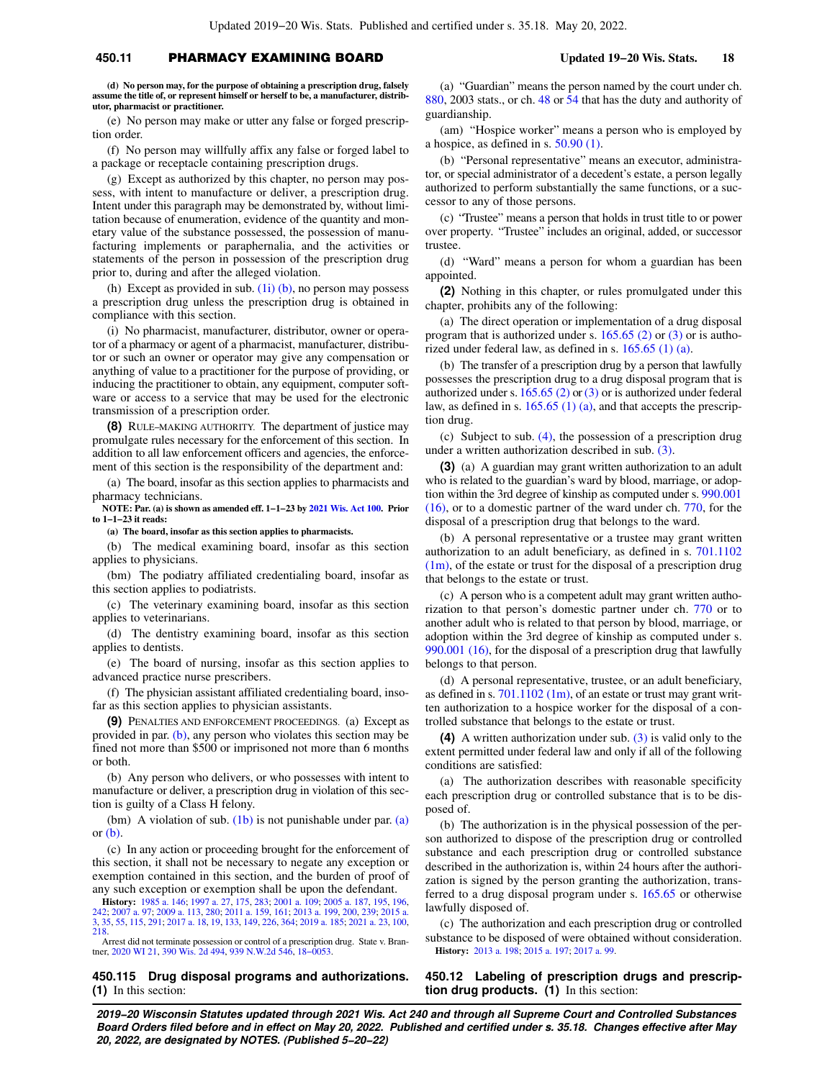# **450.11** PHARMACY EXAMINING BOARD **Updated 19−20 Wis. Stats. 18**

**(d) No person may, for the purpose of obtaining a prescription drug, falsely assume the title of, or represent himself or herself to be, a manufacturer, distributor, pharmacist or practitioner.**

(e) No person may make or utter any false or forged prescription order.

(f) No person may willfully affix any false or forged label to a package or receptacle containing prescription drugs.

(g) Except as authorized by this chapter, no person may possess, with intent to manufacture or deliver, a prescription drug. Intent under this paragraph may be demonstrated by, without limitation because of enumeration, evidence of the quantity and monetary value of the substance possessed, the possession of manufacturing implements or paraphernalia, and the activities or statements of the person in possession of the prescription drug prior to, during and after the alleged violation.

(h) Except as provided in sub.  $(1i)$  (b), no person may possess a prescription drug unless the prescription drug is obtained in compliance with this section.

(i) No pharmacist, manufacturer, distributor, owner or operator of a pharmacy or agent of a pharmacist, manufacturer, distributor or such an owner or operator may give any compensation or anything of value to a practitioner for the purpose of providing, or inducing the practitioner to obtain, any equipment, computer software or access to a service that may be used for the electronic transmission of a prescription order.

**(8)** RULE−MAKING AUTHORITY. The department of justice may promulgate rules necessary for the enforcement of this section. In addition to all law enforcement officers and agencies, the enforcement of this section is the responsibility of the department and:

(a) The board, insofar as this section applies to pharmacists and pharmacy technicians.

**NOTE: Par. (a) is shown as amended eff. 1−1−23 by [2021 Wis. Act 100](https://docs-preview.legis.wisconsin.gov/document/acts/2021/100). Prior to 1−1−23 it reads:**

**(a) The board, insofar as this section applies to pharmacists.**

(b) The medical examining board, insofar as this section applies to physicians.

(bm) The podiatry affiliated credentialing board, insofar as this section applies to podiatrists.

(c) The veterinary examining board, insofar as this section applies to veterinarians.

(d) The dentistry examining board, insofar as this section applies to dentists.

(e) The board of nursing, insofar as this section applies to advanced practice nurse prescribers.

(f) The physician assistant affiliated credentialing board, insofar as this section applies to physician assistants.

**(9)** PENALTIES AND ENFORCEMENT PROCEEDINGS. (a) Except as provided in par. [\(b\)](https://docs-preview.legis.wisconsin.gov/document/statutes/450.11(9)(b)), any person who violates this section may be fined not more than \$500 or imprisoned not more than 6 months or both.

(b) Any person who delivers, or who possesses with intent to manufacture or deliver, a prescription drug in violation of this section is guilty of a Class H felony.

(bm) A violation of sub.  $(1b)$  is not punishable under par.  $(a)$ or [\(b\)](https://docs-preview.legis.wisconsin.gov/document/statutes/450.11(9)(b)).

(c) In any action or proceeding brought for the enforcement of this section, it shall not be necessary to negate any exception or exemption contained in this section, and the burden of proof of any such exception or exemption shall be upon the defendant.

**History:** [1985 a. 146](https://docs-preview.legis.wisconsin.gov/document/acts/1985/146); [1997 a. 27](https://docs-preview.legis.wisconsin.gov/document/acts/1997/27), [175](https://docs-preview.legis.wisconsin.gov/document/acts/1997/175), [283](https://docs-preview.legis.wisconsin.gov/document/acts/1997/283); [2001 a. 109;](https://docs-preview.legis.wisconsin.gov/document/acts/2001/109) [2005 a. 187](https://docs-preview.legis.wisconsin.gov/document/acts/2005/187), [195](https://docs-preview.legis.wisconsin.gov/document/acts/2005/195), [196](https://docs-preview.legis.wisconsin.gov/document/acts/2005/196), [242](https://docs-preview.legis.wisconsin.gov/document/acts/2005/242); [2007 a. 97](https://docs-preview.legis.wisconsin.gov/document/acts/2007/97); [2009 a. 113](https://docs-preview.legis.wisconsin.gov/document/acts/2009/113), [280](https://docs-preview.legis.wisconsin.gov/document/acts/2009/280); [2011 a. 159](https://docs-preview.legis.wisconsin.gov/document/acts/2011/159), [161](https://docs-preview.legis.wisconsin.gov/document/acts/2011/161); [2013 a. 199,](https://docs-preview.legis.wisconsin.gov/document/acts/2013/199) [200,](https://docs-preview.legis.wisconsin.gov/document/acts/2013/200) [239;](https://docs-preview.legis.wisconsin.gov/document/acts/2013/239) [2015 a.](https://docs-preview.legis.wisconsin.gov/document/acts/2015/3) [3](https://docs-preview.legis.wisconsin.gov/document/acts/2015/3), [35,](https://docs-preview.legis.wisconsin.gov/document/acts/2015/35) [55,](https://docs-preview.legis.wisconsin.gov/document/acts/2015/55) [115](https://docs-preview.legis.wisconsin.gov/document/acts/2015/115), [291](https://docs-preview.legis.wisconsin.gov/document/acts/2015/291); [2017 a. 18](https://docs-preview.legis.wisconsin.gov/document/acts/2017/18), [19,](https://docs-preview.legis.wisconsin.gov/document/acts/2017/19) [133](https://docs-preview.legis.wisconsin.gov/document/acts/2017/133), [149](https://docs-preview.legis.wisconsin.gov/document/acts/2017/149), [226,](https://docs-preview.legis.wisconsin.gov/document/acts/2017/226) [364;](https://docs-preview.legis.wisconsin.gov/document/acts/2017/364) [2019 a. 185](https://docs-preview.legis.wisconsin.gov/document/acts/2019/185); [2021 a. 23,](https://docs-preview.legis.wisconsin.gov/document/acts/2021/23) [100](https://docs-preview.legis.wisconsin.gov/document/acts/2021/100), [218](https://docs-preview.legis.wisconsin.gov/document/acts/2021/218).

Arrest did not terminate possession or control of a prescription drug. State v. Brantner, [2020 WI 21](https://docs-preview.legis.wisconsin.gov/document/courts/2020%20WI%2021), [390 Wis. 2d 494,](https://docs-preview.legis.wisconsin.gov/document/courts/390%20Wis.%202d%20494) [939 N.W.2d 546,](https://docs-preview.legis.wisconsin.gov/document/courts/939%20N.W.2d%20546) [18−0053.](https://docs-preview.legis.wisconsin.gov/document/wisupremecourt/18-0053)

## **450.115 Drug disposal programs and authorizations. (1)** In this section:

(a) "Guardian" means the person named by the court under ch. [880,](https://docs-preview.legis.wisconsin.gov/document/statutes/2003/ch.%20880) 2003 stats., or ch. [48](https://docs-preview.legis.wisconsin.gov/document/statutes/ch.%2048) or [54](https://docs-preview.legis.wisconsin.gov/document/statutes/ch.%2054) that has the duty and authority of guardianship.

(am) "Hospice worker" means a person who is employed by a hospice, as defined in s. [50.90 \(1\)](https://docs-preview.legis.wisconsin.gov/document/statutes/50.90(1)).

(b) "Personal representative" means an executor, administrator, or special administrator of a decedent's estate, a person legally authorized to perform substantially the same functions, or a successor to any of those persons.

(c) "Trustee" means a person that holds in trust title to or power over property. "Trustee" includes an original, added, or successor trustee.

(d) "Ward" means a person for whom a guardian has been appointed.

**(2)** Nothing in this chapter, or rules promulgated under this chapter, prohibits any of the following:

(a) The direct operation or implementation of a drug disposal program that is authorized under s. [165.65 \(2\)](https://docs-preview.legis.wisconsin.gov/document/statutes/165.65(2)) or [\(3\)](https://docs-preview.legis.wisconsin.gov/document/statutes/165.65(3)) or is authorized under federal law, as defined in s. [165.65 \(1\) \(a\)](https://docs-preview.legis.wisconsin.gov/document/statutes/165.65(1)(a)).

(b) The transfer of a prescription drug by a person that lawfully possesses the prescription drug to a drug disposal program that is authorized under s. [165.65 \(2\)](https://docs-preview.legis.wisconsin.gov/document/statutes/165.65(2)) or [\(3\)](https://docs-preview.legis.wisconsin.gov/document/statutes/165.65(3)) or is authorized under federal law, as defined in s.  $165.65(1)(a)$ , and that accepts the prescription drug.

(c) Subject to sub. [\(4\)](https://docs-preview.legis.wisconsin.gov/document/statutes/450.115(4)), the possession of a prescription drug under a written authorization described in sub. [\(3\).](https://docs-preview.legis.wisconsin.gov/document/statutes/450.115(3))

**(3)** (a) A guardian may grant written authorization to an adult who is related to the guardian's ward by blood, marriage, or adoption within the 3rd degree of kinship as computed under s. [990.001](https://docs-preview.legis.wisconsin.gov/document/statutes/990.001(16)) [\(16\)](https://docs-preview.legis.wisconsin.gov/document/statutes/990.001(16)), or to a domestic partner of the ward under ch. [770](https://docs-preview.legis.wisconsin.gov/document/statutes/ch.%20770), for the disposal of a prescription drug that belongs to the ward.

(b) A personal representative or a trustee may grant written authorization to an adult beneficiary, as defined in s. [701.1102](https://docs-preview.legis.wisconsin.gov/document/statutes/701.1102(1m))  $(1m)$ , of the estate or trust for the disposal of a prescription drug that belongs to the estate or trust.

(c) A person who is a competent adult may grant written authorization to that person's domestic partner under ch. [770](https://docs-preview.legis.wisconsin.gov/document/statutes/ch.%20770) or to another adult who is related to that person by blood, marriage, or adoption within the 3rd degree of kinship as computed under s. [990.001 \(16\)](https://docs-preview.legis.wisconsin.gov/document/statutes/990.001(16)), for the disposal of a prescription drug that lawfully belongs to that person.

(d) A personal representative, trustee, or an adult beneficiary, as defined in s.  $701.1102$  (1m), of an estate or trust may grant written authorization to a hospice worker for the disposal of a controlled substance that belongs to the estate or trust.

**(4)** A written authorization under sub. [\(3\)](https://docs-preview.legis.wisconsin.gov/document/statutes/450.115(3)) is valid only to the extent permitted under federal law and only if all of the following conditions are satisfied:

(a) The authorization describes with reasonable specificity each prescription drug or controlled substance that is to be disposed of.

(b) The authorization is in the physical possession of the person authorized to dispose of the prescription drug or controlled substance and each prescription drug or controlled substance described in the authorization is, within 24 hours after the authorization is signed by the person granting the authorization, transferred to a drug disposal program under s. [165.65](https://docs-preview.legis.wisconsin.gov/document/statutes/165.65) or otherwise lawfully disposed of.

(c) The authorization and each prescription drug or controlled substance to be disposed of were obtained without consideration. **History:** [2013 a. 198;](https://docs-preview.legis.wisconsin.gov/document/acts/2013/198) [2015 a. 197](https://docs-preview.legis.wisconsin.gov/document/acts/2015/197); [2017 a. 99](https://docs-preview.legis.wisconsin.gov/document/acts/2017/99).

**450.12 Labeling of prescription drugs and prescription drug products. (1)** In this section: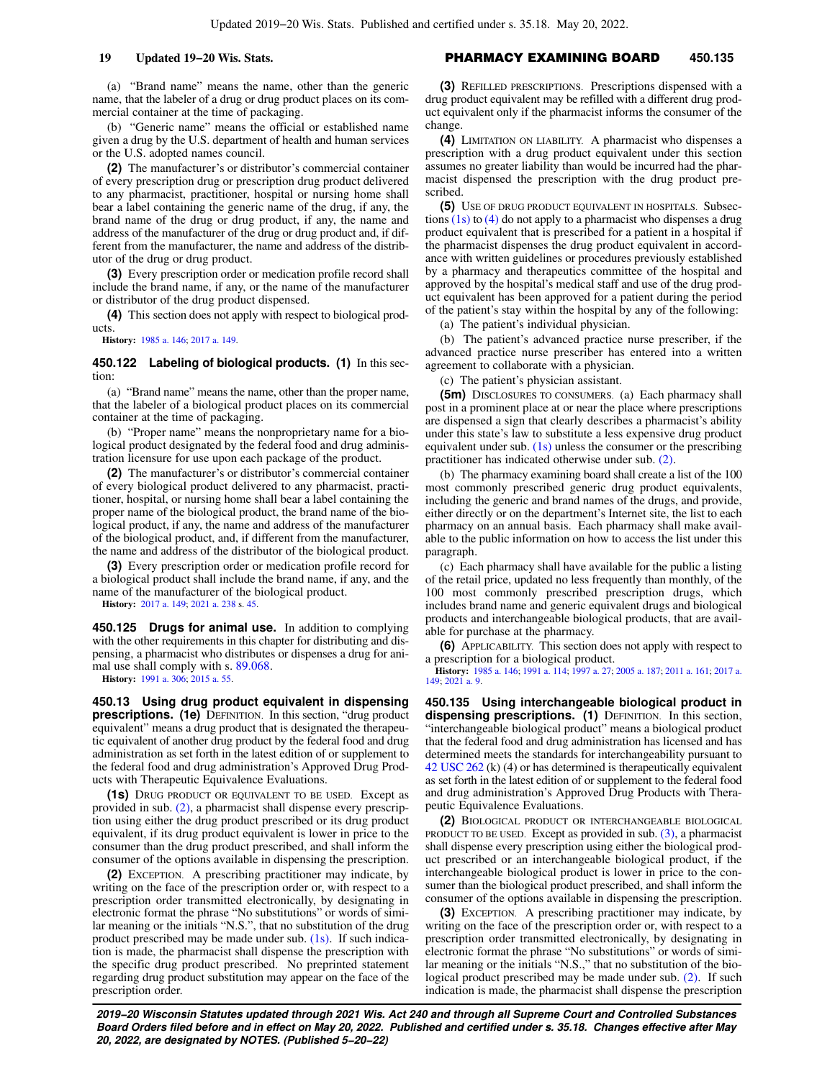(a) "Brand name" means the name, other than the generic name, that the labeler of a drug or drug product places on its commercial container at the time of packaging.

(b) "Generic name" means the official or established name given a drug by the U.S. department of health and human services or the U.S. adopted names council.

**(2)** The manufacturer's or distributor's commercial container of every prescription drug or prescription drug product delivered to any pharmacist, practitioner, hospital or nursing home shall bear a label containing the generic name of the drug, if any, the brand name of the drug or drug product, if any, the name and address of the manufacturer of the drug or drug product and, if different from the manufacturer, the name and address of the distributor of the drug or drug product.

**(3)** Every prescription order or medication profile record shall include the brand name, if any, or the name of the manufacturer or distributor of the drug product dispensed.

**(4)** This section does not apply with respect to biological products.

**History:** [1985 a. 146](https://docs-preview.legis.wisconsin.gov/document/acts/1985/146); [2017 a. 149](https://docs-preview.legis.wisconsin.gov/document/acts/2017/149).

**450.122 Labeling of biological products. (1)** In this section:

(a) "Brand name" means the name, other than the proper name, that the labeler of a biological product places on its commercial container at the time of packaging.

(b) "Proper name" means the nonproprietary name for a biological product designated by the federal food and drug administration licensure for use upon each package of the product.

**(2)** The manufacturer's or distributor's commercial container of every biological product delivered to any pharmacist, practitioner, hospital, or nursing home shall bear a label containing the proper name of the biological product, the brand name of the biological product, if any, the name and address of the manufacturer of the biological product, and, if different from the manufacturer, the name and address of the distributor of the biological product.

**(3)** Every prescription order or medication profile record for a biological product shall include the brand name, if any, and the name of the manufacturer of the biological product.

**History:** [2017 a. 149](https://docs-preview.legis.wisconsin.gov/document/acts/2017/149); [2021 a. 238](https://docs-preview.legis.wisconsin.gov/document/acts/2021/238) s. [45](https://docs-preview.legis.wisconsin.gov/document/acts/2021/238,%20s.%2045).

**450.125 Drugs for animal use.** In addition to complying with the other requirements in this chapter for distributing and dispensing, a pharmacist who distributes or dispenses a drug for animal use shall comply with s. [89.068.](https://docs-preview.legis.wisconsin.gov/document/statutes/89.068)

**History:** [1991 a. 306](https://docs-preview.legis.wisconsin.gov/document/acts/1991/306); [2015 a. 55.](https://docs-preview.legis.wisconsin.gov/document/acts/2015/55)

**450.13 Using drug product equivalent in dispensing prescriptions. (1e)** DEFINITION. In this section, "drug product equivalent" means a drug product that is designated the therapeutic equivalent of another drug product by the federal food and drug administration as set forth in the latest edition of or supplement to the federal food and drug administration's Approved Drug Products with Therapeutic Equivalence Evaluations.

**(1s)** DRUG PRODUCT OR EQUIVALENT TO BE USED. Except as provided in sub. [\(2\)](https://docs-preview.legis.wisconsin.gov/document/statutes/450.13(2)), a pharmacist shall dispense every prescription using either the drug product prescribed or its drug product equivalent, if its drug product equivalent is lower in price to the consumer than the drug product prescribed, and shall inform the consumer of the options available in dispensing the prescription.

**(2)** EXCEPTION. A prescribing practitioner may indicate, by writing on the face of the prescription order or, with respect to a prescription order transmitted electronically, by designating in electronic format the phrase "No substitutions" or words of similar meaning or the initials "N.S.", that no substitution of the drug product prescribed may be made under sub. [\(1s\).](https://docs-preview.legis.wisconsin.gov/document/statutes/450.13(1s)) If such indication is made, the pharmacist shall dispense the prescription with the specific drug product prescribed. No preprinted statement regarding drug product substitution may appear on the face of the prescription order.

# **19 Updated 19−20 Wis. Stats.** PHARMACY EXAMINING BOARD **450.135**

**(3)** REFILLED PRESCRIPTIONS. Prescriptions dispensed with a drug product equivalent may be refilled with a different drug product equivalent only if the pharmacist informs the consumer of the change.

**(4)** LIMITATION ON LIABILITY. A pharmacist who dispenses a prescription with a drug product equivalent under this section assumes no greater liability than would be incurred had the pharmacist dispensed the prescription with the drug product prescribed.

**(5)** USE OF DRUG PRODUCT EQUIVALENT IN HOSPITALS. Subsections  $(1s)$  to  $(4)$  do not apply to a pharmacist who dispenses a drug product equivalent that is prescribed for a patient in a hospital if the pharmacist dispenses the drug product equivalent in accordance with written guidelines or procedures previously established by a pharmacy and therapeutics committee of the hospital and approved by the hospital's medical staff and use of the drug product equivalent has been approved for a patient during the period of the patient's stay within the hospital by any of the following:

(a) The patient's individual physician.

(b) The patient's advanced practice nurse prescriber, if the advanced practice nurse prescriber has entered into a written agreement to collaborate with a physician.

(c) The patient's physician assistant.

**(5m)** DISCLOSURES TO CONSUMERS. (a) Each pharmacy shall post in a prominent place at or near the place where prescriptions are dispensed a sign that clearly describes a pharmacist's ability under this state's law to substitute a less expensive drug product equivalent under sub. [\(1s\)](https://docs-preview.legis.wisconsin.gov/document/statutes/450.13(1s)) unless the consumer or the prescribing practitioner has indicated otherwise under sub. [\(2\).](https://docs-preview.legis.wisconsin.gov/document/statutes/450.13(2))

(b) The pharmacy examining board shall create a list of the 100 most commonly prescribed generic drug product equivalents, including the generic and brand names of the drugs, and provide, either directly or on the department's Internet site, the list to each pharmacy on an annual basis. Each pharmacy shall make available to the public information on how to access the list under this paragraph.

(c) Each pharmacy shall have available for the public a listing of the retail price, updated no less frequently than monthly, of the 100 most commonly prescribed prescription drugs, which includes brand name and generic equivalent drugs and biological products and interchangeable biological products, that are available for purchase at the pharmacy.

**(6)** APPLICABILITY. This section does not apply with respect to a prescription for a biological product.

**History:** [1985 a. 146;](https://docs-preview.legis.wisconsin.gov/document/acts/1985/146) [1991 a. 114;](https://docs-preview.legis.wisconsin.gov/document/acts/1991/114) [1997 a. 27](https://docs-preview.legis.wisconsin.gov/document/acts/1997/27); [2005 a. 187](https://docs-preview.legis.wisconsin.gov/document/acts/2005/187); [2011 a. 161](https://docs-preview.legis.wisconsin.gov/document/acts/2011/161); [2017 a.](https://docs-preview.legis.wisconsin.gov/document/acts/2017/149) [149;](https://docs-preview.legis.wisconsin.gov/document/acts/2017/149) [2021 a. 9](https://docs-preview.legis.wisconsin.gov/document/acts/2021/9).

**450.135 Using interchangeable biological product in dispensing prescriptions. (1)** DEFINITION. In this section, "interchangeable biological product" means a biological product that the federal food and drug administration has licensed and has determined meets the standards for interchangeability pursuant to [42 USC 262](https://docs-preview.legis.wisconsin.gov/document/usc/42%20USC%20262) (k) (4) or has determined is therapeutically equivalent as set forth in the latest edition of or supplement to the federal food and drug administration's Approved Drug Products with Therapeutic Equivalence Evaluations.

**(2)** BIOLOGICAL PRODUCT OR INTERCHANGEABLE BIOLOGICAL PRODUCT TO BE USED. Except as provided in sub. [\(3\),](https://docs-preview.legis.wisconsin.gov/document/statutes/450.135(3)) a pharmacist shall dispense every prescription using either the biological product prescribed or an interchangeable biological product, if the interchangeable biological product is lower in price to the consumer than the biological product prescribed, and shall inform the consumer of the options available in dispensing the prescription.

**(3)** EXCEPTION. A prescribing practitioner may indicate, by writing on the face of the prescription order or, with respect to a prescription order transmitted electronically, by designating in electronic format the phrase "No substitutions" or words of similar meaning or the initials "N.S.," that no substitution of the biological product prescribed may be made under sub. [\(2\).](https://docs-preview.legis.wisconsin.gov/document/statutes/450.135(2)) If such indication is made, the pharmacist shall dispense the prescription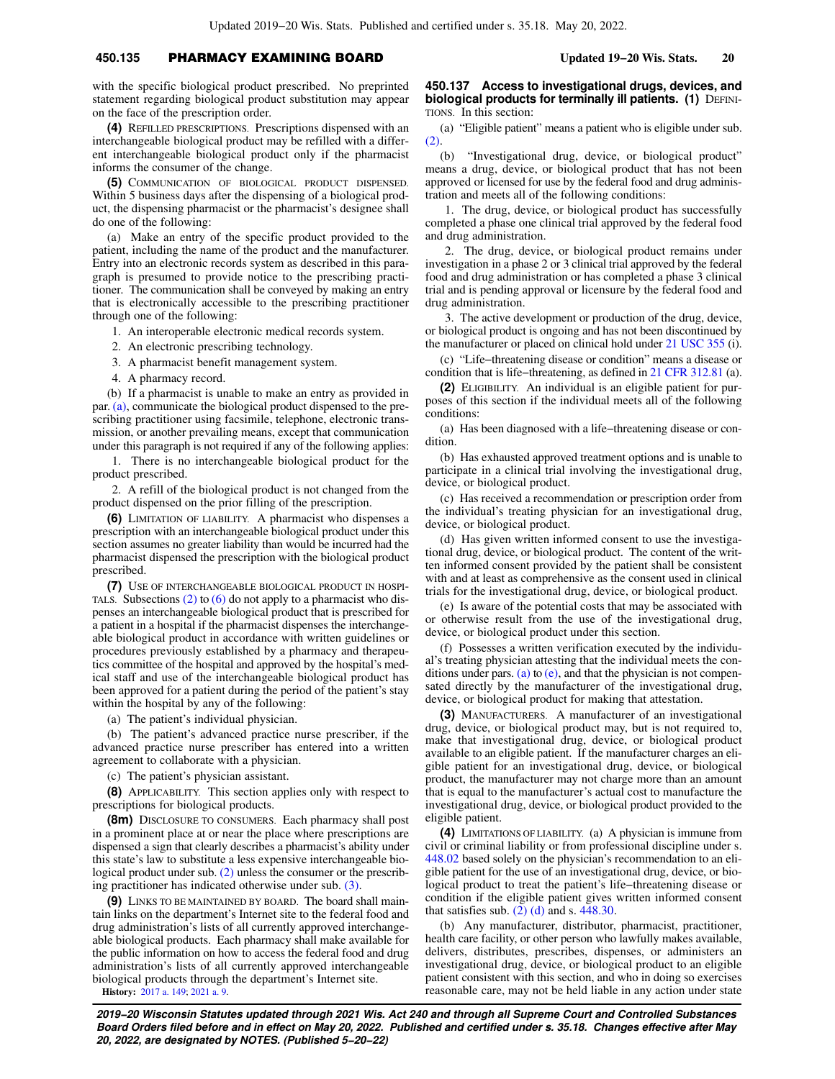# **450.135** PHARMACY EXAMINING BOARD **Updated 19−20 Wis. Stats. 20**

with the specific biological product prescribed. No preprinted statement regarding biological product substitution may appear on the face of the prescription order.

**(4)** REFILLED PRESCRIPTIONS. Prescriptions dispensed with an interchangeable biological product may be refilled with a different interchangeable biological product only if the pharmacist informs the consumer of the change.

**(5)** COMMUNICATION OF BIOLOGICAL PRODUCT DISPENSED. Within 5 business days after the dispensing of a biological product, the dispensing pharmacist or the pharmacist's designee shall do one of the following:

(a) Make an entry of the specific product provided to the patient, including the name of the product and the manufacturer. Entry into an electronic records system as described in this paragraph is presumed to provide notice to the prescribing practitioner. The communication shall be conveyed by making an entry that is electronically accessible to the prescribing practitioner through one of the following:

1. An interoperable electronic medical records system.

2. An electronic prescribing technology.

3. A pharmacist benefit management system.

4. A pharmacy record.

(b) If a pharmacist is unable to make an entry as provided in par. [\(a\),](https://docs-preview.legis.wisconsin.gov/document/statutes/450.135(5)(a)) communicate the biological product dispensed to the prescribing practitioner using facsimile, telephone, electronic transmission, or another prevailing means, except that communication under this paragraph is not required if any of the following applies:

1. There is no interchangeable biological product for the product prescribed.

2. A refill of the biological product is not changed from the product dispensed on the prior filling of the prescription.

**(6)** LIMITATION OF LIABILITY. A pharmacist who dispenses a prescription with an interchangeable biological product under this section assumes no greater liability than would be incurred had the pharmacist dispensed the prescription with the biological product prescribed.

**(7)** USE OF INTERCHANGEABLE BIOLOGICAL PRODUCT IN HOSPI-TALS. Subsections  $(2)$  to  $(6)$  do not apply to a pharmacist who dispenses an interchangeable biological product that is prescribed for a patient in a hospital if the pharmacist dispenses the interchangeable biological product in accordance with written guidelines or procedures previously established by a pharmacy and therapeutics committee of the hospital and approved by the hospital's medical staff and use of the interchangeable biological product has been approved for a patient during the period of the patient's stay within the hospital by any of the following:

(a) The patient's individual physician.

(b) The patient's advanced practice nurse prescriber, if the advanced practice nurse prescriber has entered into a written agreement to collaborate with a physician.

(c) The patient's physician assistant.

**(8)** APPLICABILITY. This section applies only with respect to prescriptions for biological products.

**(8m)** DISCLOSURE TO CONSUMERS. Each pharmacy shall post in a prominent place at or near the place where prescriptions are dispensed a sign that clearly describes a pharmacist's ability under this state's law to substitute a less expensive interchangeable biological product under sub. [\(2\)](https://docs-preview.legis.wisconsin.gov/document/statutes/450.135(2)) unless the consumer or the prescribing practitioner has indicated otherwise under sub. [\(3\)](https://docs-preview.legis.wisconsin.gov/document/statutes/450.135(3)).

**(9)** LINKS TO BE MAINTAINED BY BOARD. The board shall maintain links on the department's Internet site to the federal food and drug administration's lists of all currently approved interchangeable biological products. Each pharmacy shall make available for the public information on how to access the federal food and drug administration's lists of all currently approved interchangeable biological products through the department's Internet site.

**History:** [2017 a. 149](https://docs-preview.legis.wisconsin.gov/document/acts/2017/149); [2021 a. 9.](https://docs-preview.legis.wisconsin.gov/document/acts/2021/9)

**450.137 Access to investigational drugs, devices, and biological products for terminally ill patients. (1) DEFINI-**TIONS. In this section:

(a) "Eligible patient" means a patient who is eligible under sub. [\(2\).](https://docs-preview.legis.wisconsin.gov/document/statutes/450.137(2))

(b) "Investigational drug, device, or biological product" means a drug, device, or biological product that has not been approved or licensed for use by the federal food and drug administration and meets all of the following conditions:

1. The drug, device, or biological product has successfully completed a phase one clinical trial approved by the federal food and drug administration.

2. The drug, device, or biological product remains under investigation in a phase 2 or 3 clinical trial approved by the federal food and drug administration or has completed a phase 3 clinical trial and is pending approval or licensure by the federal food and drug administration.

3. The active development or production of the drug, device, or biological product is ongoing and has not been discontinued by the manufacturer or placed on clinical hold under [21 USC 355](https://docs-preview.legis.wisconsin.gov/document/usc/21%20USC%20355) (i).

(c) "Life−threatening disease or condition" means a disease or condition that is life−threatening, as defined in [21 CFR 312.81](https://docs-preview.legis.wisconsin.gov/document/cfr/21%20CFR%20312.81) (a).

**(2)** ELIGIBILITY. An individual is an eligible patient for purposes of this section if the individual meets all of the following conditions:

(a) Has been diagnosed with a life−threatening disease or condition.

(b) Has exhausted approved treatment options and is unable to participate in a clinical trial involving the investigational drug, device, or biological product.

(c) Has received a recommendation or prescription order from the individual's treating physician for an investigational drug, device, or biological product.

(d) Has given written informed consent to use the investigational drug, device, or biological product. The content of the written informed consent provided by the patient shall be consistent with and at least as comprehensive as the consent used in clinical trials for the investigational drug, device, or biological product.

(e) Is aware of the potential costs that may be associated with or otherwise result from the use of the investigational drug, device, or biological product under this section.

(f) Possesses a written verification executed by the individual's treating physician attesting that the individual meets the con-ditions under pars. [\(a\)](https://docs-preview.legis.wisconsin.gov/document/statutes/450.137(2)(a)) to  $(e)$ , and that the physician is not compensated directly by the manufacturer of the investigational drug, device, or biological product for making that attestation.

**(3)** MANUFACTURERS. A manufacturer of an investigational drug, device, or biological product may, but is not required to, make that investigational drug, device, or biological product available to an eligible patient. If the manufacturer charges an eligible patient for an investigational drug, device, or biological product, the manufacturer may not charge more than an amount that is equal to the manufacturer's actual cost to manufacture the investigational drug, device, or biological product provided to the eligible patient.

**(4)** LIMITATIONS OF LIABILITY. (a) A physician is immune from civil or criminal liability or from professional discipline under s. [448.02](https://docs-preview.legis.wisconsin.gov/document/statutes/448.02) based solely on the physician's recommendation to an eligible patient for the use of an investigational drug, device, or biological product to treat the patient's life−threatening disease or condition if the eligible patient gives written informed consent that satisfies sub. [\(2\) \(d\)](https://docs-preview.legis.wisconsin.gov/document/statutes/450.137(2)(d)) and s.  $448.30$ .

(b) Any manufacturer, distributor, pharmacist, practitioner, health care facility, or other person who lawfully makes available, delivers, distributes, prescribes, dispenses, or administers an investigational drug, device, or biological product to an eligible patient consistent with this section, and who in doing so exercises reasonable care, may not be held liable in any action under state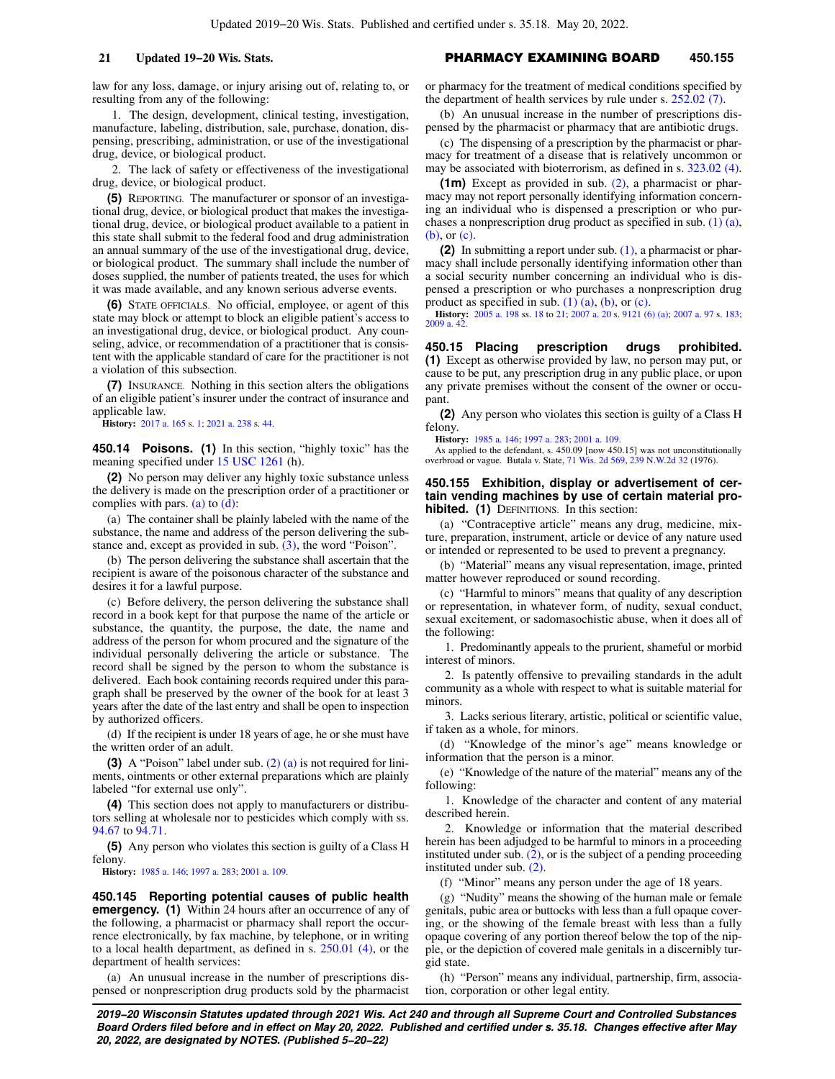law for any loss, damage, or injury arising out of, relating to, or resulting from any of the following:

1. The design, development, clinical testing, investigation, manufacture, labeling, distribution, sale, purchase, donation, dispensing, prescribing, administration, or use of the investigational drug, device, or biological product.

2. The lack of safety or effectiveness of the investigational drug, device, or biological product.

**(5)** REPORTING. The manufacturer or sponsor of an investigational drug, device, or biological product that makes the investigational drug, device, or biological product available to a patient in this state shall submit to the federal food and drug administration an annual summary of the use of the investigational drug, device, or biological product. The summary shall include the number of doses supplied, the number of patients treated, the uses for which it was made available, and any known serious adverse events.

**(6)** STATE OFFICIALS. No official, employee, or agent of this state may block or attempt to block an eligible patient's access to an investigational drug, device, or biological product. Any counseling, advice, or recommendation of a practitioner that is consistent with the applicable standard of care for the practitioner is not a violation of this subsection.

**(7)** INSURANCE. Nothing in this section alters the obligations of an eligible patient's insurer under the contract of insurance and applicable law.

**History:** [2017 a. 165](https://docs-preview.legis.wisconsin.gov/document/acts/2017/165) s. [1;](https://docs-preview.legis.wisconsin.gov/document/acts/2017/165,%20s.%201) [2021 a. 238](https://docs-preview.legis.wisconsin.gov/document/acts/2021/238) s. [44.](https://docs-preview.legis.wisconsin.gov/document/acts/2021/238,%20s.%2044)

**450.14 Poisons. (1)** In this section, "highly toxic" has the meaning specified under [15 USC 1261](https://docs-preview.legis.wisconsin.gov/document/usc/15%20USC%201261) (h).

**(2)** No person may deliver any highly toxic substance unless the delivery is made on the prescription order of a practitioner or complies with pars.  $(a)$  to  $(d)$ :

(a) The container shall be plainly labeled with the name of the substance, the name and address of the person delivering the substance and, except as provided in sub. [\(3\)](https://docs-preview.legis.wisconsin.gov/document/statutes/450.14(3)), the word "Poison".

(b) The person delivering the substance shall ascertain that the recipient is aware of the poisonous character of the substance and desires it for a lawful purpose.

(c) Before delivery, the person delivering the substance shall record in a book kept for that purpose the name of the article or substance, the quantity, the purpose, the date, the name and address of the person for whom procured and the signature of the individual personally delivering the article or substance. The record shall be signed by the person to whom the substance is delivered. Each book containing records required under this paragraph shall be preserved by the owner of the book for at least 3 years after the date of the last entry and shall be open to inspection by authorized officers.

(d) If the recipient is under 18 years of age, he or she must have the written order of an adult.

**(3)** A "Poison" label under sub. [\(2\) \(a\)](https://docs-preview.legis.wisconsin.gov/document/statutes/450.14(2)(a)) is not required for liniments, ointments or other external preparations which are plainly labeled "for external use only".

**(4)** This section does not apply to manufacturers or distributors selling at wholesale nor to pesticides which comply with ss. [94.67](https://docs-preview.legis.wisconsin.gov/document/statutes/94.67) to [94.71](https://docs-preview.legis.wisconsin.gov/document/statutes/94.71).

**(5)** Any person who violates this section is guilty of a Class H felony.

**History:** [1985 a. 146](https://docs-preview.legis.wisconsin.gov/document/acts/1985/146); [1997 a. 283](https://docs-preview.legis.wisconsin.gov/document/acts/1997/283); [2001 a. 109.](https://docs-preview.legis.wisconsin.gov/document/acts/2001/109)

**450.145 Reporting potential causes of public health emergency.** (1) Within 24 hours after an occurrence of any of the following, a pharmacist or pharmacy shall report the occurrence electronically, by fax machine, by telephone, or in writing to a local health department, as defined in s. [250.01 \(4\)](https://docs-preview.legis.wisconsin.gov/document/statutes/250.01(4)), or the department of health services:

(a) An unusual increase in the number of prescriptions dispensed or nonprescription drug products sold by the pharmacist

## **21 Updated 19−20 Wis. Stats.** PHARMACY EXAMINING BOARD **450.155**

or pharmacy for the treatment of medical conditions specified by the department of health services by rule under s. [252.02 \(7\)](https://docs-preview.legis.wisconsin.gov/document/statutes/252.02(7)).

(b) An unusual increase in the number of prescriptions dispensed by the pharmacist or pharmacy that are antibiotic drugs.

(c) The dispensing of a prescription by the pharmacist or pharmacy for treatment of a disease that is relatively uncommon or may be associated with bioterrorism, as defined in s. [323.02 \(4\).](https://docs-preview.legis.wisconsin.gov/document/statutes/323.02(4))

**(1m)** Except as provided in sub. [\(2\)](https://docs-preview.legis.wisconsin.gov/document/statutes/450.145(2)), a pharmacist or pharmacy may not report personally identifying information concerning an individual who is dispensed a prescription or who purchases a nonprescription drug product as specified in sub. [\(1\) \(a\),](https://docs-preview.legis.wisconsin.gov/document/statutes/450.145(1)(a)) [\(b\),](https://docs-preview.legis.wisconsin.gov/document/statutes/450.145(1)(b)) or [\(c\).](https://docs-preview.legis.wisconsin.gov/document/statutes/450.145(1)(c))

**(2)** In submitting a report under sub. [\(1\)](https://docs-preview.legis.wisconsin.gov/document/statutes/450.145(1)), a pharmacist or pharmacy shall include personally identifying information other than a social security number concerning an individual who is dispensed a prescription or who purchases a nonprescription drug product as specified in sub.  $(1)$   $(a)$ ,  $(b)$ , or  $(c)$ .

**History:** [2005 a. 198](https://docs-preview.legis.wisconsin.gov/document/acts/2005/198) ss. [18](https://docs-preview.legis.wisconsin.gov/document/acts/2005/198,%20s.%2018) to [21;](https://docs-preview.legis.wisconsin.gov/document/acts/2005/198,%20s.%2021) [2007 a. 20](https://docs-preview.legis.wisconsin.gov/document/acts/2007/20) s. [9121 \(6\) \(a\)](https://docs-preview.legis.wisconsin.gov/document/acts/2007/20,%20s.%209121); [2007 a. 97](https://docs-preview.legis.wisconsin.gov/document/acts/2007/97) s. [183](https://docs-preview.legis.wisconsin.gov/document/acts/2007/97,%20s.%20183); 2009 a. 4

### **450.15 Placing prescription drugs prohibited.**

**(1)** Except as otherwise provided by law, no person may put, or cause to be put, any prescription drug in any public place, or upon any private premises without the consent of the owner or occupant.

**(2)** Any person who violates this section is guilty of a Class H felony.

**History:** [1985 a. 146;](https://docs-preview.legis.wisconsin.gov/document/acts/1985/146) [1997 a. 283](https://docs-preview.legis.wisconsin.gov/document/acts/1997/283); [2001 a. 109.](https://docs-preview.legis.wisconsin.gov/document/acts/2001/109)

As applied to the defendant, s. 450.09 [now 450.15] was not unconstitutionally overbroad or vague. Butala v. State, [71 Wis. 2d 569](https://docs-preview.legis.wisconsin.gov/document/courts/71%20Wis.%202d%20569), [239 N.W.2d 32](https://docs-preview.legis.wisconsin.gov/document/courts/239%20N.W.2d%2032) (1976).

## **450.155 Exhibition, display or advertisement of certain vending machines by use of certain material prohibited. (1)** DEFINITIONS. In this section:

(a) "Contraceptive article" means any drug, medicine, mixture, preparation, instrument, article or device of any nature used or intended or represented to be used to prevent a pregnancy.

(b) "Material" means any visual representation, image, printed matter however reproduced or sound recording.

(c) "Harmful to minors" means that quality of any description or representation, in whatever form, of nudity, sexual conduct, sexual excitement, or sadomasochistic abuse, when it does all of the following:

1. Predominantly appeals to the prurient, shameful or morbid interest of minors.

2. Is patently offensive to prevailing standards in the adult community as a whole with respect to what is suitable material for minors.

3. Lacks serious literary, artistic, political or scientific value, if taken as a whole, for minors.

(d) "Knowledge of the minor's age" means knowledge or information that the person is a minor.

(e) "Knowledge of the nature of the material" means any of the following:

1. Knowledge of the character and content of any material described herein.

2. Knowledge or information that the material described herein has been adjudged to be harmful to minors in a proceeding instituted under sub. [\(2\),](https://docs-preview.legis.wisconsin.gov/document/statutes/450.155(2)) or is the subject of a pending proceeding instituted under sub. [\(2\)](https://docs-preview.legis.wisconsin.gov/document/statutes/450.155(2)).

(f) "Minor" means any person under the age of 18 years.

(g) "Nudity" means the showing of the human male or female genitals, pubic area or buttocks with less than a full opaque covering, or the showing of the female breast with less than a fully opaque covering of any portion thereof below the top of the nipple, or the depiction of covered male genitals in a discernibly turgid state.

(h) "Person" means any individual, partnership, firm, association, corporation or other legal entity.